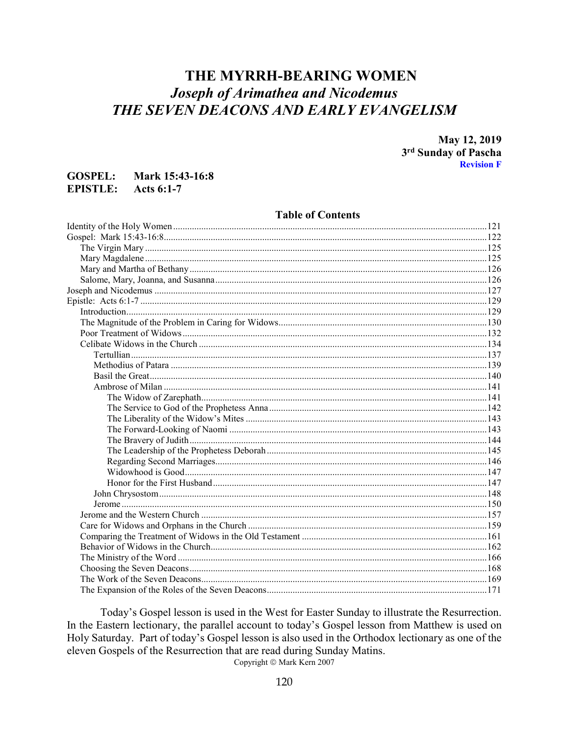# THE MYRRH-BEARING WOMEN **Joseph of Arimathea and Nicodemus** THE SEVEN DEACONS AND EARLY EVANGELISM

May 12, 2019 3rd Sunday of Pascha **Revision F** 

#### **GOSPEL:** Mark 15:43-16:8 EPISTLE:  $Acts 6:1-7$

### **Table of Contents**

Today's Gospel lesson is used in the West for Easter Sunday to illustrate the Resurrection. In the Eastern lectionary, the parallel account to today's Gospel lesson from Matthew is used on Holy Saturday. Part of today's Gospel lesson is also used in the Orthodox lectionary as one of the eleven Gospels of the Resurrection that are read during Sunday Matins.

Copyright © Mark Kern 2007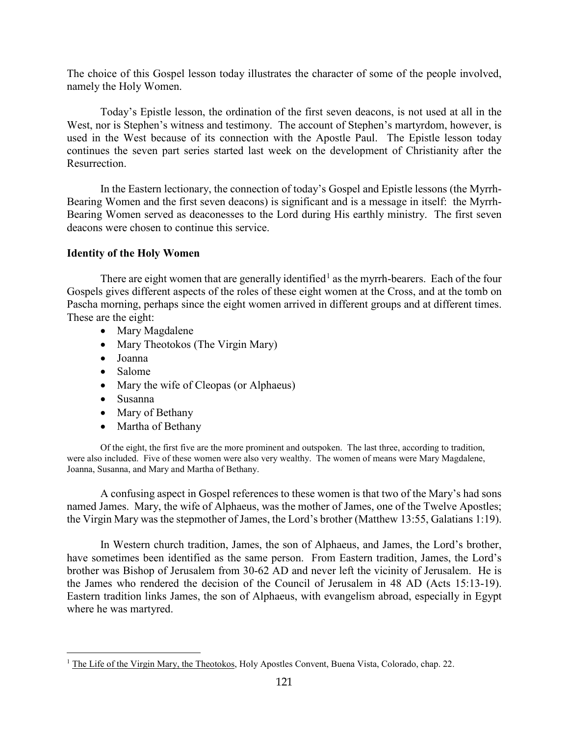The choice of this Gospel lesson today illustrates the character of some of the people involved, namely the Holy Women.

Today's Epistle lesson, the ordination of the first seven deacons, is not used at all in the West, nor is Stephen's witness and testimony. The account of Stephen's martyrdom, however, is used in the West because of its connection with the Apostle Paul. The Epistle lesson today continues the seven part series started last week on the development of Christianity after the Resurrection.

In the Eastern lectionary, the connection of today's Gospel and Epistle lessons (the Myrrh-Bearing Women and the first seven deacons) is significant and is a message in itself: the Myrrh-Bearing Women served as deaconesses to the Lord during His earthly ministry. The first seven deacons were chosen to continue this service.

## <span id="page-1-0"></span>**Identity of the Holy Women**

There are eight women that are generally identified<sup>[1](#page-1-1)</sup> as the myrrh-bearers. Each of the four Gospels gives different aspects of the roles of these eight women at the Cross, and at the tomb on Pascha morning, perhaps since the eight women arrived in different groups and at different times. These are the eight:

- Mary Magdalene
- Mary Theotokos (The Virgin Mary)
- Joanna
- Salome
- Mary the wife of Cleopas (or Alphaeus)
- Susanna

 $\overline{a}$ 

- Mary of Bethany
- Martha of Bethany

Of the eight, the first five are the more prominent and outspoken. The last three, according to tradition, were also included. Five of these women were also very wealthy. The women of means were Mary Magdalene, Joanna, Susanna, and Mary and Martha of Bethany.

A confusing aspect in Gospel references to these women is that two of the Mary's had sons named James. Mary, the wife of Alphaeus, was the mother of James, one of the Twelve Apostles; the Virgin Mary was the stepmother of James, the Lord's brother (Matthew 13:55, Galatians 1:19).

In Western church tradition, James, the son of Alphaeus, and James, the Lord's brother, have sometimes been identified as the same person. From Eastern tradition, James, the Lord's brother was Bishop of Jerusalem from 30-62 AD and never left the vicinity of Jerusalem. He is the James who rendered the decision of the Council of Jerusalem in 48 AD (Acts 15:13-19). Eastern tradition links James, the son of Alphaeus, with evangelism abroad, especially in Egypt where he was martyred.

<span id="page-1-1"></span><sup>&</sup>lt;sup>1</sup> The Life of the Virgin Mary, the Theotokos, Holy Apostles Convent, Buena Vista, Colorado, chap. 22.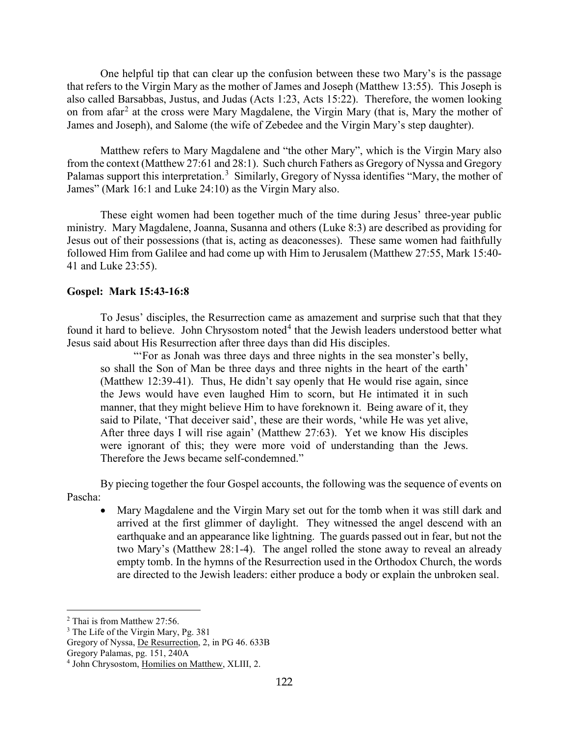One helpful tip that can clear up the confusion between these two Mary's is the passage that refers to the Virgin Mary as the mother of James and Joseph (Matthew 13:55). This Joseph is also called Barsabbas, Justus, and Judas (Acts 1:23, Acts 15:22). Therefore, the women looking on from afar<sup>[2](#page-2-1)</sup> at the cross were Mary Magdalene, the Virgin Mary (that is, Mary the mother of James and Joseph), and Salome (the wife of Zebedee and the Virgin Mary's step daughter).

Matthew refers to Mary Magdalene and "the other Mary", which is the Virgin Mary also from the context (Matthew 27:61 and 28:1). Such church Fathers as Gregory of Nyssa and Gregory Palamas support this interpretation.<sup>[3](#page-2-2)</sup> Similarly, Gregory of Nyssa identifies "Mary, the mother of James" (Mark 16:1 and Luke 24:10) as the Virgin Mary also.

These eight women had been together much of the time during Jesus' three-year public ministry. Mary Magdalene, Joanna, Susanna and others (Luke 8:3) are described as providing for Jesus out of their possessions (that is, acting as deaconesses). These same women had faithfully followed Him from Galilee and had come up with Him to Jerusalem (Matthew 27:55, Mark 15:40- 41 and Luke 23:55).

## <span id="page-2-0"></span>**Gospel: Mark 15:43-16:8**

To Jesus' disciples, the Resurrection came as amazement and surprise such that that they found it hard to believe. John Chrysostom noted<sup>[4](#page-2-3)</sup> that the Jewish leaders understood better what Jesus said about His Resurrection after three days than did His disciples.

"'For as Jonah was three days and three nights in the sea monster's belly, so shall the Son of Man be three days and three nights in the heart of the earth' (Matthew 12:39-41). Thus, He didn't say openly that He would rise again, since the Jews would have even laughed Him to scorn, but He intimated it in such manner, that they might believe Him to have foreknown it. Being aware of it, they said to Pilate, 'That deceiver said', these are their words, 'while He was yet alive, After three days I will rise again' (Matthew 27:63). Yet we know His disciples were ignorant of this; they were more void of understanding than the Jews. Therefore the Jews became self-condemned."

By piecing together the four Gospel accounts, the following was the sequence of events on Pascha:

• Mary Magdalene and the Virgin Mary set out for the tomb when it was still dark and arrived at the first glimmer of daylight. They witnessed the angel descend with an earthquake and an appearance like lightning. The guards passed out in fear, but not the two Mary's (Matthew 28:1-4). The angel rolled the stone away to reveal an already empty tomb. In the hymns of the Resurrection used in the Orthodox Church, the words are directed to the Jewish leaders: either produce a body or explain the unbroken seal.

<span id="page-2-1"></span><sup>2</sup> Thai is from Matthew 27:56.

<span id="page-2-2"></span><sup>&</sup>lt;sup>3</sup> The Life of the Virgin Mary, Pg. 381

Gregory of Nyssa, De Resurrection, 2, in PG 46. 633B

Gregory Palamas, pg. 151, 240A

<span id="page-2-3"></span><sup>4</sup> John Chrysostom, Homilies on Matthew, XLIII, 2.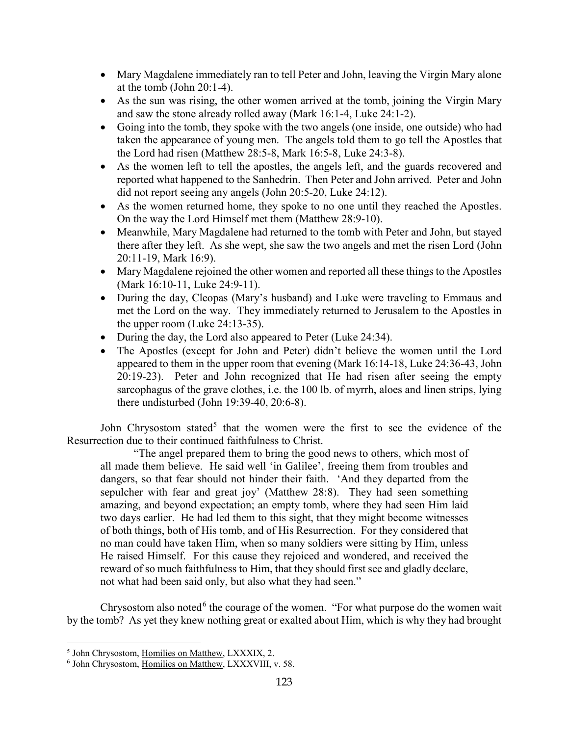- Mary Magdalene immediately ran to tell Peter and John, leaving the Virgin Mary alone at the tomb (John 20:1-4).
- As the sun was rising, the other women arrived at the tomb, joining the Virgin Mary and saw the stone already rolled away (Mark 16:1-4, Luke 24:1-2).
- Going into the tomb, they spoke with the two angels (one inside, one outside) who had taken the appearance of young men. The angels told them to go tell the Apostles that the Lord had risen (Matthew 28:5-8, Mark 16:5-8, Luke 24:3-8).
- As the women left to tell the apostles, the angels left, and the guards recovered and reported what happened to the Sanhedrin. Then Peter and John arrived. Peter and John did not report seeing any angels (John 20:5-20, Luke 24:12).
- As the women returned home, they spoke to no one until they reached the Apostles. On the way the Lord Himself met them (Matthew 28:9-10).
- Meanwhile, Mary Magdalene had returned to the tomb with Peter and John, but stayed there after they left. As she wept, she saw the two angels and met the risen Lord (John 20:11-19, Mark 16:9).
- Mary Magdalene rejoined the other women and reported all these things to the Apostles (Mark 16:10-11, Luke 24:9-11).
- During the day, Cleopas (Mary's husband) and Luke were traveling to Emmaus and met the Lord on the way. They immediately returned to Jerusalem to the Apostles in the upper room (Luke 24:13-35).
- During the day, the Lord also appeared to Peter (Luke 24:34).
- The Apostles (except for John and Peter) didn't believe the women until the Lord appeared to them in the upper room that evening (Mark 16:14-18, Luke 24:36-43, John 20:19-23). Peter and John recognized that He had risen after seeing the empty sarcophagus of the grave clothes, i.e. the 100 lb. of myrrh, aloes and linen strips, lying there undisturbed (John 19:39-40, 20:6-8).

John Chrysostom stated<sup>[5](#page-3-0)</sup> that the women were the first to see the evidence of the Resurrection due to their continued faithfulness to Christ.

"The angel prepared them to bring the good news to others, which most of all made them believe. He said well 'in Galilee', freeing them from troubles and dangers, so that fear should not hinder their faith. 'And they departed from the sepulcher with fear and great joy' (Matthew 28:8). They had seen something amazing, and beyond expectation; an empty tomb, where they had seen Him laid two days earlier. He had led them to this sight, that they might become witnesses of both things, both of His tomb, and of His Resurrection. For they considered that no man could have taken Him, when so many soldiers were sitting by Him, unless He raised Himself. For this cause they rejoiced and wondered, and received the reward of so much faithfulness to Him, that they should first see and gladly declare, not what had been said only, but also what they had seen."

Chrysostom also noted<sup>[6](#page-3-1)</sup> the courage of the women. "For what purpose do the women wait by the tomb? As yet they knew nothing great or exalted about Him, which is why they had brought

<span id="page-3-0"></span><sup>5</sup> John Chrysostom, Homilies on Matthew, LXXXIX, 2.

<span id="page-3-1"></span><sup>6</sup> John Chrysostom, Homilies on Matthew, LXXXVIII, v. 58.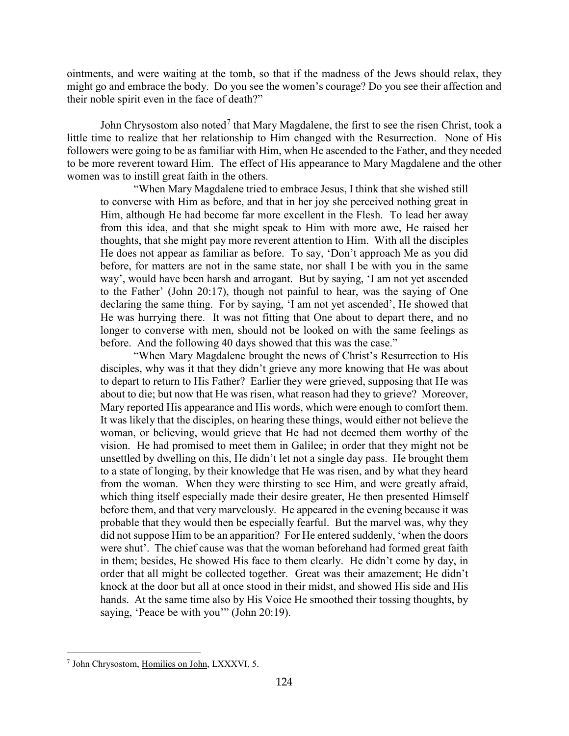ointments, and were waiting at the tomb, so that if the madness of the Jews should relax, they might go and embrace the body. Do you see the women's courage? Do you see their affection and their noble spirit even in the face of death?"

John Chrysostom also noted<sup>[7](#page-4-0)</sup> that Mary Magdalene, the first to see the risen Christ, took a little time to realize that her relationship to Him changed with the Resurrection. None of His followers were going to be as familiar with Him, when He ascended to the Father, and they needed to be more reverent toward Him. The effect of His appearance to Mary Magdalene and the other women was to instill great faith in the others.

"When Mary Magdalene tried to embrace Jesus, I think that she wished still to converse with Him as before, and that in her joy she perceived nothing great in Him, although He had become far more excellent in the Flesh. To lead her away from this idea, and that she might speak to Him with more awe, He raised her thoughts, that she might pay more reverent attention to Him. With all the disciples He does not appear as familiar as before. To say, 'Don't approach Me as you did before, for matters are not in the same state, nor shall I be with you in the same way', would have been harsh and arrogant. But by saying, 'I am not yet ascended to the Father' (John 20:17), though not painful to hear, was the saying of One declaring the same thing. For by saying, 'I am not yet ascended', He showed that He was hurrying there. It was not fitting that One about to depart there, and no longer to converse with men, should not be looked on with the same feelings as before. And the following 40 days showed that this was the case."

"When Mary Magdalene brought the news of Christ's Resurrection to His disciples, why was it that they didn't grieve any more knowing that He was about to depart to return to His Father? Earlier they were grieved, supposing that He was about to die; but now that He was risen, what reason had they to grieve? Moreover, Mary reported His appearance and His words, which were enough to comfort them. It was likely that the disciples, on hearing these things, would either not believe the woman, or believing, would grieve that He had not deemed them worthy of the vision. He had promised to meet them in Galilee; in order that they might not be unsettled by dwelling on this, He didn't let not a single day pass. He brought them to a state of longing, by their knowledge that He was risen, and by what they heard from the woman. When they were thirsting to see Him, and were greatly afraid, which thing itself especially made their desire greater, He then presented Himself before them, and that very marvelously. He appeared in the evening because it was probable that they would then be especially fearful. But the marvel was, why they did not suppose Him to be an apparition? For He entered suddenly, 'when the doors were shut'. The chief cause was that the woman beforehand had formed great faith in them; besides, He showed His face to them clearly. He didn't come by day, in order that all might be collected together. Great was their amazement; He didn't knock at the door but all at once stood in their midst, and showed His side and His hands. At the same time also by His Voice He smoothed their tossing thoughts, by saying, 'Peace be with you'" (John 20:19).

<span id="page-4-0"></span><sup>7</sup> John Chrysostom, Homilies on John, LXXXVI, 5.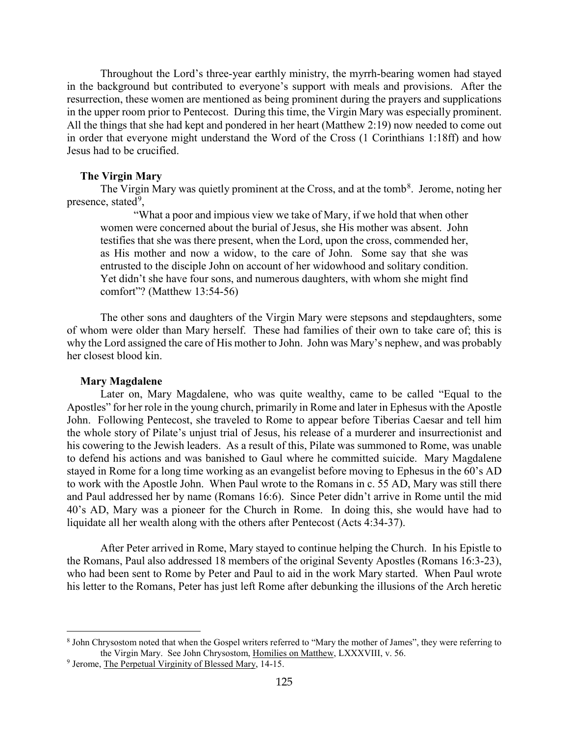Throughout the Lord's three-year earthly ministry, the myrrh-bearing women had stayed in the background but contributed to everyone's support with meals and provisions. After the resurrection, these women are mentioned as being prominent during the prayers and supplications in the upper room prior to Pentecost. During this time, the Virgin Mary was especially prominent. All the things that she had kept and pondered in her heart (Matthew 2:19) now needed to come out in order that everyone might understand the Word of the Cross (1 Corinthians 1:18ff) and how Jesus had to be crucified.

#### **The Virgin Mary**

<span id="page-5-0"></span>The Virgin Mary was quietly prominent at the Cross, and at the tomb<sup>[8](#page-5-2)</sup>. Jerome, noting her presence, stated<sup>[9](#page-5-3)</sup>,

"What a poor and impious view we take of Mary, if we hold that when other women were concerned about the burial of Jesus, she His mother was absent. John testifies that she was there present, when the Lord, upon the cross, commended her, as His mother and now a widow, to the care of John. Some say that she was entrusted to the disciple John on account of her widowhood and solitary condition. Yet didn't she have four sons, and numerous daughters, with whom she might find comfort"? (Matthew 13:54-56)

The other sons and daughters of the Virgin Mary were stepsons and stepdaughters, some of whom were older than Mary herself. These had families of their own to take care of; this is why the Lord assigned the care of His mother to John. John was Mary's nephew, and was probably her closest blood kin.

#### **Mary Magdalene**

 $\overline{a}$ 

<span id="page-5-1"></span>Later on, Mary Magdalene, who was quite wealthy, came to be called "Equal to the Apostles" for her role in the young church, primarily in Rome and later in Ephesus with the Apostle John. Following Pentecost, she traveled to Rome to appear before Tiberias Caesar and tell him the whole story of Pilate's unjust trial of Jesus, his release of a murderer and insurrectionist and his cowering to the Jewish leaders. As a result of this, Pilate was summoned to Rome, was unable to defend his actions and was banished to Gaul where he committed suicide. Mary Magdalene stayed in Rome for a long time working as an evangelist before moving to Ephesus in the 60's AD to work with the Apostle John. When Paul wrote to the Romans in c. 55 AD, Mary was still there and Paul addressed her by name (Romans 16:6). Since Peter didn't arrive in Rome until the mid 40's AD, Mary was a pioneer for the Church in Rome. In doing this, she would have had to liquidate all her wealth along with the others after Pentecost (Acts 4:34-37).

After Peter arrived in Rome, Mary stayed to continue helping the Church. In his Epistle to the Romans, Paul also addressed 18 members of the original Seventy Apostles (Romans 16:3-23), who had been sent to Rome by Peter and Paul to aid in the work Mary started. When Paul wrote his letter to the Romans, Peter has just left Rome after debunking the illusions of the Arch heretic

<span id="page-5-2"></span><sup>8</sup> John Chrysostom noted that when the Gospel writers referred to "Mary the mother of James", they were referring to the Virgin Mary. See John Chrysostom, Homilies on Matthew, LXXXVIII, v. 56.

<span id="page-5-3"></span><sup>9</sup> Jerome, The Perpetual Virginity of Blessed Mary, 14-15.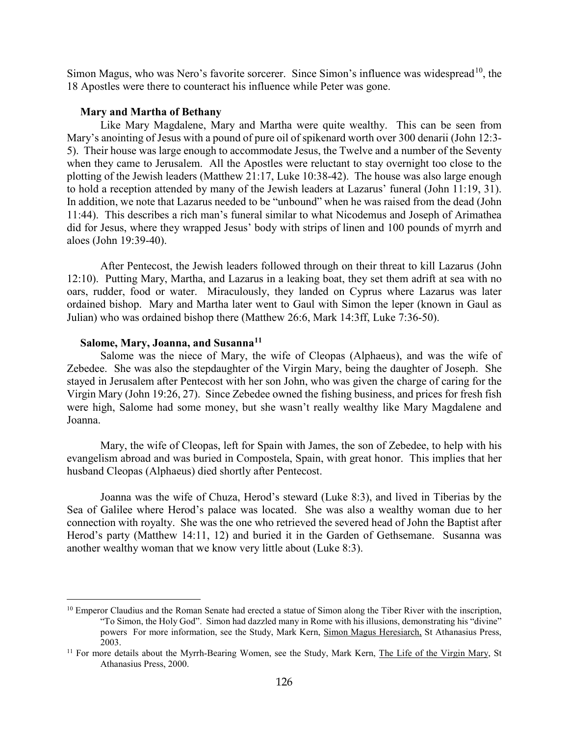Simon Magus, who was Nero's favorite sorcerer. Since Simon's influence was widespread<sup>10</sup>, the 18 Apostles were there to counteract his influence while Peter was gone.

#### **Mary and Martha of Bethany**

<span id="page-6-0"></span>Like Mary Magdalene, Mary and Martha were quite wealthy. This can be seen from Mary's anointing of Jesus with a pound of pure oil of spikenard worth over 300 denarii (John 12:3- 5). Their house was large enough to accommodate Jesus, the Twelve and a number of the Seventy when they came to Jerusalem. All the Apostles were reluctant to stay overnight too close to the plotting of the Jewish leaders (Matthew 21:17, Luke 10:38-42). The house was also large enough to hold a reception attended by many of the Jewish leaders at Lazarus' funeral (John 11:19, 31). In addition, we note that Lazarus needed to be "unbound" when he was raised from the dead (John 11:44). This describes a rich man's funeral similar to what Nicodemus and Joseph of Arimathea did for Jesus, where they wrapped Jesus' body with strips of linen and 100 pounds of myrrh and aloes (John 19:39-40).

After Pentecost, the Jewish leaders followed through on their threat to kill Lazarus (John 12:10). Putting Mary, Martha, and Lazarus in a leaking boat, they set them adrift at sea with no oars, rudder, food or water. Miraculously, they landed on Cyprus where Lazarus was later ordained bishop. Mary and Martha later went to Gaul with Simon the leper (known in Gaul as Julian) who was ordained bishop there (Matthew 26:6, Mark 14:3ff, Luke 7:36-50).

### **Salome, Mary, Joanna, and Susanna[11](#page-6-3)**

 $\overline{a}$ 

<span id="page-6-1"></span>Salome was the niece of Mary, the wife of Cleopas (Alphaeus), and was the wife of Zebedee. She was also the stepdaughter of the Virgin Mary, being the daughter of Joseph. She stayed in Jerusalem after Pentecost with her son John, who was given the charge of caring for the Virgin Mary (John 19:26, 27). Since Zebedee owned the fishing business, and prices for fresh fish were high, Salome had some money, but she wasn't really wealthy like Mary Magdalene and Joanna.

Mary, the wife of Cleopas, left for Spain with James, the son of Zebedee, to help with his evangelism abroad and was buried in Compostela, Spain, with great honor. This implies that her husband Cleopas (Alphaeus) died shortly after Pentecost.

Joanna was the wife of Chuza, Herod's steward (Luke 8:3), and lived in Tiberias by the Sea of Galilee where Herod's palace was located. She was also a wealthy woman due to her connection with royalty. She was the one who retrieved the severed head of John the Baptist after Herod's party (Matthew 14:11, 12) and buried it in the Garden of Gethsemane. Susanna was another wealthy woman that we know very little about (Luke 8:3).

<span id="page-6-2"></span> $10$  Emperor Claudius and the Roman Senate had erected a statue of Simon along the Tiber River with the inscription, "To Simon, the Holy God". Simon had dazzled many in Rome with his illusions, demonstrating his "divine" powers For more information, see the Study, Mark Kern, Simon Magus Heresiarch, St Athanasius Press, 2003.

<span id="page-6-3"></span><sup>&</sup>lt;sup>11</sup> For more details about the Myrrh-Bearing Women, see the Study, Mark Kern, The Life of the Virgin Mary, St Athanasius Press, 2000.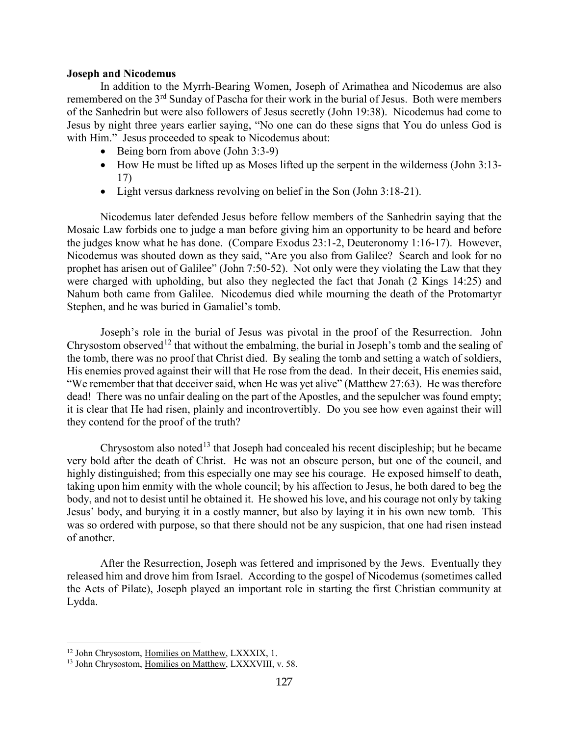#### <span id="page-7-0"></span>**Joseph and Nicodemus**

In addition to the Myrrh-Bearing Women, Joseph of Arimathea and Nicodemus are also remembered on the 3<sup>rd</sup> Sunday of Pascha for their work in the burial of Jesus. Both were members of the Sanhedrin but were also followers of Jesus secretly (John 19:38). Nicodemus had come to Jesus by night three years earlier saying, "No one can do these signs that You do unless God is with Him." Jesus proceeded to speak to Nicodemus about:

- Being born from above (John 3:3-9)
- How He must be lifted up as Moses lifted up the serpent in the wilderness (John 3:13-17)
- Light versus darkness revolving on belief in the Son (John 3:18-21).

Nicodemus later defended Jesus before fellow members of the Sanhedrin saying that the Mosaic Law forbids one to judge a man before giving him an opportunity to be heard and before the judges know what he has done. (Compare Exodus 23:1-2, Deuteronomy 1:16-17). However, Nicodemus was shouted down as they said, "Are you also from Galilee? Search and look for no prophet has arisen out of Galilee" (John 7:50-52). Not only were they violating the Law that they were charged with upholding, but also they neglected the fact that Jonah (2 Kings 14:25) and Nahum both came from Galilee. Nicodemus died while mourning the death of the Protomartyr Stephen, and he was buried in Gamaliel's tomb.

Joseph's role in the burial of Jesus was pivotal in the proof of the Resurrection. John Chrysostom observed<sup>[12](#page-7-1)</sup> that without the embalming, the burial in Joseph's tomb and the sealing of the tomb, there was no proof that Christ died. By sealing the tomb and setting a watch of soldiers, His enemies proved against their will that He rose from the dead. In their deceit, His enemies said, "We remember that that deceiver said, when He was yet alive" (Matthew 27:63). He was therefore dead! There was no unfair dealing on the part of the Apostles, and the sepulcher was found empty; it is clear that He had risen, plainly and incontrovertibly. Do you see how even against their will they contend for the proof of the truth?

Chrysostom also noted<sup>[13](#page-7-2)</sup> that Joseph had concealed his recent discipleship; but he became very bold after the death of Christ. He was not an obscure person, but one of the council, and highly distinguished; from this especially one may see his courage. He exposed himself to death, taking upon him enmity with the whole council; by his affection to Jesus, he both dared to beg the body, and not to desist until he obtained it. He showed his love, and his courage not only by taking Jesus' body, and burying it in a costly manner, but also by laying it in his own new tomb. This was so ordered with purpose, so that there should not be any suspicion, that one had risen instead of another.

After the Resurrection, Joseph was fettered and imprisoned by the Jews. Eventually they released him and drove him from Israel. According to the gospel of Nicodemus (sometimes called the Acts of Pilate), Joseph played an important role in starting the first Christian community at Lydda.

<span id="page-7-1"></span><sup>&</sup>lt;sup>12</sup> John Chrysostom, Homilies on Matthew, LXXXIX, 1.

<span id="page-7-2"></span><sup>13</sup> John Chrysostom, Homilies on Matthew, LXXXVIII, v. 58.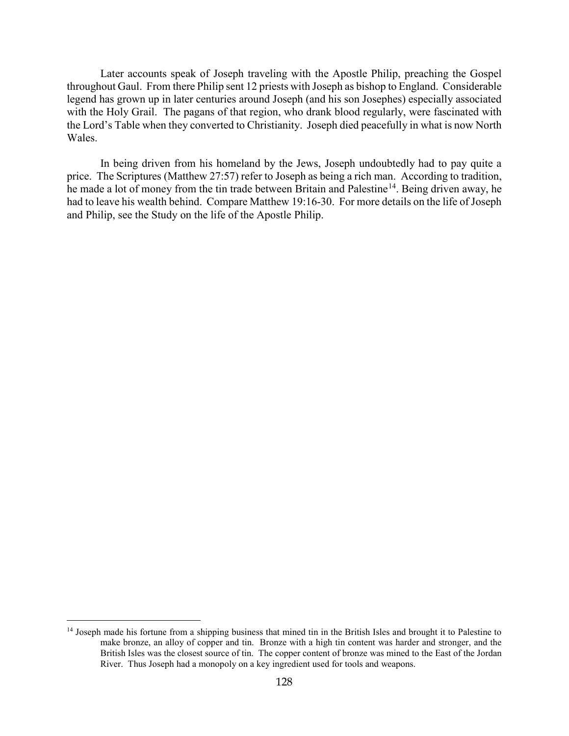Later accounts speak of Joseph traveling with the Apostle Philip, preaching the Gospel throughout Gaul. From there Philip sent 12 priests with Joseph as bishop to England. Considerable legend has grown up in later centuries around Joseph (and his son Josephes) especially associated with the Holy Grail. The pagans of that region, who drank blood regularly, were fascinated with the Lord's Table when they converted to Christianity. Joseph died peacefully in what is now North Wales.

In being driven from his homeland by the Jews, Joseph undoubtedly had to pay quite a price. The Scriptures (Matthew 27:57) refer to Joseph as being a rich man. According to tradition, he made a lot of money from the tin trade between Britain and Palestine<sup>[14](#page-8-0)</sup>. Being driven away, he had to leave his wealth behind. Compare Matthew 19:16-30. For more details on the life of Joseph and Philip, see the Study on the life of the Apostle Philip.

<span id="page-8-0"></span><sup>&</sup>lt;sup>14</sup> Joseph made his fortune from a shipping business that mined tin in the British Isles and brought it to Palestine to make bronze, an alloy of copper and tin. Bronze with a high tin content was harder and stronger, and the British Isles was the closest source of tin. The copper content of bronze was mined to the East of the Jordan River. Thus Joseph had a monopoly on a key ingredient used for tools and weapons.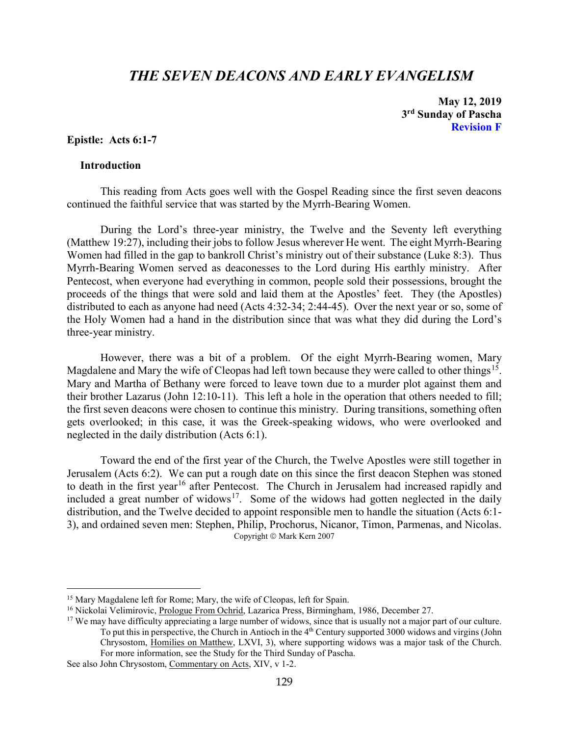## *THE SEVEN DEACONS AND EARLY EVANGELISM*

**May 12, 2019 3rd Sunday of Pascha Revision F**

## <span id="page-9-0"></span>**Epistle: Acts 6:1-7**

## <span id="page-9-1"></span>**Introduction**

 $\overline{a}$ 

This reading from Acts goes well with the Gospel Reading since the first seven deacons continued the faithful service that was started by the Myrrh-Bearing Women.

During the Lord's three-year ministry, the Twelve and the Seventy left everything (Matthew 19:27), including their jobs to follow Jesus wherever He went. The eight Myrrh-Bearing Women had filled in the gap to bankroll Christ's ministry out of their substance (Luke 8:3). Thus Myrrh-Bearing Women served as deaconesses to the Lord during His earthly ministry. After Pentecost, when everyone had everything in common, people sold their possessions, brought the proceeds of the things that were sold and laid them at the Apostles' feet. They (the Apostles) distributed to each as anyone had need (Acts 4:32-34; 2:44-45). Over the next year or so, some of the Holy Women had a hand in the distribution since that was what they did during the Lord's three-year ministry.

However, there was a bit of a problem. Of the eight Myrrh-Bearing women, Mary Magdalene and Mary the wife of Cleopas had left town because they were called to other things<sup>[15](#page-9-2)</sup>. Mary and Martha of Bethany were forced to leave town due to a murder plot against them and their brother Lazarus (John 12:10-11). This left a hole in the operation that others needed to fill; the first seven deacons were chosen to continue this ministry. During transitions, something often gets overlooked; in this case, it was the Greek-speaking widows, who were overlooked and neglected in the daily distribution (Acts 6:1).

Toward the end of the first year of the Church, the Twelve Apostles were still together in Jerusalem (Acts 6:2). We can put a rough date on this since the first deacon Stephen was stoned to death in the first year<sup>[16](#page-9-3)</sup> after Pentecost. The Church in Jerusalem had increased rapidly and included a great number of widows<sup>17</sup>. Some of the widows had gotten neglected in the daily distribution, and the Twelve decided to appoint responsible men to handle the situation (Acts 6:1- 3), and ordained seven men: Stephen, Philip, Prochorus, Nicanor, Timon, Parmenas, and Nicolas. Copyright © Mark Kern 2007

<span id="page-9-2"></span><sup>&</sup>lt;sup>15</sup> Mary Magdalene left for Rome; Mary, the wife of Cleopas, left for Spain.

<span id="page-9-3"></span><sup>&</sup>lt;sup>16</sup> Nickolai Velimirovic, Prologue From Ochrid, Lazarica Press, Birmingham, 1986, December 27.

<span id="page-9-4"></span><sup>&</sup>lt;sup>17</sup> We may have difficulty appreciating a large number of widows, since that is usually not a major part of our culture. To put this in perspective, the Church in Antioch in the 4<sup>th</sup> Century supported 3000 widows and virgins (John Chrysostom, Homilies on Matthew, LXVI, 3), where supporting widows was a major task of the Church. For more information, see the Study for the Third Sunday of Pascha.

See also John Chrysostom, Commentary on Acts, XIV, v 1-2.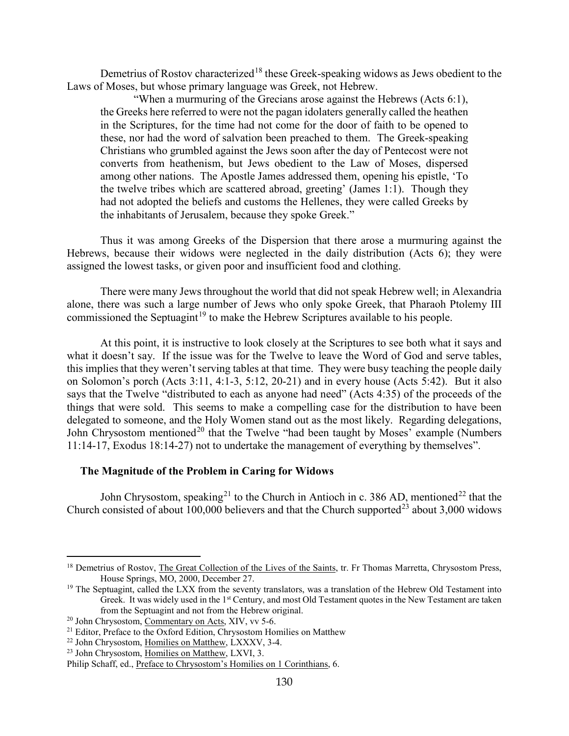Demetrius of Rostov characterized<sup>[18](#page-10-1)</sup> these Greek-speaking widows as Jews obedient to the Laws of Moses, but whose primary language was Greek, not Hebrew.

"When a murmuring of the Grecians arose against the Hebrews (Acts 6:1), the Greeks here referred to were not the pagan idolaters generally called the heathen in the Scriptures, for the time had not come for the door of faith to be opened to these, nor had the word of salvation been preached to them. The Greek-speaking Christians who grumbled against the Jews soon after the day of Pentecost were not converts from heathenism, but Jews obedient to the Law of Moses, dispersed among other nations. The Apostle James addressed them, opening his epistle, 'To the twelve tribes which are scattered abroad, greeting' (James 1:1). Though they had not adopted the beliefs and customs the Hellenes, they were called Greeks by the inhabitants of Jerusalem, because they spoke Greek."

Thus it was among Greeks of the Dispersion that there arose a murmuring against the Hebrews, because their widows were neglected in the daily distribution (Acts 6); they were assigned the lowest tasks, or given poor and insufficient food and clothing.

There were many Jews throughout the world that did not speak Hebrew well; in Alexandria alone, there was such a large number of Jews who only spoke Greek, that Pharaoh Ptolemy III commissioned the Septuagint<sup>[19](#page-10-2)</sup> to make the Hebrew Scriptures available to his people.

At this point, it is instructive to look closely at the Scriptures to see both what it says and what it doesn't say. If the issue was for the Twelve to leave the Word of God and serve tables, this implies that they weren't serving tables at that time. They were busy teaching the people daily on Solomon's porch (Acts 3:11, 4:1-3, 5:12, 20-21) and in every house (Acts 5:42). But it also says that the Twelve "distributed to each as anyone had need" (Acts 4:35) of the proceeds of the things that were sold. This seems to make a compelling case for the distribution to have been delegated to someone, and the Holy Women stand out as the most likely. Regarding delegations, John Chrysostom mentioned<sup>[20](#page-10-3)</sup> that the Twelve "had been taught by Moses' example (Numbers 11:14-17, Exodus 18:14-27) not to undertake the management of everything by themselves".

## <span id="page-10-0"></span>**The Magnitude of the Problem in Caring for Widows**

John Chrysostom, speaking<sup>[21](#page-10-4)</sup> to the Church in Antioch in c. 386 AD, mentioned<sup>[22](#page-10-5)</sup> that the Church consisted of about 100,000 believers and that the Church supported<sup>[23](#page-10-6)</sup> about 3,000 widows

<span id="page-10-1"></span><sup>&</sup>lt;sup>18</sup> Demetrius of Rostov, The Great Collection of the Lives of the Saints, tr. Fr Thomas Marretta, Chrysostom Press, House Springs, MO, 2000, December 27.

<span id="page-10-2"></span> $19$  The Septuagint, called the LXX from the seventy translators, was a translation of the Hebrew Old Testament into Greek. It was widely used in the 1st Century, and most Old Testament quotes in the New Testament are taken from the Septuagint and not from the Hebrew original.

<span id="page-10-3"></span> $20$  John Chrysostom, Commentary on Acts, XIV, vv 5-6.

<span id="page-10-4"></span><sup>&</sup>lt;sup>21</sup> Editor, Preface to the Oxford Edition, Chrysostom Homilies on Matthew

<span id="page-10-5"></span><sup>22</sup> John Chrysostom, Homilies on Matthew, LXXXV, 3-4.

<span id="page-10-6"></span><sup>&</sup>lt;sup>23</sup> John Chrysostom, Homilies on Matthew, LXVI, 3.

Philip Schaff, ed., Preface to Chrysostom's Homilies on 1 Corinthians, 6.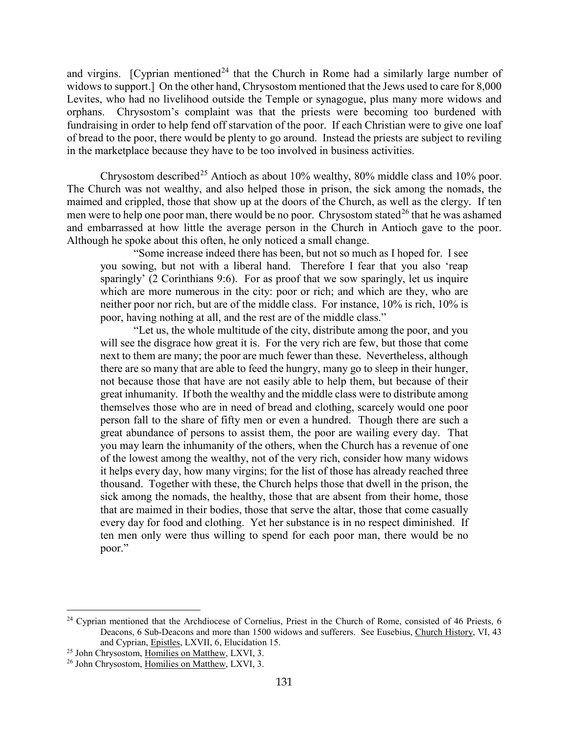and virgins. [Cyprian mentioned<sup>[24](#page-11-0)</sup> that the Church in Rome had a similarly large number of widows to support.] On the other hand, Chrysostom mentioned that the Jews used to care for 8,000 Levites, who had no livelihood outside the Temple or synagogue, plus many more widows and orphans. Chrysostom's complaint was that the priests were becoming too burdened with fundraising in order to help fend off starvation of the poor. If each Christian were to give one loaf of bread to the poor, there would be plenty to go around. Instead the priests are subject to reviling in the marketplace because they have to be too involved in business activities.

Chrysostom described<sup>[25](#page-11-1)</sup> Antioch as about  $10\%$  wealthy,  $80\%$  middle class and  $10\%$  poor. The Church was not wealthy, and also helped those in prison, the sick among the nomads, the maimed and crippled, those that show up at the doors of the Church, as well as the clergy. If ten men were to help one poor man, there would be no poor. Chrysostom stated<sup>[26](#page-11-2)</sup> that he was ashamed and embarrassed at how little the average person in the Church in Antioch gave to the poor. Although he spoke about this often, he only noticed a small change.

"Some increase indeed there has been, but not so much as I hoped for. I see you sowing, but not with a liberal hand. Therefore I fear that you also 'reap sparingly' (2 Corinthians 9:6). For as proof that we sow sparingly, let us inquire which are more numerous in the city: poor or rich; and which are they, who are neither poor nor rich, but are of the middle class. For instance, 10% is rich, 10% is poor, having nothing at all, and the rest are of the middle class."

"Let us, the whole multitude of the city, distribute among the poor, and you will see the disgrace how great it is. For the very rich are few, but those that come next to them are many; the poor are much fewer than these. Nevertheless, although there are so many that are able to feed the hungry, many go to sleep in their hunger, not because those that have are not easily able to help them, but because of their great inhumanity. If both the wealthy and the middle class were to distribute among themselves those who are in need of bread and clothing, scarcely would one poor person fall to the share of fifty men or even a hundred. Though there are such a great abundance of persons to assist them, the poor are wailing every day. That you may learn the inhumanity of the others, when the Church has a revenue of one of the lowest among the wealthy, not of the very rich, consider how many widows it helps every day, how many virgins; for the list of those has already reached three thousand. Together with these, the Church helps those that dwell in the prison, the sick among the nomads, the healthy, those that are absent from their home, those that are maimed in their bodies, those that serve the altar, those that come casually every day for food and clothing. Yet her substance is in no respect diminished. If ten men only were thus willing to spend for each poor man, there would be no poor."

<span id="page-11-0"></span> $24$  Cyprian mentioned that the Archdiocese of Cornelius, Priest in the Church of Rome, consisted of 46 Priests, 6 Deacons, 6 Sub-Deacons and more than 1500 widows and sufferers. See Eusebius, Church History, VI, 43 and Cyprian, Epistles, LXVII, 6, Elucidation 15.

<span id="page-11-1"></span><sup>&</sup>lt;sup>25</sup> John Chrysostom, Homilies on Matthew, LXVI, 3.

<span id="page-11-2"></span><sup>&</sup>lt;sup>26</sup> John Chrysostom, Homilies on Matthew, LXVI, 3.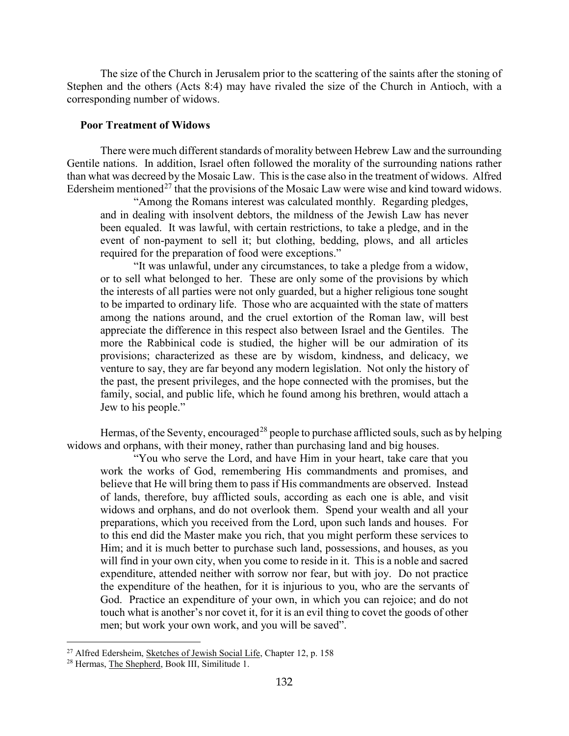The size of the Church in Jerusalem prior to the scattering of the saints after the stoning of Stephen and the others (Acts 8:4) may have rivaled the size of the Church in Antioch, with a corresponding number of widows.

## <span id="page-12-0"></span>**Poor Treatment of Widows**

There were much different standards of morality between Hebrew Law and the surrounding Gentile nations. In addition, Israel often followed the morality of the surrounding nations rather than what was decreed by the Mosaic Law. This is the case also in the treatment of widows. Alfred Edersheim mentioned<sup>[27](#page-12-1)</sup> that the provisions of the Mosaic Law were wise and kind toward widows.

"Among the Romans interest was calculated monthly. Regarding pledges, and in dealing with insolvent debtors, the mildness of the Jewish Law has never been equaled. It was lawful, with certain restrictions, to take a pledge, and in the event of non-payment to sell it; but clothing, bedding, plows, and all articles required for the preparation of food were exceptions."

"It was unlawful, under any circumstances, to take a pledge from a widow, or to sell what belonged to her. These are only some of the provisions by which the interests of all parties were not only guarded, but a higher religious tone sought to be imparted to ordinary life. Those who are acquainted with the state of matters among the nations around, and the cruel extortion of the Roman law, will best appreciate the difference in this respect also between Israel and the Gentiles. The more the Rabbinical code is studied, the higher will be our admiration of its provisions; characterized as these are by wisdom, kindness, and delicacy, we venture to say, they are far beyond any modern legislation. Not only the history of the past, the present privileges, and the hope connected with the promises, but the family, social, and public life, which he found among his brethren, would attach a Jew to his people."

Hermas, of the Seventy, encouraged<sup>[28](#page-12-2)</sup> people to purchase afflicted souls, such as by helping widows and orphans, with their money, rather than purchasing land and big houses.

"You who serve the Lord, and have Him in your heart, take care that you work the works of God, remembering His commandments and promises, and believe that He will bring them to pass if His commandments are observed. Instead of lands, therefore, buy afflicted souls, according as each one is able, and visit widows and orphans, and do not overlook them. Spend your wealth and all your preparations, which you received from the Lord, upon such lands and houses. For to this end did the Master make you rich, that you might perform these services to Him; and it is much better to purchase such land, possessions, and houses, as you will find in your own city, when you come to reside in it. This is a noble and sacred expenditure, attended neither with sorrow nor fear, but with joy. Do not practice the expenditure of the heathen, for it is injurious to you, who are the servants of God. Practice an expenditure of your own, in which you can rejoice; and do not touch what is another's nor covet it, for it is an evil thing to covet the goods of other men; but work your own work, and you will be saved".

<span id="page-12-1"></span><sup>&</sup>lt;sup>27</sup> Alfred Edersheim, Sketches of Jewish Social Life, Chapter 12, p. 158

<span id="page-12-2"></span><sup>28</sup> Hermas, The Shepherd, Book III, Similitude 1.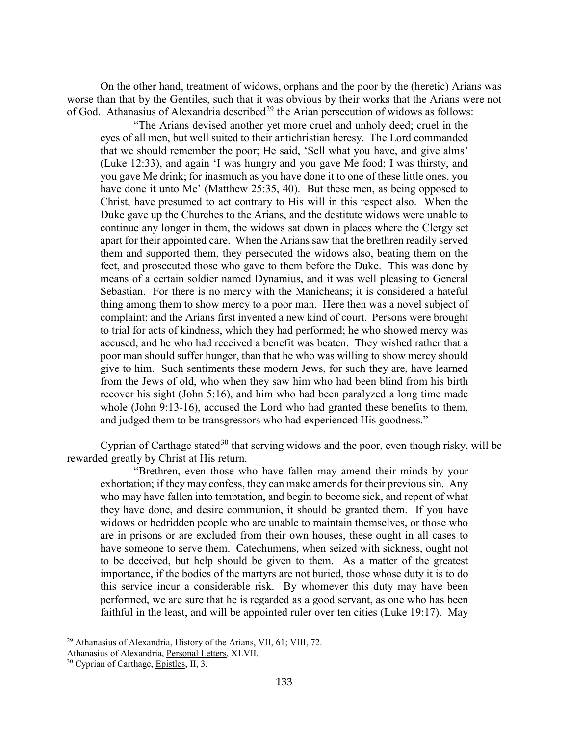On the other hand, treatment of widows, orphans and the poor by the (heretic) Arians was worse than that by the Gentiles, such that it was obvious by their works that the Arians were not of God. Athanasius of Alexandria described<sup>[29](#page-13-0)</sup> the Arian persecution of widows as follows:

"The Arians devised another yet more cruel and unholy deed; cruel in the eyes of all men, but well suited to their antichristian heresy. The Lord commanded that we should remember the poor; He said, 'Sell what you have, and give alms' (Luke 12:33), and again 'I was hungry and you gave Me food; I was thirsty, and you gave Me drink; for inasmuch as you have done it to one of these little ones, you have done it unto Me' (Matthew 25:35, 40). But these men, as being opposed to Christ, have presumed to act contrary to His will in this respect also. When the Duke gave up the Churches to the Arians, and the destitute widows were unable to continue any longer in them, the widows sat down in places where the Clergy set apart for their appointed care. When the Arians saw that the brethren readily served them and supported them, they persecuted the widows also, beating them on the feet, and prosecuted those who gave to them before the Duke. This was done by means of a certain soldier named Dynamius, and it was well pleasing to General Sebastian. For there is no mercy with the Manicheans; it is considered a hateful thing among them to show mercy to a poor man. Here then was a novel subject of complaint; and the Arians first invented a new kind of court. Persons were brought to trial for acts of kindness, which they had performed; he who showed mercy was accused, and he who had received a benefit was beaten. They wished rather that a poor man should suffer hunger, than that he who was willing to show mercy should give to him. Such sentiments these modern Jews, for such they are, have learned from the Jews of old, who when they saw him who had been blind from his birth recover his sight (John 5:16), and him who had been paralyzed a long time made whole (John 9:13-16), accused the Lord who had granted these benefits to them, and judged them to be transgressors who had experienced His goodness."

Cyprian of Carthage stated<sup>[30](#page-13-1)</sup> that serving widows and the poor, even though risky, will be rewarded greatly by Christ at His return.

"Brethren, even those who have fallen may amend their minds by your exhortation; if they may confess, they can make amends for their previous sin. Any who may have fallen into temptation, and begin to become sick, and repent of what they have done, and desire communion, it should be granted them. If you have widows or bedridden people who are unable to maintain themselves, or those who are in prisons or are excluded from their own houses, these ought in all cases to have someone to serve them. Catechumens, when seized with sickness, ought not to be deceived, but help should be given to them. As a matter of the greatest importance, if the bodies of the martyrs are not buried, those whose duty it is to do this service incur a considerable risk. By whomever this duty may have been performed, we are sure that he is regarded as a good servant, as one who has been faithful in the least, and will be appointed ruler over ten cities (Luke 19:17). May

<span id="page-13-0"></span><sup>&</sup>lt;sup>29</sup> Athanasius of Alexandria, History of the Arians, VII, 61; VIII, 72.

Athanasius of Alexandria, Personal Letters, XLVII.

<span id="page-13-1"></span><sup>&</sup>lt;sup>30</sup> Cyprian of Carthage, Epistles, II, 3.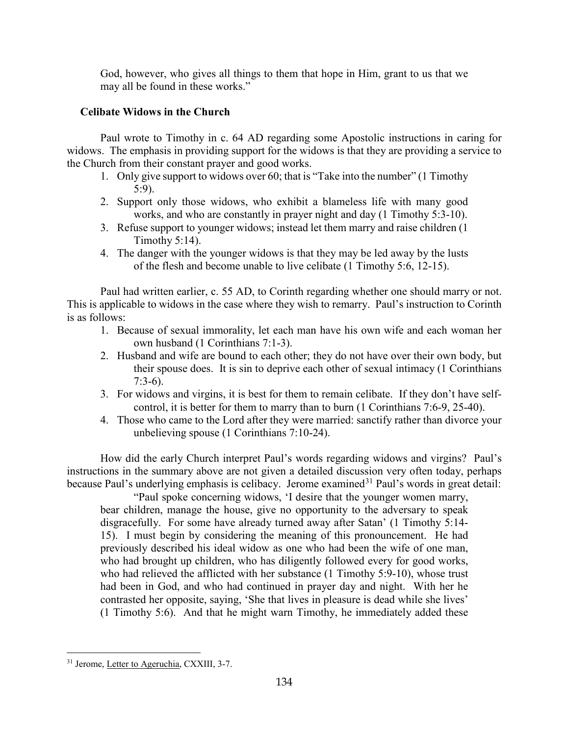God, however, who gives all things to them that hope in Him, grant to us that we may all be found in these works."

## <span id="page-14-0"></span>**Celibate Widows in the Church**

Paul wrote to Timothy in c. 64 AD regarding some Apostolic instructions in caring for widows. The emphasis in providing support for the widows is that they are providing a service to the Church from their constant prayer and good works.

- 1. Only give support to widows over 60; that is "Take into the number" (1 Timothy 5:9).
- 2. Support only those widows, who exhibit a blameless life with many good works, and who are constantly in prayer night and day (1 Timothy 5:3-10).
- 3. Refuse support to younger widows; instead let them marry and raise children (1 Timothy 5:14).
- 4. The danger with the younger widows is that they may be led away by the lusts of the flesh and become unable to live celibate (1 Timothy 5:6, 12-15).

Paul had written earlier, c. 55 AD, to Corinth regarding whether one should marry or not. This is applicable to widows in the case where they wish to remarry. Paul's instruction to Corinth is as follows:

- 1. Because of sexual immorality, let each man have his own wife and each woman her own husband (1 Corinthians 7:1-3).
- 2. Husband and wife are bound to each other; they do not have over their own body, but their spouse does. It is sin to deprive each other of sexual intimacy (1 Corinthians 7:3-6).
- 3. For widows and virgins, it is best for them to remain celibate. If they don't have selfcontrol, it is better for them to marry than to burn (1 Corinthians 7:6-9, 25-40).
- 4. Those who came to the Lord after they were married: sanctify rather than divorce your unbelieving spouse (1 Corinthians 7:10-24).

How did the early Church interpret Paul's words regarding widows and virgins? Paul's instructions in the summary above are not given a detailed discussion very often today, perhaps because Paul's underlying emphasis is celibacy. Jerome examined<sup>[31](#page-14-1)</sup> Paul's words in great detail:

"Paul spoke concerning widows, 'I desire that the younger women marry, bear children, manage the house, give no opportunity to the adversary to speak disgracefully. For some have already turned away after Satan' (1 Timothy 5:14- 15). I must begin by considering the meaning of this pronouncement. He had previously described his ideal widow as one who had been the wife of one man, who had brought up children, who has diligently followed every for good works, who had relieved the afflicted with her substance (1 Timothy 5:9-10), whose trust had been in God, and who had continued in prayer day and night. With her he contrasted her opposite, saying, 'She that lives in pleasure is dead while she lives' (1 Timothy 5:6). And that he might warn Timothy, he immediately added these

<span id="page-14-1"></span> $\overline{a}$ <sup>31</sup> Jerome, Letter to Ageruchia, CXXIII, 3-7.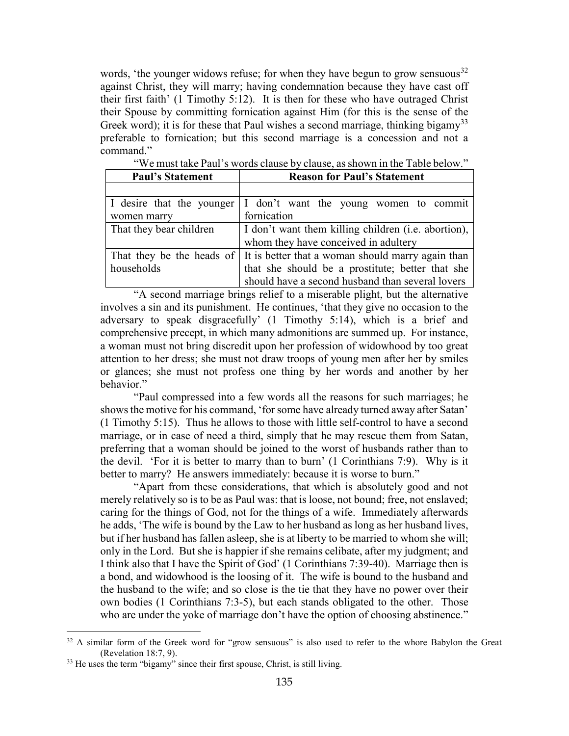words, 'the younger widows refuse; for when they have begun to grow sensuous<sup>[32](#page-15-0)</sup> against Christ, they will marry; having condemnation because they have cast off their first faith' (1 Timothy 5:12). It is then for these who have outraged Christ their Spouse by committing fornication against Him (for this is the sense of the Greek word); it is for these that Paul wishes a second marriage, thinking bigamy<sup>[33](#page-15-1)</sup> preferable to fornication; but this second marriage is a concession and not a command."

| <b>Paul's Statement</b>   | <b>Reason for Paul's Statement</b>                  |  |
|---------------------------|-----------------------------------------------------|--|
|                           |                                                     |  |
| I desire that the younger | I don't want the young women to commit              |  |
| women marry               | fornication                                         |  |
| That they bear children   | I don't want them killing children (i.e. abortion), |  |
|                           | whom they have conceived in adultery                |  |
| That they be the heads of | It is better that a woman should marry again than   |  |
| households                | that she should be a prostitute; better that she    |  |
|                           | should have a second husband than several lovers    |  |

"We must take Paul's words clause by clause, as shown in the Table below."

"A second marriage brings relief to a miserable plight, but the alternative involves a sin and its punishment. He continues, 'that they give no occasion to the adversary to speak disgracefully' (1 Timothy 5:14), which is a brief and comprehensive precept, in which many admonitions are summed up. For instance, a woman must not bring discredit upon her profession of widowhood by too great attention to her dress; she must not draw troops of young men after her by smiles or glances; she must not profess one thing by her words and another by her behavior."

"Paul compressed into a few words all the reasons for such marriages; he shows the motive for his command, 'for some have already turned away after Satan' (1 Timothy 5:15). Thus he allows to those with little self-control to have a second marriage, or in case of need a third, simply that he may rescue them from Satan, preferring that a woman should be joined to the worst of husbands rather than to the devil. 'For it is better to marry than to burn' (1 Corinthians 7:9). Why is it better to marry? He answers immediately: because it is worse to burn."

"Apart from these considerations, that which is absolutely good and not merely relatively so is to be as Paul was: that is loose, not bound; free, not enslaved; caring for the things of God, not for the things of a wife. Immediately afterwards he adds, 'The wife is bound by the Law to her husband as long as her husband lives, but if her husband has fallen asleep, she is at liberty to be married to whom she will; only in the Lord. But she is happier if she remains celibate, after my judgment; and I think also that I have the Spirit of God' (1 Corinthians 7:39-40). Marriage then is a bond, and widowhood is the loosing of it. The wife is bound to the husband and the husband to the wife; and so close is the tie that they have no power over their own bodies (1 Corinthians 7:3-5), but each stands obligated to the other. Those who are under the yoke of marriage don't have the option of choosing abstinence."

<span id="page-15-0"></span><sup>&</sup>lt;sup>32</sup> A similar form of the Greek word for "grow sensuous" is also used to refer to the whore Babylon the Great (Revelation 18:7, 9).

<span id="page-15-1"></span><sup>&</sup>lt;sup>33</sup> He uses the term "bigamy" since their first spouse, Christ, is still living.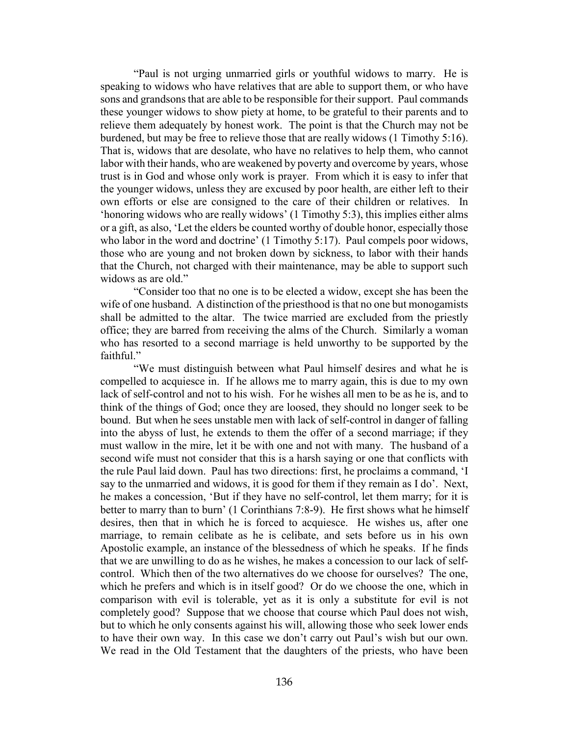"Paul is not urging unmarried girls or youthful widows to marry. He is speaking to widows who have relatives that are able to support them, or who have sons and grandsons that are able to be responsible for their support. Paul commands these younger widows to show piety at home, to be grateful to their parents and to relieve them adequately by honest work. The point is that the Church may not be burdened, but may be free to relieve those that are really widows (1 Timothy 5:16). That is, widows that are desolate, who have no relatives to help them, who cannot labor with their hands, who are weakened by poverty and overcome by years, whose trust is in God and whose only work is prayer. From which it is easy to infer that the younger widows, unless they are excused by poor health, are either left to their own efforts or else are consigned to the care of their children or relatives. In 'honoring widows who are really widows' (1 Timothy 5:3), this implies either alms or a gift, as also, 'Let the elders be counted worthy of double honor, especially those who labor in the word and doctrine' (1 Timothy 5:17). Paul compels poor widows, those who are young and not broken down by sickness, to labor with their hands that the Church, not charged with their maintenance, may be able to support such widows as are old."

"Consider too that no one is to be elected a widow, except she has been the wife of one husband. A distinction of the priesthood is that no one but monogamists shall be admitted to the altar. The twice married are excluded from the priestly office; they are barred from receiving the alms of the Church. Similarly a woman who has resorted to a second marriage is held unworthy to be supported by the faithful."

"We must distinguish between what Paul himself desires and what he is compelled to acquiesce in. If he allows me to marry again, this is due to my own lack of self-control and not to his wish. For he wishes all men to be as he is, and to think of the things of God; once they are loosed, they should no longer seek to be bound. But when he sees unstable men with lack of self-control in danger of falling into the abyss of lust, he extends to them the offer of a second marriage; if they must wallow in the mire, let it be with one and not with many. The husband of a second wife must not consider that this is a harsh saying or one that conflicts with the rule Paul laid down. Paul has two directions: first, he proclaims a command, 'I say to the unmarried and widows, it is good for them if they remain as I do'. Next, he makes a concession, 'But if they have no self-control, let them marry; for it is better to marry than to burn' (1 Corinthians 7:8-9). He first shows what he himself desires, then that in which he is forced to acquiesce. He wishes us, after one marriage, to remain celibate as he is celibate, and sets before us in his own Apostolic example, an instance of the blessedness of which he speaks. If he finds that we are unwilling to do as he wishes, he makes a concession to our lack of selfcontrol. Which then of the two alternatives do we choose for ourselves? The one, which he prefers and which is in itself good? Or do we choose the one, which in comparison with evil is tolerable, yet as it is only a substitute for evil is not completely good? Suppose that we choose that course which Paul does not wish, but to which he only consents against his will, allowing those who seek lower ends to have their own way. In this case we don't carry out Paul's wish but our own. We read in the Old Testament that the daughters of the priests, who have been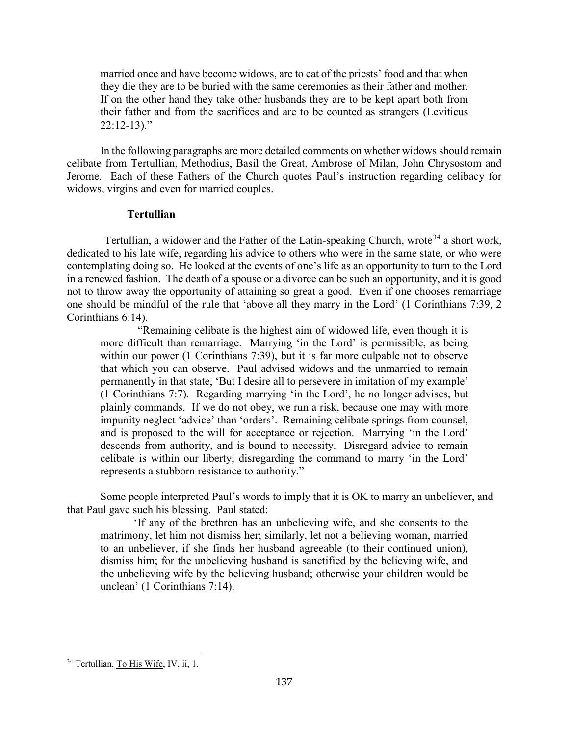married once and have become widows, are to eat of the priests' food and that when they die they are to be buried with the same ceremonies as their father and mother. If on the other hand they take other husbands they are to be kept apart both from their father and from the sacrifices and are to be counted as strangers (Leviticus  $22:12-13$ )."

In the following paragraphs are more detailed comments on whether widows should remain celibate from Tertullian, Methodius, Basil the Great, Ambrose of Milan, John Chrysostom and Jerome. Each of these Fathers of the Church quotes Paul's instruction regarding celibacy for widows, virgins and even for married couples.

## **Tertullian**

<span id="page-17-0"></span>Tertullian, a widower and the Father of the Latin-speaking Church, wrote<sup>[34](#page-17-1)</sup> a short work, dedicated to his late wife, regarding his advice to others who were in the same state, or who were contemplating doing so. He looked at the events of one's life as an opportunity to turn to the Lord in a renewed fashion. The death of a spouse or a divorce can be such an opportunity, and it is good not to throw away the opportunity of attaining so great a good. Even if one chooses remarriage one should be mindful of the rule that 'above all they marry in the Lord' (1 Corinthians 7:39, 2 Corinthians 6:14).

"Remaining celibate is the highest aim of widowed life, even though it is more difficult than remarriage. Marrying 'in the Lord' is permissible, as being within our power (1 Corinthians 7:39), but it is far more culpable not to observe that which you can observe. Paul advised widows and the unmarried to remain permanently in that state, 'But I desire all to persevere in imitation of my example' (1 Corinthians 7:7). Regarding marrying 'in the Lord', he no longer advises, but plainly commands. If we do not obey, we run a risk, because one may with more impunity neglect 'advice' than 'orders'. Remaining celibate springs from counsel, and is proposed to the will for acceptance or rejection. Marrying 'in the Lord' descends from authority, and is bound to necessity. Disregard advice to remain celibate is within our liberty; disregarding the command to marry 'in the Lord' represents a stubborn resistance to authority."

Some people interpreted Paul's words to imply that it is OK to marry an unbeliever, and that Paul gave such his blessing. Paul stated:

'If any of the brethren has an unbelieving wife, and she consents to the matrimony, let him not dismiss her; similarly, let not a believing woman, married to an unbeliever, if she finds her husband agreeable (to their continued union), dismiss him; for the unbelieving husband is sanctified by the believing wife, and the unbelieving wife by the believing husband; otherwise your children would be unclean' (1 Corinthians 7:14).

<span id="page-17-1"></span> $\overline{a}$ <sup>34</sup> Tertullian, To His Wife, IV, ii, 1.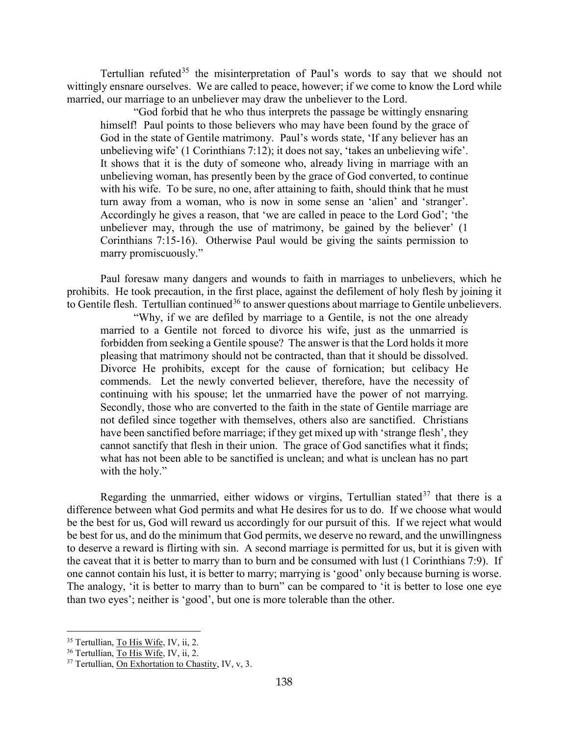Tertullian refuted<sup>[35](#page-18-0)</sup> the misinterpretation of Paul's words to say that we should not wittingly ensnare ourselves. We are called to peace, however; if we come to know the Lord while married, our marriage to an unbeliever may draw the unbeliever to the Lord.

"God forbid that he who thus interprets the passage be wittingly ensnaring himself! Paul points to those believers who may have been found by the grace of God in the state of Gentile matrimony. Paul's words state, 'If any believer has an unbelieving wife' (1 Corinthians 7:12); it does not say, 'takes an unbelieving wife'. It shows that it is the duty of someone who, already living in marriage with an unbelieving woman, has presently been by the grace of God converted, to continue with his wife. To be sure, no one, after attaining to faith, should think that he must turn away from a woman, who is now in some sense an 'alien' and 'stranger'. Accordingly he gives a reason, that 'we are called in peace to the Lord God'; 'the unbeliever may, through the use of matrimony, be gained by the believer' (1 Corinthians 7:15-16). Otherwise Paul would be giving the saints permission to marry promiscuously."

Paul foresaw many dangers and wounds to faith in marriages to unbelievers, which he prohibits. He took precaution, in the first place, against the defilement of holy flesh by joining it to Gentile flesh. Tertullian continued<sup>[36](#page-18-1)</sup> to answer questions about marriage to Gentile unbelievers.

"Why, if we are defiled by marriage to a Gentile, is not the one already married to a Gentile not forced to divorce his wife, just as the unmarried is forbidden from seeking a Gentile spouse? The answer is that the Lord holds it more pleasing that matrimony should not be contracted, than that it should be dissolved. Divorce He prohibits, except for the cause of fornication; but celibacy He commends. Let the newly converted believer, therefore, have the necessity of continuing with his spouse; let the unmarried have the power of not marrying. Secondly, those who are converted to the faith in the state of Gentile marriage are not defiled since together with themselves, others also are sanctified. Christians have been sanctified before marriage; if they get mixed up with 'strange flesh', they cannot sanctify that flesh in their union. The grace of God sanctifies what it finds; what has not been able to be sanctified is unclean; and what is unclean has no part with the holy."

Regarding the unmarried, either widows or virgins, Tertullian stated  $37$  that there is a difference between what God permits and what He desires for us to do. If we choose what would be the best for us, God will reward us accordingly for our pursuit of this. If we reject what would be best for us, and do the minimum that God permits, we deserve no reward, and the unwillingness to deserve a reward is flirting with sin. A second marriage is permitted for us, but it is given with the caveat that it is better to marry than to burn and be consumed with lust (1 Corinthians 7:9). If one cannot contain his lust, it is better to marry; marrying is 'good' only because burning is worse. The analogy, 'it is better to marry than to burn" can be compared to 'it is better to lose one eye than two eyes'; neither is 'good', but one is more tolerable than the other.

<span id="page-18-0"></span><sup>35</sup> Tertullian, To His Wife, IV, ii, 2.

<span id="page-18-1"></span><sup>&</sup>lt;sup>36</sup> Tertullian, To His Wife, IV, ii, 2.

<span id="page-18-2"></span><sup>&</sup>lt;sup>37</sup> Tertullian, On Exhortation to Chastity, IV, v, 3.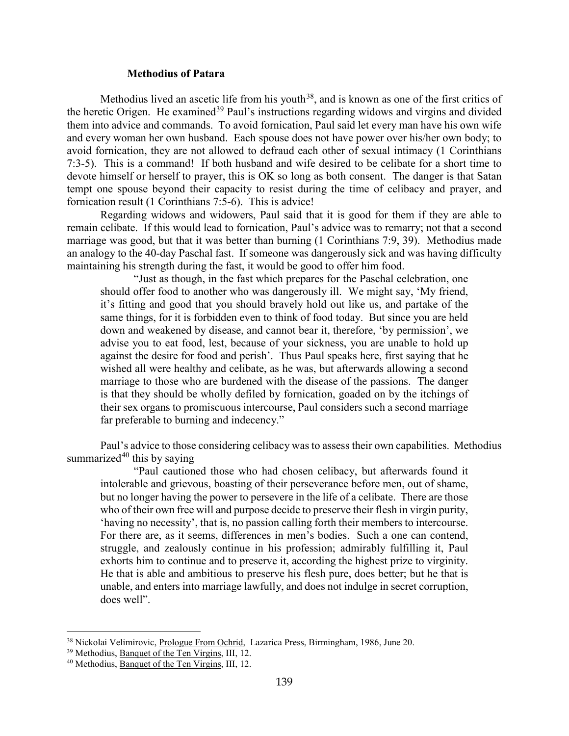#### **Methodius of Patara**

<span id="page-19-0"></span>Methodius lived an ascetic life from his youth<sup>38</sup>, and is known as one of the first critics of the heretic Origen. He examined<sup>[39](#page-19-2)</sup> Paul's instructions regarding widows and virgins and divided them into advice and commands. To avoid fornication, Paul said let every man have his own wife and every woman her own husband. Each spouse does not have power over his/her own body; to avoid fornication, they are not allowed to defraud each other of sexual intimacy (1 Corinthians 7:3-5). This is a command! If both husband and wife desired to be celibate for a short time to devote himself or herself to prayer, this is OK so long as both consent. The danger is that Satan tempt one spouse beyond their capacity to resist during the time of celibacy and prayer, and fornication result (1 Corinthians 7:5-6). This is advice!

Regarding widows and widowers, Paul said that it is good for them if they are able to remain celibate. If this would lead to fornication, Paul's advice was to remarry; not that a second marriage was good, but that it was better than burning (1 Corinthians 7:9, 39). Methodius made an analogy to the 40-day Paschal fast. If someone was dangerously sick and was having difficulty maintaining his strength during the fast, it would be good to offer him food.

"Just as though, in the fast which prepares for the Paschal celebration, one should offer food to another who was dangerously ill. We might say, 'My friend, it's fitting and good that you should bravely hold out like us, and partake of the same things, for it is forbidden even to think of food today. But since you are held down and weakened by disease, and cannot bear it, therefore, 'by permission', we advise you to eat food, lest, because of your sickness, you are unable to hold up against the desire for food and perish'. Thus Paul speaks here, first saying that he wished all were healthy and celibate, as he was, but afterwards allowing a second marriage to those who are burdened with the disease of the passions. The danger is that they should be wholly defiled by fornication, goaded on by the itchings of their sex organs to promiscuous intercourse, Paul considers such a second marriage far preferable to burning and indecency."

Paul's advice to those considering celibacy was to assess their own capabilities. Methodius summarized $40$  this by saying

"Paul cautioned those who had chosen celibacy, but afterwards found it intolerable and grievous, boasting of their perseverance before men, out of shame, but no longer having the power to persevere in the life of a celibate. There are those who of their own free will and purpose decide to preserve their flesh in virgin purity, 'having no necessity', that is, no passion calling forth their members to intercourse. For there are, as it seems, differences in men's bodies. Such a one can contend, struggle, and zealously continue in his profession; admirably fulfilling it, Paul exhorts him to continue and to preserve it, according the highest prize to virginity. He that is able and ambitious to preserve his flesh pure, does better; but he that is unable, and enters into marriage lawfully, and does not indulge in secret corruption, does well".

<span id="page-19-1"></span><sup>38</sup> Nickolai Velimirovic, Prologue From Ochrid, Lazarica Press, Birmingham, 1986, June 20.

<span id="page-19-2"></span><sup>&</sup>lt;sup>39</sup> Methodius, Banquet of the Ten Virgins, III, 12.

<span id="page-19-3"></span><sup>40</sup> Methodius, Banquet of the Ten Virgins, III, 12.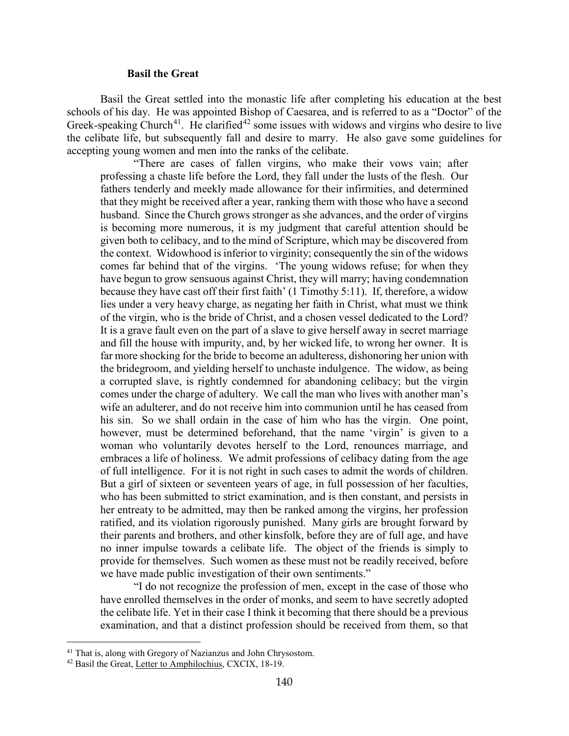#### **Basil the Great**

<span id="page-20-0"></span>Basil the Great settled into the monastic life after completing his education at the best schools of his day. He was appointed Bishop of Caesarea, and is referred to as a "Doctor" of the Greek-speaking Church<sup>[41](#page-20-1)</sup>. He clarified<sup>[42](#page-20-2)</sup> some issues with widows and virgins who desire to live the celibate life, but subsequently fall and desire to marry. He also gave some guidelines for accepting young women and men into the ranks of the celibate.

"There are cases of fallen virgins, who make their vows vain; after professing a chaste life before the Lord, they fall under the lusts of the flesh. Our fathers tenderly and meekly made allowance for their infirmities, and determined that they might be received after a year, ranking them with those who have a second husband. Since the Church grows stronger as she advances, and the order of virgins is becoming more numerous, it is my judgment that careful attention should be given both to celibacy, and to the mind of Scripture, which may be discovered from the context. Widowhood is inferior to virginity; consequently the sin of the widows comes far behind that of the virgins. 'The young widows refuse; for when they have begun to grow sensuous against Christ, they will marry; having condemnation because they have cast off their first faith' (1 Timothy 5:11). If, therefore, a widow lies under a very heavy charge, as negating her faith in Christ, what must we think of the virgin, who is the bride of Christ, and a chosen vessel dedicated to the Lord? It is a grave fault even on the part of a slave to give herself away in secret marriage and fill the house with impurity, and, by her wicked life, to wrong her owner. It is far more shocking for the bride to become an adulteress, dishonoring her union with the bridegroom, and yielding herself to unchaste indulgence. The widow, as being a corrupted slave, is rightly condemned for abandoning celibacy; but the virgin comes under the charge of adultery. We call the man who lives with another man's wife an adulterer, and do not receive him into communion until he has ceased from his sin. So we shall ordain in the case of him who has the virgin. One point, however, must be determined beforehand, that the name 'virgin' is given to a woman who voluntarily devotes herself to the Lord, renounces marriage, and embraces a life of holiness. We admit professions of celibacy dating from the age of full intelligence. For it is not right in such cases to admit the words of children. But a girl of sixteen or seventeen years of age, in full possession of her faculties, who has been submitted to strict examination, and is then constant, and persists in her entreaty to be admitted, may then be ranked among the virgins, her profession ratified, and its violation rigorously punished. Many girls are brought forward by their parents and brothers, and other kinsfolk, before they are of full age, and have no inner impulse towards a celibate life. The object of the friends is simply to provide for themselves. Such women as these must not be readily received, before we have made public investigation of their own sentiments."

"I do not recognize the profession of men, except in the case of those who have enrolled themselves in the order of monks, and seem to have secretly adopted the celibate life. Yet in their case I think it becoming that there should be a previous examination, and that a distinct profession should be received from them, so that

<span id="page-20-1"></span><sup>&</sup>lt;sup>41</sup> That is, along with Gregory of Nazianzus and John Chrysostom.

<span id="page-20-2"></span><sup>42</sup> Basil the Great, Letter to Amphilochius, CXCIX, 18-19.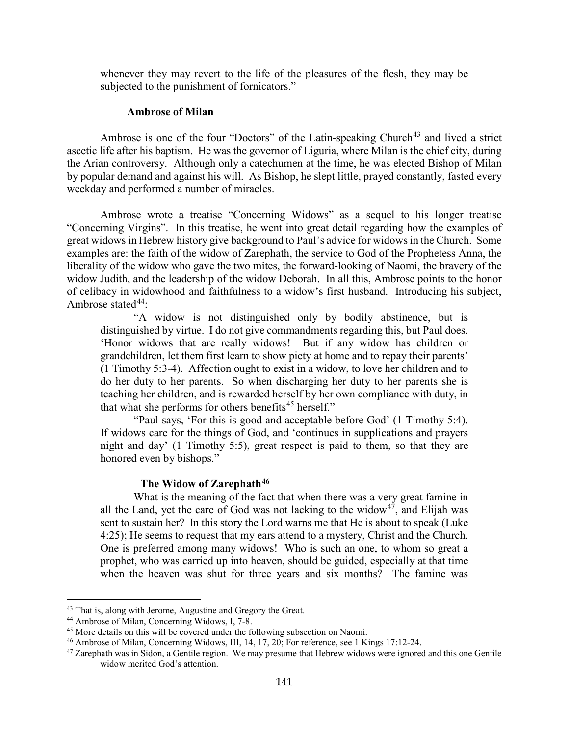whenever they may revert to the life of the pleasures of the flesh, they may be subjected to the punishment of fornicators."

#### **Ambrose of Milan**

<span id="page-21-0"></span>Ambrose is one of the four "Doctors" of the Latin-speaking Church<sup>[43](#page-21-2)</sup> and lived a strict ascetic life after his baptism. He was the governor of Liguria, where Milan is the chief city, during the Arian controversy. Although only a catechumen at the time, he was elected Bishop of Milan by popular demand and against his will. As Bishop, he slept little, prayed constantly, fasted every weekday and performed a number of miracles.

Ambrose wrote a treatise "Concerning Widows" as a sequel to his longer treatise "Concerning Virgins". In this treatise, he went into great detail regarding how the examples of great widows in Hebrew history give background to Paul's advice for widows in the Church. Some examples are: the faith of the widow of Zarephath, the service to God of the Prophetess Anna, the liberality of the widow who gave the two mites, the forward-looking of Naomi, the bravery of the widow Judith, and the leadership of the widow Deborah. In all this, Ambrose points to the honor of celibacy in widowhood and faithfulness to a widow's first husband. Introducing his subject, Ambrose stated $44$ :

"A widow is not distinguished only by bodily abstinence, but is distinguished by virtue. I do not give commandments regarding this, but Paul does. 'Honor widows that are really widows! But if any widow has children or grandchildren, let them first learn to show piety at home and to repay their parents' (1 Timothy 5:3-4). Affection ought to exist in a widow, to love her children and to do her duty to her parents. So when discharging her duty to her parents she is teaching her children, and is rewarded herself by her own compliance with duty, in that what she performs for others benefits<sup>[45](#page-21-4)</sup> herself."

"Paul says, 'For this is good and acceptable before God' (1 Timothy 5:4). If widows care for the things of God, and 'continues in supplications and prayers night and day' (1 Timothy 5:5), great respect is paid to them, so that they are honored even by bishops."

## **The Widow of Zarephath[46](#page-21-5)**

<span id="page-21-1"></span>What is the meaning of the fact that when there was a very great famine in all the Land, yet the care of God was not lacking to the widow<sup>[47](#page-21-6)</sup>, and Elijah was sent to sustain her? In this story the Lord warns me that He is about to speak (Luke 4:25); He seems to request that my ears attend to a mystery, Christ and the Church. One is preferred among many widows! Who is such an one, to whom so great a prophet, who was carried up into heaven, should be guided, especially at that time when the heaven was shut for three years and six months? The famine was

<span id="page-21-2"></span><sup>&</sup>lt;sup>43</sup> That is, along with Jerome, Augustine and Gregory the Great.

<span id="page-21-3"></span><sup>44</sup> Ambrose of Milan, Concerning Widows, I, 7-8.

<span id="page-21-4"></span><sup>&</sup>lt;sup>45</sup> More details on this will be covered under the following subsection on Naomi.

<span id="page-21-5"></span><sup>&</sup>lt;sup>46</sup> Ambrose of Milan, Concerning Widows, III, 14, 17, 20; For reference, see 1 Kings 17:12-24.

<span id="page-21-6"></span> $47$  Zarephath was in Sidon, a Gentile region. We may presume that Hebrew widows were ignored and this one Gentile widow merited God's attention.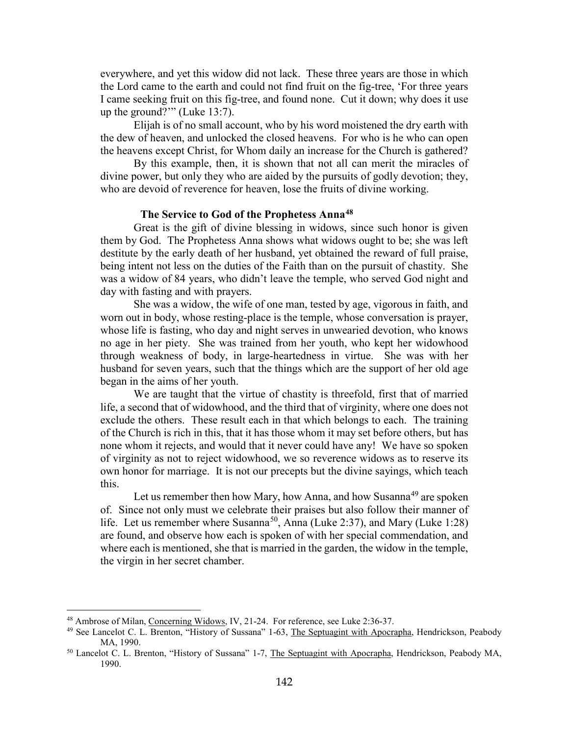everywhere, and yet this widow did not lack. These three years are those in which the Lord came to the earth and could not find fruit on the fig-tree, 'For three years I came seeking fruit on this fig-tree, and found none. Cut it down; why does it use up the ground?'" (Luke 13:7).

Elijah is of no small account, who by his word moistened the dry earth with the dew of heaven, and unlocked the closed heavens. For who is he who can open the heavens except Christ, for Whom daily an increase for the Church is gathered?

By this example, then, it is shown that not all can merit the miracles of divine power, but only they who are aided by the pursuits of godly devotion; they, who are devoid of reverence for heaven, lose the fruits of divine working.

## **The Service to God of the Prophetess Anna[48](#page-22-1)**

<span id="page-22-0"></span>Great is the gift of divine blessing in widows, since such honor is given them by God. The Prophetess Anna shows what widows ought to be; she was left destitute by the early death of her husband, yet obtained the reward of full praise, being intent not less on the duties of the Faith than on the pursuit of chastity. She was a widow of 84 years, who didn't leave the temple, who served God night and day with fasting and with prayers.

She was a widow, the wife of one man, tested by age, vigorous in faith, and worn out in body, whose resting-place is the temple, whose conversation is prayer, whose life is fasting, who day and night serves in unwearied devotion, who knows no age in her piety. She was trained from her youth, who kept her widowhood through weakness of body, in large-heartedness in virtue. She was with her husband for seven years, such that the things which are the support of her old age began in the aims of her youth.

We are taught that the virtue of chastity is threefold, first that of married life, a second that of widowhood, and the third that of virginity, where one does not exclude the others. These result each in that which belongs to each. The training of the Church is rich in this, that it has those whom it may set before others, but has none whom it rejects, and would that it never could have any! We have so spoken of virginity as not to reject widowhood, we so reverence widows as to reserve its own honor for marriage. It is not our precepts but the divine sayings, which teach this.

Let us remember then how Mary, how Anna, and how Susanna<sup>[49](#page-22-2)</sup> are spoken of. Since not only must we celebrate their praises but also follow their manner of life. Let us remember where Susanna<sup>[50](#page-22-3)</sup>, Anna (Luke 2:37), and Mary (Luke 1:28) are found, and observe how each is spoken of with her special commendation, and where each is mentioned, she that is married in the garden, the widow in the temple, the virgin in her secret chamber.

<span id="page-22-1"></span><sup>48</sup> Ambrose of Milan, Concerning Widows, IV, 21-24. For reference, see Luke 2:36-37.

<span id="page-22-2"></span><sup>&</sup>lt;sup>49</sup> See Lancelot C. L. Brenton, "History of Sussana" 1-63, The Septuagint with Apocrapha, Hendrickson, Peabody MA, 1990.

<span id="page-22-3"></span><sup>&</sup>lt;sup>50</sup> Lancelot C. L. Brenton, "History of Sussana" 1-7, The Septuagint with Apocrapha, Hendrickson, Peabody MA, 1990.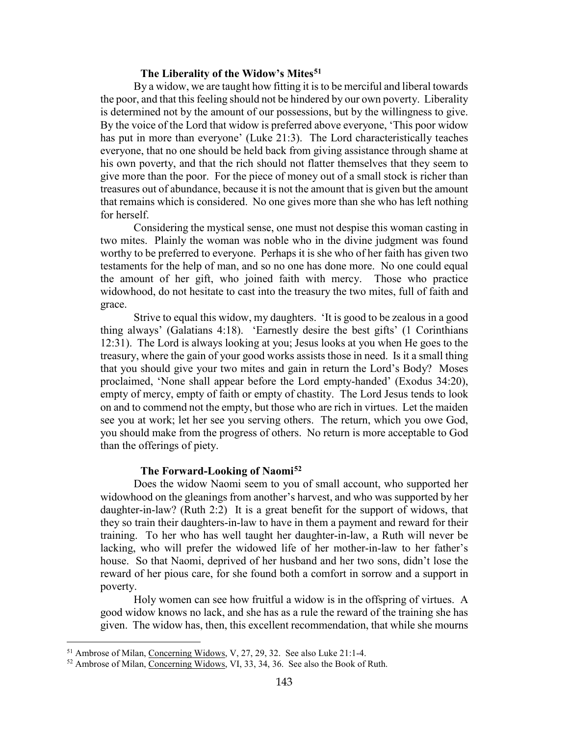#### **The Liberality of the Widow's Mites[51](#page-23-2)**

<span id="page-23-0"></span>By a widow, we are taught how fitting it is to be merciful and liberal towards the poor, and that this feeling should not be hindered by our own poverty. Liberality is determined not by the amount of our possessions, but by the willingness to give. By the voice of the Lord that widow is preferred above everyone, 'This poor widow has put in more than everyone' (Luke 21:3). The Lord characteristically teaches everyone, that no one should be held back from giving assistance through shame at his own poverty, and that the rich should not flatter themselves that they seem to give more than the poor. For the piece of money out of a small stock is richer than treasures out of abundance, because it is not the amount that is given but the amount that remains which is considered. No one gives more than she who has left nothing for herself.

Considering the mystical sense, one must not despise this woman casting in two mites. Plainly the woman was noble who in the divine judgment was found worthy to be preferred to everyone. Perhaps it is she who of her faith has given two testaments for the help of man, and so no one has done more. No one could equal the amount of her gift, who joined faith with mercy. Those who practice widowhood, do not hesitate to cast into the treasury the two mites, full of faith and grace.

Strive to equal this widow, my daughters. 'It is good to be zealous in a good thing always' (Galatians 4:18). 'Earnestly desire the best gifts' (1 Corinthians 12:31). The Lord is always looking at you; Jesus looks at you when He goes to the treasury, where the gain of your good works assists those in need. Is it a small thing that you should give your two mites and gain in return the Lord's Body? Moses proclaimed, 'None shall appear before the Lord empty-handed' (Exodus 34:20), empty of mercy, empty of faith or empty of chastity. The Lord Jesus tends to look on and to commend not the empty, but those who are rich in virtues. Let the maiden see you at work; let her see you serving others. The return, which you owe God, you should make from the progress of others. No return is more acceptable to God than the offerings of piety.

#### **The Forward-Looking of Naomi[52](#page-23-3)**

<span id="page-23-1"></span>Does the widow Naomi seem to you of small account, who supported her widowhood on the gleanings from another's harvest, and who was supported by her daughter-in-law? (Ruth 2:2) It is a great benefit for the support of widows, that they so train their daughters-in-law to have in them a payment and reward for their training. To her who has well taught her daughter-in-law, a Ruth will never be lacking, who will prefer the widowed life of her mother-in-law to her father's house. So that Naomi, deprived of her husband and her two sons, didn't lose the reward of her pious care, for she found both a comfort in sorrow and a support in poverty.

Holy women can see how fruitful a widow is in the offspring of virtues. A good widow knows no lack, and she has as a rule the reward of the training she has given. The widow has, then, this excellent recommendation, that while she mourns

<span id="page-23-2"></span><sup>&</sup>lt;sup>51</sup> Ambrose of Milan, Concerning Widows, V, 27, 29, 32. See also Luke 21:1-4.

<span id="page-23-3"></span><sup>&</sup>lt;sup>52</sup> Ambrose of Milan, Concerning Widows, VI, 33, 34, 36. See also the Book of Ruth.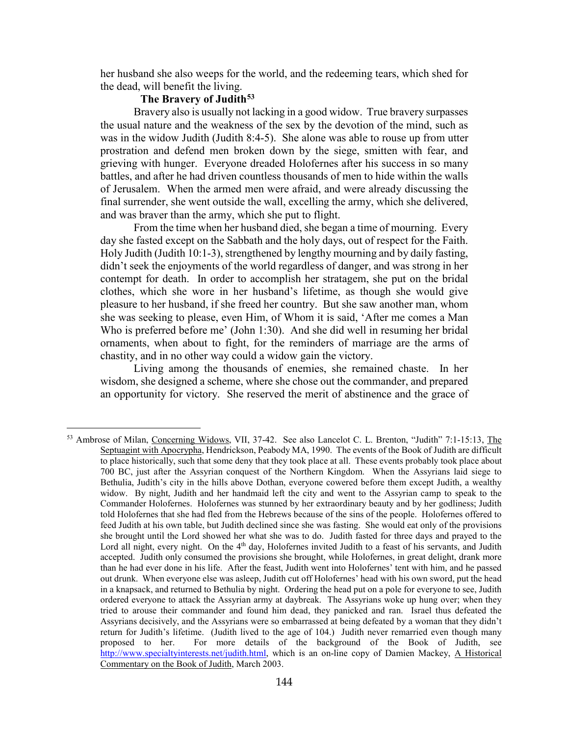her husband she also weeps for the world, and the redeeming tears, which shed for the dead, will benefit the living.

## **The Bravery of Judith[53](#page-24-1)**

 $\overline{a}$ 

<span id="page-24-0"></span>Bravery also is usually not lacking in a good widow. True bravery surpasses the usual nature and the weakness of the sex by the devotion of the mind, such as was in the widow Judith (Judith 8:4-5). She alone was able to rouse up from utter prostration and defend men broken down by the siege, smitten with fear, and grieving with hunger. Everyone dreaded Holofernes after his success in so many battles, and after he had driven countless thousands of men to hide within the walls of Jerusalem. When the armed men were afraid, and were already discussing the final surrender, she went outside the wall, excelling the army, which she delivered, and was braver than the army, which she put to flight.

From the time when her husband died, she began a time of mourning. Every day she fasted except on the Sabbath and the holy days, out of respect for the Faith. Holy Judith (Judith 10:1-3), strengthened by lengthy mourning and by daily fasting, didn't seek the enjoyments of the world regardless of danger, and was strong in her contempt for death. In order to accomplish her stratagem, she put on the bridal clothes, which she wore in her husband's lifetime, as though she would give pleasure to her husband, if she freed her country. But she saw another man, whom she was seeking to please, even Him, of Whom it is said, 'After me comes a Man Who is preferred before me' (John 1:30). And she did well in resuming her bridal ornaments, when about to fight, for the reminders of marriage are the arms of chastity, and in no other way could a widow gain the victory.

Living among the thousands of enemies, she remained chaste. In her wisdom, she designed a scheme, where she chose out the commander, and prepared an opportunity for victory. She reserved the merit of abstinence and the grace of

<span id="page-24-1"></span><sup>53</sup> Ambrose of Milan, Concerning Widows, VII, 37-42. See also Lancelot C. L. Brenton, "Judith" 7:1-15:13, The Septuagint with Apocrypha, Hendrickson, Peabody MA, 1990. The events of the Book of Judith are difficult to place historically, such that some deny that they took place at all. These events probably took place about 700 BC, just after the Assyrian conquest of the Northern Kingdom. When the Assyrians laid siege to Bethulia, Judith's city in the hills above Dothan, everyone cowered before them except Judith, a wealthy widow. By night, Judith and her handmaid left the city and went to the Assyrian camp to speak to the Commander Holofernes. Holofernes was stunned by her extraordinary beauty and by her godliness; Judith told Holofernes that she had fled from the Hebrews because of the sins of the people. Holofernes offered to feed Judith at his own table, but Judith declined since she was fasting. She would eat only of the provisions she brought until the Lord showed her what she was to do. Judith fasted for three days and prayed to the Lord all night, every night. On the  $4<sup>th</sup>$  day, Holofernes invited Judith to a feast of his servants, and Judith accepted. Judith only consumed the provisions she brought, while Holofernes, in great delight, drank more than he had ever done in his life. After the feast, Judith went into Holofernes' tent with him, and he passed out drunk. When everyone else was asleep, Judith cut off Holofernes' head with his own sword, put the head in a knapsack, and returned to Bethulia by night. Ordering the head put on a pole for everyone to see, Judith ordered everyone to attack the Assyrian army at daybreak. The Assyrians woke up hung over; when they tried to arouse their commander and found him dead, they panicked and ran. Israel thus defeated the Assyrians decisively, and the Assyrians were so embarrassed at being defeated by a woman that they didn't return for Judith's lifetime. (Judith lived to the age of 104.) Judith never remarried even though many proposed to her. For more details of the background of the Book of Judith, see [http://www.specialtyinterests.net/judith.html,](http://www.specialtyinterests.net/judith.html) which is an on-line copy of Damien Mackey, A Historical Commentary on the Book of Judith, March 2003.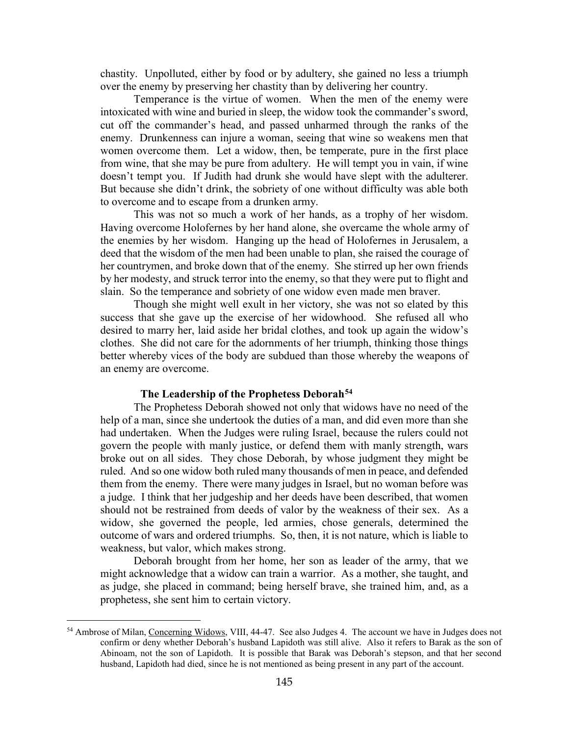chastity. Unpolluted, either by food or by adultery, she gained no less a triumph over the enemy by preserving her chastity than by delivering her country.

Temperance is the virtue of women. When the men of the enemy were intoxicated with wine and buried in sleep, the widow took the commander's sword, cut off the commander's head, and passed unharmed through the ranks of the enemy. Drunkenness can injure a woman, seeing that wine so weakens men that women overcome them. Let a widow, then, be temperate, pure in the first place from wine, that she may be pure from adultery. He will tempt you in vain, if wine doesn't tempt you. If Judith had drunk she would have slept with the adulterer. But because she didn't drink, the sobriety of one without difficulty was able both to overcome and to escape from a drunken army.

This was not so much a work of her hands, as a trophy of her wisdom. Having overcome Holofernes by her hand alone, she overcame the whole army of the enemies by her wisdom. Hanging up the head of Holofernes in Jerusalem, a deed that the wisdom of the men had been unable to plan, she raised the courage of her countrymen, and broke down that of the enemy. She stirred up her own friends by her modesty, and struck terror into the enemy, so that they were put to flight and slain. So the temperance and sobriety of one widow even made men braver.

Though she might well exult in her victory, she was not so elated by this success that she gave up the exercise of her widowhood. She refused all who desired to marry her, laid aside her bridal clothes, and took up again the widow's clothes. She did not care for the adornments of her triumph, thinking those things better whereby vices of the body are subdued than those whereby the weapons of an enemy are overcome.

#### **The Leadership of the Prophetess Deborah[54](#page-25-1)**

<span id="page-25-0"></span>The Prophetess Deborah showed not only that widows have no need of the help of a man, since she undertook the duties of a man, and did even more than she had undertaken. When the Judges were ruling Israel, because the rulers could not govern the people with manly justice, or defend them with manly strength, wars broke out on all sides. They chose Deborah, by whose judgment they might be ruled. And so one widow both ruled many thousands of men in peace, and defended them from the enemy. There were many judges in Israel, but no woman before was a judge. I think that her judgeship and her deeds have been described, that women should not be restrained from deeds of valor by the weakness of their sex. As a widow, she governed the people, led armies, chose generals, determined the outcome of wars and ordered triumphs. So, then, it is not nature, which is liable to weakness, but valor, which makes strong.

Deborah brought from her home, her son as leader of the army, that we might acknowledge that a widow can train a warrior. As a mother, she taught, and as judge, she placed in command; being herself brave, she trained him, and, as a prophetess, she sent him to certain victory.

<span id="page-25-1"></span><sup>&</sup>lt;sup>54</sup> Ambrose of Milan, Concerning Widows, VIII, 44-47. See also Judges 4. The account we have in Judges does not confirm or deny whether Deborah's husband Lapidoth was still alive. Also it refers to Barak as the son of Abinoam, not the son of Lapidoth. It is possible that Barak was Deborah's stepson, and that her second husband, Lapidoth had died, since he is not mentioned as being present in any part of the account.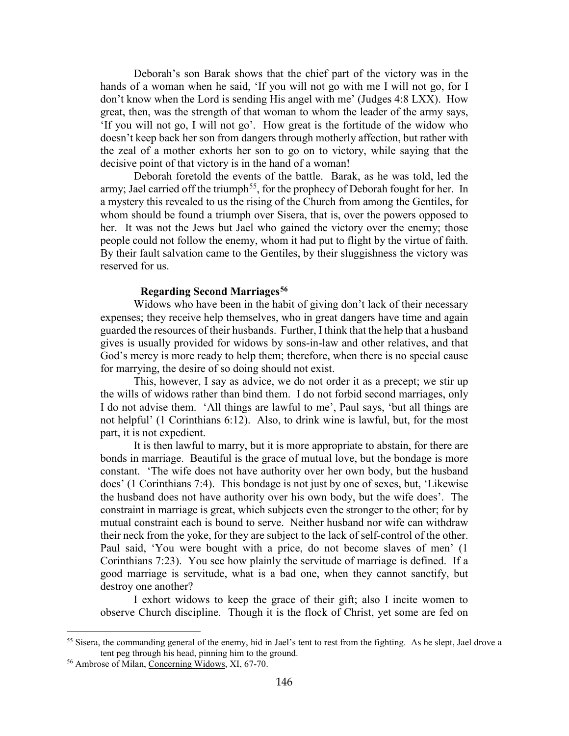Deborah's son Barak shows that the chief part of the victory was in the hands of a woman when he said, 'If you will not go with me I will not go, for I don't know when the Lord is sending His angel with me' (Judges 4:8 LXX). How great, then, was the strength of that woman to whom the leader of the army says, 'If you will not go, I will not go'. How great is the fortitude of the widow who doesn't keep back her son from dangers through motherly affection, but rather with the zeal of a mother exhorts her son to go on to victory, while saying that the decisive point of that victory is in the hand of a woman!

Deborah foretold the events of the battle. Barak, as he was told, led the army; Jael carried off the triumph<sup>[55](#page-26-1)</sup>, for the prophecy of Deborah fought for her. In a mystery this revealed to us the rising of the Church from among the Gentiles, for whom should be found a triumph over Sisera, that is, over the powers opposed to her. It was not the Jews but Jael who gained the victory over the enemy; those people could not follow the enemy, whom it had put to flight by the virtue of faith. By their fault salvation came to the Gentiles, by their sluggishness the victory was reserved for us.

## **Regarding Second Marriages[56](#page-26-2)**

<span id="page-26-0"></span>Widows who have been in the habit of giving don't lack of their necessary expenses; they receive help themselves, who in great dangers have time and again guarded the resources of their husbands. Further, I think that the help that a husband gives is usually provided for widows by sons-in-law and other relatives, and that God's mercy is more ready to help them; therefore, when there is no special cause for marrying, the desire of so doing should not exist.

This, however, I say as advice, we do not order it as a precept; we stir up the wills of widows rather than bind them. I do not forbid second marriages, only I do not advise them. 'All things are lawful to me', Paul says, 'but all things are not helpful' (1 Corinthians 6:12). Also, to drink wine is lawful, but, for the most part, it is not expedient.

It is then lawful to marry, but it is more appropriate to abstain, for there are bonds in marriage. Beautiful is the grace of mutual love, but the bondage is more constant. 'The wife does not have authority over her own body, but the husband does' (1 Corinthians 7:4). This bondage is not just by one of sexes, but, 'Likewise the husband does not have authority over his own body, but the wife does'. The constraint in marriage is great, which subjects even the stronger to the other; for by mutual constraint each is bound to serve. Neither husband nor wife can withdraw their neck from the yoke, for they are subject to the lack of self-control of the other. Paul said, 'You were bought with a price, do not become slaves of men' (1 Corinthians 7:23). You see how plainly the servitude of marriage is defined. If a good marriage is servitude, what is a bad one, when they cannot sanctify, but destroy one another?

I exhort widows to keep the grace of their gift; also I incite women to observe Church discipline. Though it is the flock of Christ, yet some are fed on

<span id="page-26-1"></span><sup>&</sup>lt;sup>55</sup> Sisera, the commanding general of the enemy, hid in Jael's tent to rest from the fighting. As he slept, Jael drove a tent peg through his head, pinning him to the ground.

<span id="page-26-2"></span><sup>56</sup> Ambrose of Milan, Concerning Widows, XI, 67-70.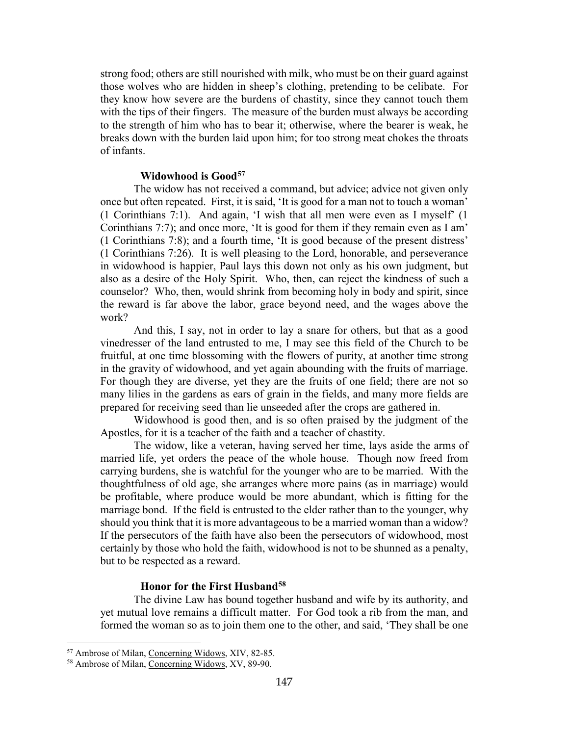strong food; others are still nourished with milk, who must be on their guard against those wolves who are hidden in sheep's clothing, pretending to be celibate. For they know how severe are the burdens of chastity, since they cannot touch them with the tips of their fingers. The measure of the burden must always be according to the strength of him who has to bear it; otherwise, where the bearer is weak, he breaks down with the burden laid upon him; for too strong meat chokes the throats of infants.

#### **Widowhood is Good[57](#page-27-2)**

<span id="page-27-0"></span>The widow has not received a command, but advice; advice not given only once but often repeated. First, it is said, 'It is good for a man not to touch a woman' (1 Corinthians 7:1). And again, 'I wish that all men were even as I myself' (1 Corinthians 7:7); and once more, 'It is good for them if they remain even as I am' (1 Corinthians 7:8); and a fourth time, 'It is good because of the present distress' (1 Corinthians 7:26). It is well pleasing to the Lord, honorable, and perseverance in widowhood is happier, Paul lays this down not only as his own judgment, but also as a desire of the Holy Spirit. Who, then, can reject the kindness of such a counselor? Who, then, would shrink from becoming holy in body and spirit, since the reward is far above the labor, grace beyond need, and the wages above the work?

And this, I say, not in order to lay a snare for others, but that as a good vinedresser of the land entrusted to me, I may see this field of the Church to be fruitful, at one time blossoming with the flowers of purity, at another time strong in the gravity of widowhood, and yet again abounding with the fruits of marriage. For though they are diverse, yet they are the fruits of one field; there are not so many lilies in the gardens as ears of grain in the fields, and many more fields are prepared for receiving seed than lie unseeded after the crops are gathered in.

Widowhood is good then, and is so often praised by the judgment of the Apostles, for it is a teacher of the faith and a teacher of chastity.

The widow, like a veteran, having served her time, lays aside the arms of married life, yet orders the peace of the whole house. Though now freed from carrying burdens, she is watchful for the younger who are to be married. With the thoughtfulness of old age, she arranges where more pains (as in marriage) would be profitable, where produce would be more abundant, which is fitting for the marriage bond. If the field is entrusted to the elder rather than to the younger, why should you think that it is more advantageous to be a married woman than a widow? If the persecutors of the faith have also been the persecutors of widowhood, most certainly by those who hold the faith, widowhood is not to be shunned as a penalty, but to be respected as a reward.

#### **Honor for the First Husband[58](#page-27-3)**

<span id="page-27-1"></span>The divine Law has bound together husband and wife by its authority, and yet mutual love remains a difficult matter. For God took a rib from the man, and formed the woman so as to join them one to the other, and said, 'They shall be one

<span id="page-27-2"></span><sup>57</sup> Ambrose of Milan, Concerning Widows, XIV, 82-85.

<span id="page-27-3"></span><sup>58</sup> Ambrose of Milan, Concerning Widows, XV, 89-90.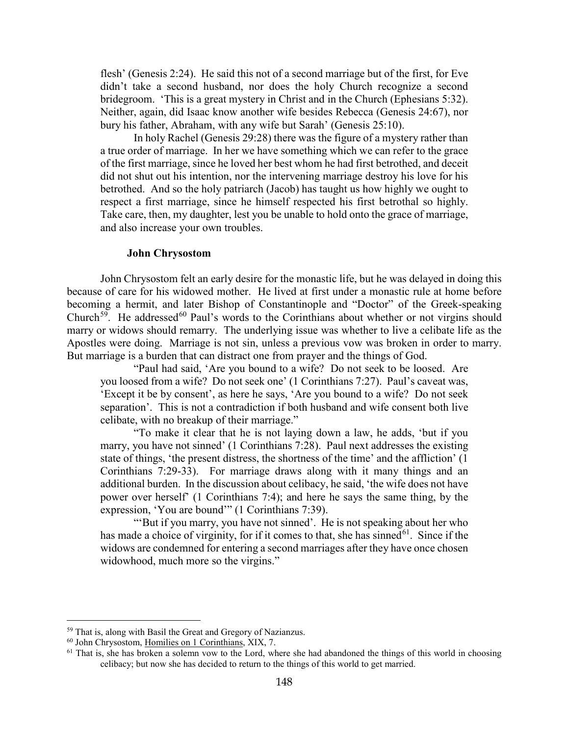flesh' (Genesis 2:24). He said this not of a second marriage but of the first, for Eve didn't take a second husband, nor does the holy Church recognize a second bridegroom. 'This is a great mystery in Christ and in the Church (Ephesians 5:32). Neither, again, did Isaac know another wife besides Rebecca (Genesis 24:67), nor bury his father, Abraham, with any wife but Sarah' (Genesis 25:10).

In holy Rachel (Genesis 29:28) there was the figure of a mystery rather than a true order of marriage. In her we have something which we can refer to the grace of the first marriage, since he loved her best whom he had first betrothed, and deceit did not shut out his intention, nor the intervening marriage destroy his love for his betrothed. And so the holy patriarch (Jacob) has taught us how highly we ought to respect a first marriage, since he himself respected his first betrothal so highly. Take care, then, my daughter, lest you be unable to hold onto the grace of marriage, and also increase your own troubles.

#### **John Chrysostom**

<span id="page-28-0"></span>John Chrysostom felt an early desire for the monastic life, but he was delayed in doing this because of care for his widowed mother. He lived at first under a monastic rule at home before becoming a hermit, and later Bishop of Constantinople and "Doctor" of the Greek-speaking Church<sup>[59](#page-28-1)</sup>. He addressed<sup>[60](#page-28-2)</sup> Paul's words to the Corinthians about whether or not virgins should marry or widows should remarry. The underlying issue was whether to live a celibate life as the Apostles were doing. Marriage is not sin, unless a previous vow was broken in order to marry. But marriage is a burden that can distract one from prayer and the things of God.

"Paul had said, 'Are you bound to a wife? Do not seek to be loosed. Are you loosed from a wife? Do not seek one' (1 Corinthians 7:27). Paul's caveat was, 'Except it be by consent', as here he says, 'Are you bound to a wife? Do not seek separation'. This is not a contradiction if both husband and wife consent both live celibate, with no breakup of their marriage."

"To make it clear that he is not laying down a law, he adds, 'but if you marry, you have not sinned' (1 Corinthians 7:28). Paul next addresses the existing state of things, 'the present distress, the shortness of the time' and the affliction' (1 Corinthians 7:29-33). For marriage draws along with it many things and an additional burden. In the discussion about celibacy, he said, 'the wife does not have power over herself' (1 Corinthians 7:4); and here he says the same thing, by the expression, 'You are bound'" (1 Corinthians 7:39).

"'But if you marry, you have not sinned'. He is not speaking about her who has made a choice of virginity, for if it comes to that, she has sinned<sup>[61](#page-28-3)</sup>. Since if the widows are condemned for entering a second marriages after they have once chosen widowhood, much more so the virgins."

<span id="page-28-1"></span><sup>59</sup> That is, along with Basil the Great and Gregory of Nazianzus.

<span id="page-28-2"></span><sup>60</sup> John Chrysostom, Homilies on 1 Corinthians, XIX, 7.

<span id="page-28-3"></span> $61$  That is, she has broken a solemn vow to the Lord, where she had abandoned the things of this world in choosing celibacy; but now she has decided to return to the things of this world to get married.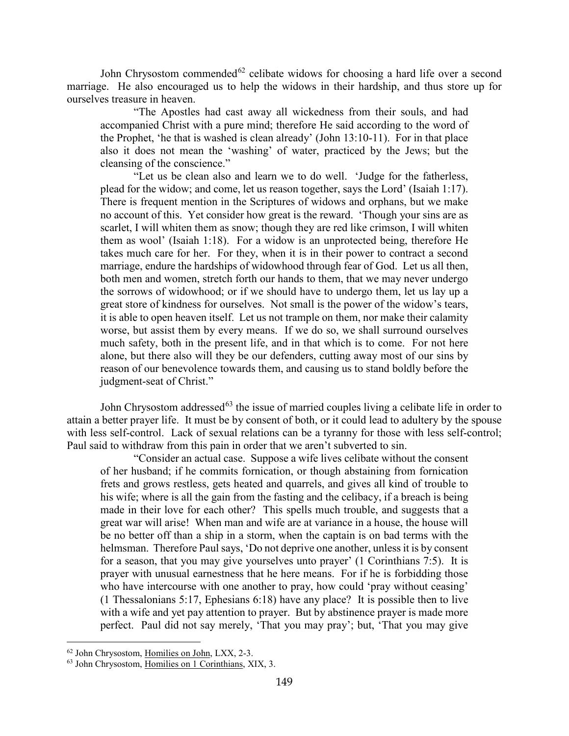John Chrysostom commended<sup>[62](#page-29-0)</sup> celibate widows for choosing a hard life over a second marriage. He also encouraged us to help the widows in their hardship, and thus store up for ourselves treasure in heaven.

"The Apostles had cast away all wickedness from their souls, and had accompanied Christ with a pure mind; therefore He said according to the word of the Prophet, 'he that is washed is clean already' (John 13:10-11). For in that place also it does not mean the 'washing' of water, practiced by the Jews; but the cleansing of the conscience."

"Let us be clean also and learn we to do well. 'Judge for the fatherless, plead for the widow; and come, let us reason together, says the Lord' (Isaiah 1:17). There is frequent mention in the Scriptures of widows and orphans, but we make no account of this. Yet consider how great is the reward. 'Though your sins are as scarlet, I will whiten them as snow; though they are red like crimson, I will whiten them as wool' (Isaiah 1:18). For a widow is an unprotected being, therefore He takes much care for her. For they, when it is in their power to contract a second marriage, endure the hardships of widowhood through fear of God. Let us all then, both men and women, stretch forth our hands to them, that we may never undergo the sorrows of widowhood; or if we should have to undergo them, let us lay up a great store of kindness for ourselves. Not small is the power of the widow's tears, it is able to open heaven itself. Let us not trample on them, nor make their calamity worse, but assist them by every means. If we do so, we shall surround ourselves much safety, both in the present life, and in that which is to come. For not here alone, but there also will they be our defenders, cutting away most of our sins by reason of our benevolence towards them, and causing us to stand boldly before the judgment-seat of Christ."

John Chrysostom addressed<sup>[63](#page-29-1)</sup> the issue of married couples living a celibate life in order to attain a better prayer life. It must be by consent of both, or it could lead to adultery by the spouse with less self-control. Lack of sexual relations can be a tyranny for those with less self-control; Paul said to withdraw from this pain in order that we aren't subverted to sin.

"Consider an actual case. Suppose a wife lives celibate without the consent of her husband; if he commits fornication, or though abstaining from fornication frets and grows restless, gets heated and quarrels, and gives all kind of trouble to his wife; where is all the gain from the fasting and the celibacy, if a breach is being made in their love for each other? This spells much trouble, and suggests that a great war will arise! When man and wife are at variance in a house, the house will be no better off than a ship in a storm, when the captain is on bad terms with the helmsman. Therefore Paul says, 'Do not deprive one another, unless it is by consent for a season, that you may give yourselves unto prayer' (1 Corinthians 7:5). It is prayer with unusual earnestness that he here means. For if he is forbidding those who have intercourse with one another to pray, how could 'pray without ceasing' (1 Thessalonians 5:17, Ephesians 6:18) have any place? It is possible then to live with a wife and yet pay attention to prayer. But by abstinence prayer is made more perfect. Paul did not say merely, 'That you may pray'; but, 'That you may give

<span id="page-29-0"></span><sup>62</sup> John Chrysostom, Homilies on John, LXX, 2-3.

<span id="page-29-1"></span> $63$  John Chrysostom, Homilies on 1 Corinthians, XIX, 3.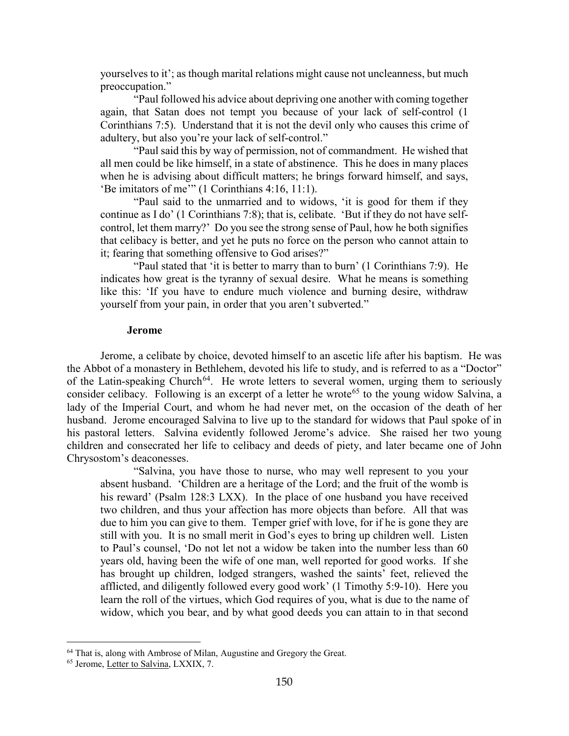yourselves to it'; as though marital relations might cause not uncleanness, but much preoccupation."

"Paul followed his advice about depriving one another with coming together again, that Satan does not tempt you because of your lack of self-control (1 Corinthians 7:5). Understand that it is not the devil only who causes this crime of adultery, but also you're your lack of self-control."

"Paul said this by way of permission, not of commandment. He wished that all men could be like himself, in a state of abstinence. This he does in many places when he is advising about difficult matters; he brings forward himself, and says, 'Be imitators of me'" (1 Corinthians 4:16, 11:1).

"Paul said to the unmarried and to widows, 'it is good for them if they continue as I do' (1 Corinthians 7:8); that is, celibate. 'But if they do not have selfcontrol, let them marry?' Do you see the strong sense of Paul, how he both signifies that celibacy is better, and yet he puts no force on the person who cannot attain to it; fearing that something offensive to God arises?"

"Paul stated that 'it is better to marry than to burn' (1 Corinthians 7:9). He indicates how great is the tyranny of sexual desire. What he means is something like this: 'If you have to endure much violence and burning desire, withdraw yourself from your pain, in order that you aren't subverted."

#### **Jerome**

<span id="page-30-0"></span>Jerome, a celibate by choice, devoted himself to an ascetic life after his baptism. He was the Abbot of a monastery in Bethlehem, devoted his life to study, and is referred to as a "Doctor" of the Latin-speaking Church<sup>[64](#page-30-1)</sup>. He wrote letters to several women, urging them to seriously consider celibacy. Following is an excerpt of a letter he wrote<sup>[65](#page-30-2)</sup> to the young widow Salvina, a lady of the Imperial Court, and whom he had never met, on the occasion of the death of her husband. Jerome encouraged Salvina to live up to the standard for widows that Paul spoke of in his pastoral letters. Salvina evidently followed Jerome's advice. She raised her two young children and consecrated her life to celibacy and deeds of piety, and later became one of John Chrysostom's deaconesses.

"Salvina, you have those to nurse, who may well represent to you your absent husband. 'Children are a heritage of the Lord; and the fruit of the womb is his reward' (Psalm 128:3 LXX). In the place of one husband you have received two children, and thus your affection has more objects than before. All that was due to him you can give to them. Temper grief with love, for if he is gone they are still with you. It is no small merit in God's eyes to bring up children well. Listen to Paul's counsel, 'Do not let not a widow be taken into the number less than 60 years old, having been the wife of one man, well reported for good works. If she has brought up children, lodged strangers, washed the saints' feet, relieved the afflicted, and diligently followed every good work' (1 Timothy 5:9-10). Here you learn the roll of the virtues, which God requires of you, what is due to the name of widow, which you bear, and by what good deeds you can attain to in that second

<span id="page-30-1"></span><sup>&</sup>lt;sup>64</sup> That is, along with Ambrose of Milan, Augustine and Gregory the Great.

<span id="page-30-2"></span><sup>65</sup> Jerome, Letter to Salvina, LXXIX, 7.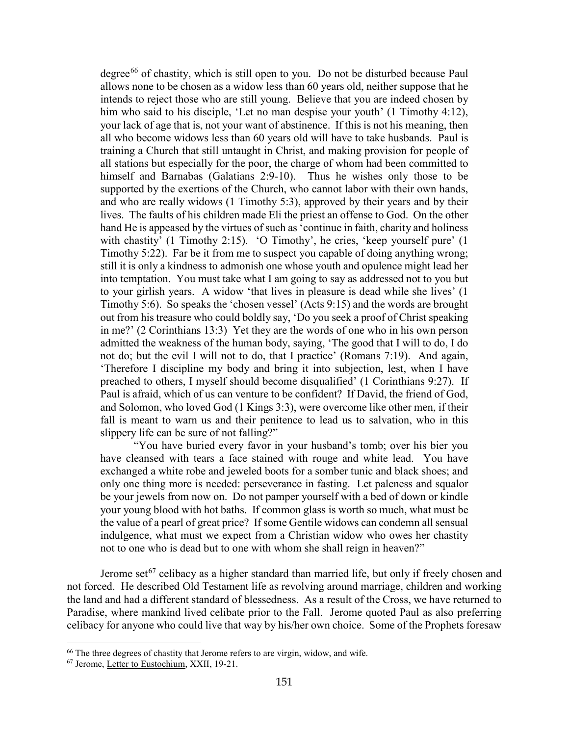degree<sup>[66](#page-31-0)</sup> of chastity, which is still open to you. Do not be disturbed because Paul allows none to be chosen as a widow less than 60 years old, neither suppose that he intends to reject those who are still young. Believe that you are indeed chosen by him who said to his disciple, 'Let no man despise your youth' (1 Timothy 4:12), your lack of age that is, not your want of abstinence. If this is not his meaning, then all who become widows less than 60 years old will have to take husbands. Paul is training a Church that still untaught in Christ, and making provision for people of all stations but especially for the poor, the charge of whom had been committed to himself and Barnabas (Galatians 2:9-10). Thus he wishes only those to be supported by the exertions of the Church, who cannot labor with their own hands, and who are really widows (1 Timothy 5:3), approved by their years and by their lives. The faults of his children made Eli the priest an offense to God. On the other hand He is appeased by the virtues of such as 'continue in faith, charity and holiness with chastity' (1 Timothy 2:15). 'O Timothy', he cries, 'keep yourself pure' (1 Timothy 5:22). Far be it from me to suspect you capable of doing anything wrong; still it is only a kindness to admonish one whose youth and opulence might lead her into temptation. You must take what I am going to say as addressed not to you but to your girlish years. A widow 'that lives in pleasure is dead while she lives' (1 Timothy 5:6). So speaks the 'chosen vessel' (Acts 9:15) and the words are brought out from his treasure who could boldly say, 'Do you seek a proof of Christ speaking in me?' (2 Corinthians 13:3) Yet they are the words of one who in his own person admitted the weakness of the human body, saying, 'The good that I will to do, I do not do; but the evil I will not to do, that I practice' (Romans 7:19). And again, 'Therefore I discipline my body and bring it into subjection, lest, when I have preached to others, I myself should become disqualified' (1 Corinthians 9:27). If Paul is afraid, which of us can venture to be confident? If David, the friend of God, and Solomon, who loved God (1 Kings 3:3), were overcome like other men, if their fall is meant to warn us and their penitence to lead us to salvation, who in this slippery life can be sure of not falling?"

"You have buried every favor in your husband's tomb; over his bier you have cleansed with tears a face stained with rouge and white lead. You have exchanged a white robe and jeweled boots for a somber tunic and black shoes; and only one thing more is needed: perseverance in fasting. Let paleness and squalor be your jewels from now on. Do not pamper yourself with a bed of down or kindle your young blood with hot baths. If common glass is worth so much, what must be the value of a pearl of great price? If some Gentile widows can condemn all sensual indulgence, what must we expect from a Christian widow who owes her chastity not to one who is dead but to one with whom she shall reign in heaven?"

Jerome set<sup>[67](#page-31-1)</sup> celibacy as a higher standard than married life, but only if freely chosen and not forced. He described Old Testament life as revolving around marriage, children and working the land and had a different standard of blessedness. As a result of the Cross, we have returned to Paradise, where mankind lived celibate prior to the Fall. Jerome quoted Paul as also preferring celibacy for anyone who could live that way by his/her own choice. Some of the Prophets foresaw

<span id="page-31-0"></span><sup>&</sup>lt;sup>66</sup> The three degrees of chastity that Jerome refers to are virgin, widow, and wife.

<span id="page-31-1"></span><sup>67</sup> Jerome, Letter to Eustochium, XXII, 19-21.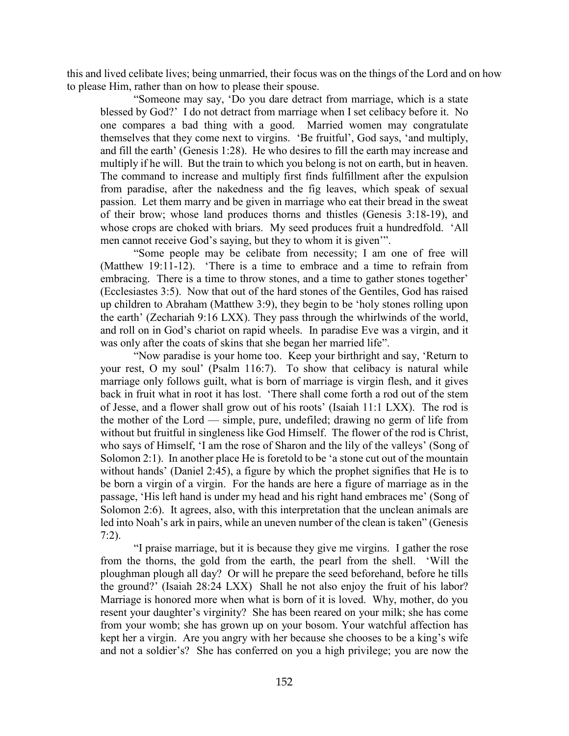this and lived celibate lives; being unmarried, their focus was on the things of the Lord and on how to please Him, rather than on how to please their spouse.

"Someone may say, 'Do you dare detract from marriage, which is a state blessed by God?' I do not detract from marriage when I set celibacy before it. No one compares a bad thing with a good. Married women may congratulate themselves that they come next to virgins. 'Be fruitful', God says, 'and multiply, and fill the earth' (Genesis 1:28). He who desires to fill the earth may increase and multiply if he will. But the train to which you belong is not on earth, but in heaven. The command to increase and multiply first finds fulfillment after the expulsion from paradise, after the nakedness and the fig leaves, which speak of sexual passion. Let them marry and be given in marriage who eat their bread in the sweat of their brow; whose land produces thorns and thistles (Genesis 3:18-19), and whose crops are choked with briars. My seed produces fruit a hundredfold. 'All men cannot receive God's saying, but they to whom it is given'".

"Some people may be celibate from necessity; I am one of free will (Matthew 19:11-12). 'There is a time to embrace and a time to refrain from embracing. There is a time to throw stones, and a time to gather stones together' (Ecclesiastes 3:5). Now that out of the hard stones of the Gentiles, God has raised up children to Abraham (Matthew 3:9), they begin to be 'holy stones rolling upon the earth' (Zechariah 9:16 LXX). They pass through the whirlwinds of the world, and roll on in God's chariot on rapid wheels. In paradise Eve was a virgin, and it was only after the coats of skins that she began her married life".

"Now paradise is your home too. Keep your birthright and say, 'Return to your rest, O my soul' (Psalm 116:7). To show that celibacy is natural while marriage only follows guilt, what is born of marriage is virgin flesh, and it gives back in fruit what in root it has lost. 'There shall come forth a rod out of the stem of Jesse, and a flower shall grow out of his roots' (Isaiah 11:1 LXX). The rod is the mother of the Lord — simple, pure, undefiled; drawing no germ of life from without but fruitful in singleness like God Himself. The flower of the rod is Christ, who says of Himself, 'I am the rose of Sharon and the lily of the valleys' (Song of Solomon 2:1). In another place He is foretold to be 'a stone cut out of the mountain without hands' (Daniel 2:45), a figure by which the prophet signifies that He is to be born a virgin of a virgin. For the hands are here a figure of marriage as in the passage, 'His left hand is under my head and his right hand embraces me' (Song of Solomon 2:6). It agrees, also, with this interpretation that the unclean animals are led into Noah's ark in pairs, while an uneven number of the clean is taken" (Genesis 7:2).

"I praise marriage, but it is because they give me virgins. I gather the rose from the thorns, the gold from the earth, the pearl from the shell. 'Will the ploughman plough all day? Or will he prepare the seed beforehand, before he tills the ground?' (Isaiah 28:24 LXX) Shall he not also enjoy the fruit of his labor? Marriage is honored more when what is born of it is loved. Why, mother, do you resent your daughter's virginity? She has been reared on your milk; she has come from your womb; she has grown up on your bosom. Your watchful affection has kept her a virgin. Are you angry with her because she chooses to be a king's wife and not a soldier's? She has conferred on you a high privilege; you are now the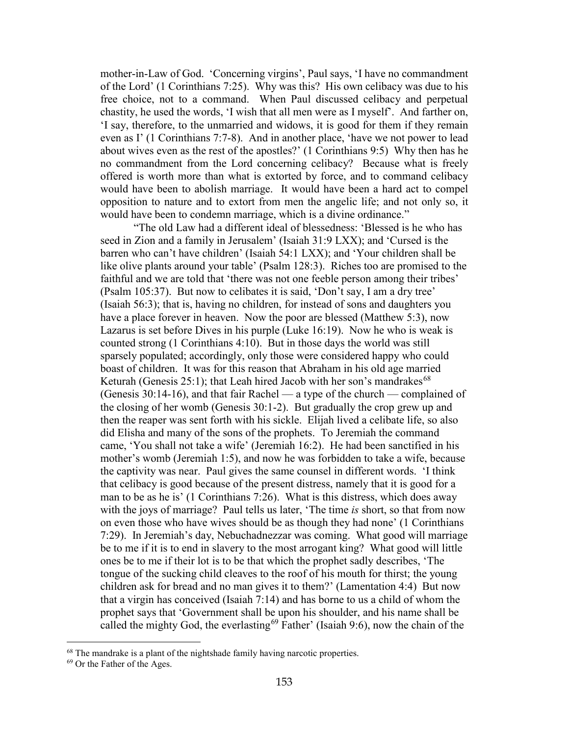mother-in-Law of God. 'Concerning virgins', Paul says, 'I have no commandment of the Lord' (1 Corinthians 7:25). Why was this? His own celibacy was due to his free choice, not to a command. When Paul discussed celibacy and perpetual chastity, he used the words, 'I wish that all men were as I myself'. And farther on, 'I say, therefore, to the unmarried and widows, it is good for them if they remain even as I' (1 Corinthians 7:7-8). And in another place, 'have we not power to lead about wives even as the rest of the apostles?' (1 Corinthians 9:5) Why then has he no commandment from the Lord concerning celibacy? Because what is freely offered is worth more than what is extorted by force, and to command celibacy would have been to abolish marriage. It would have been a hard act to compel opposition to nature and to extort from men the angelic life; and not only so, it would have been to condemn marriage, which is a divine ordinance."

"The old Law had a different ideal of blessedness: 'Blessed is he who has seed in Zion and a family in Jerusalem' (Isaiah 31:9 LXX); and 'Cursed is the barren who can't have children' (Isaiah 54:1 LXX); and 'Your children shall be like olive plants around your table' (Psalm 128:3). Riches too are promised to the faithful and we are told that 'there was not one feeble person among their tribes' (Psalm 105:37). But now to celibates it is said, 'Don't say, I am a dry tree' (Isaiah 56:3); that is, having no children, for instead of sons and daughters you have a place forever in heaven. Now the poor are blessed (Matthew 5:3), now Lazarus is set before Dives in his purple (Luke 16:19). Now he who is weak is counted strong (1 Corinthians 4:10). But in those days the world was still sparsely populated; accordingly, only those were considered happy who could boast of children. It was for this reason that Abraham in his old age married Keturah (Genesis 25:1); that Leah hired Jacob with her son's mandrakes<sup>[68](#page-33-0)</sup> (Genesis 30:14-16), and that fair Rachel — a type of the church — complained of the closing of her womb (Genesis 30:1-2). But gradually the crop grew up and then the reaper was sent forth with his sickle. Elijah lived a celibate life, so also did Elisha and many of the sons of the prophets. To Jeremiah the command came, 'You shall not take a wife' (Jeremiah 16:2). He had been sanctified in his mother's womb (Jeremiah 1:5), and now he was forbidden to take a wife, because the captivity was near. Paul gives the same counsel in different words. 'I think that celibacy is good because of the present distress, namely that it is good for a man to be as he is' (1 Corinthians 7:26). What is this distress, which does away with the joys of marriage? Paul tells us later, 'The time *is* short, so that from now on even those who have wives should be as though they had none' (1 Corinthians 7:29). In Jeremiah's day, Nebuchadnezzar was coming. What good will marriage be to me if it is to end in slavery to the most arrogant king? What good will little ones be to me if their lot is to be that which the prophet sadly describes, 'The tongue of the sucking child cleaves to the roof of his mouth for thirst; the young children ask for bread and no man gives it to them?' (Lamentation 4:4) But now that a virgin has conceived (Isaiah 7:14) and has borne to us a child of whom the prophet says that 'Government shall be upon his shoulder, and his name shall be called the mighty God, the everlasting<sup>[69](#page-33-1)</sup> Father' (Isaiah 9:6), now the chain of the

<span id="page-33-0"></span> $68$  The mandrake is a plant of the nightshade family having narcotic properties.  $69$  Or the Father of the Ages.

<span id="page-33-1"></span>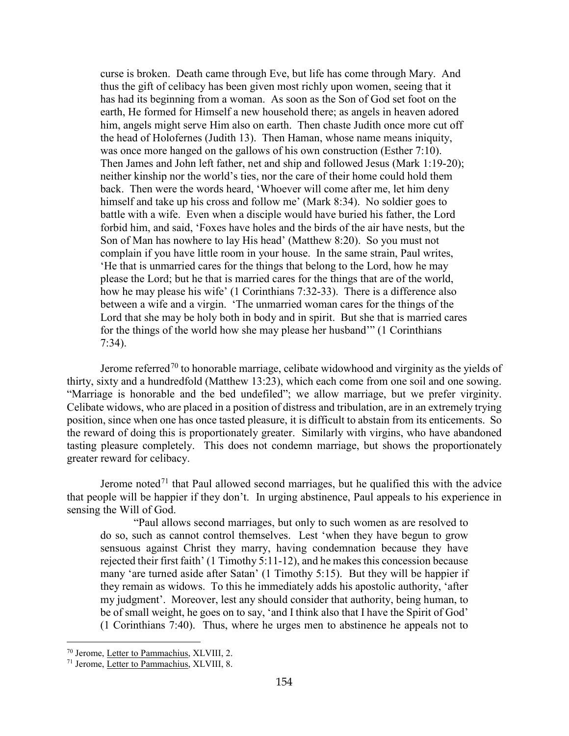curse is broken. Death came through Eve, but life has come through Mary. And thus the gift of celibacy has been given most richly upon women, seeing that it has had its beginning from a woman. As soon as the Son of God set foot on the earth, He formed for Himself a new household there; as angels in heaven adored him, angels might serve Him also on earth. Then chaste Judith once more cut off the head of Holofernes (Judith 13). Then Haman, whose name means iniquity, was once more hanged on the gallows of his own construction (Esther 7:10). Then James and John left father, net and ship and followed Jesus (Mark 1:19-20); neither kinship nor the world's ties, nor the care of their home could hold them back. Then were the words heard, 'Whoever will come after me, let him deny himself and take up his cross and follow me' (Mark 8:34). No soldier goes to battle with a wife. Even when a disciple would have buried his father, the Lord forbid him, and said, 'Foxes have holes and the birds of the air have nests, but the Son of Man has nowhere to lay His head' (Matthew 8:20). So you must not complain if you have little room in your house. In the same strain, Paul writes, 'He that is unmarried cares for the things that belong to the Lord, how he may please the Lord; but he that is married cares for the things that are of the world, how he may please his wife' (1 Corinthians 7:32-33). There is a difference also between a wife and a virgin. 'The unmarried woman cares for the things of the Lord that she may be holy both in body and in spirit. But she that is married cares for the things of the world how she may please her husband'" (1 Corinthians 7:34).

Jerome referred<sup>[70](#page-34-0)</sup> to honorable marriage, celibate widowhood and virginity as the yields of thirty, sixty and a hundredfold (Matthew 13:23), which each come from one soil and one sowing. "Marriage is honorable and the bed undefiled"; we allow marriage, but we prefer virginity. Celibate widows, who are placed in a position of distress and tribulation, are in an extremely trying position, since when one has once tasted pleasure, it is difficult to abstain from its enticements. So the reward of doing this is proportionately greater. Similarly with virgins, who have abandoned tasting pleasure completely. This does not condemn marriage, but shows the proportionately greater reward for celibacy.

Jerome noted<sup>[71](#page-34-1)</sup> that Paul allowed second marriages, but he qualified this with the advice that people will be happier if they don't. In urging abstinence, Paul appeals to his experience in sensing the Will of God.

"Paul allows second marriages, but only to such women as are resolved to do so, such as cannot control themselves. Lest 'when they have begun to grow sensuous against Christ they marry, having condemnation because they have rejected their first faith' (1 Timothy 5:11-12), and he makes this concession because many 'are turned aside after Satan' (1 Timothy 5:15). But they will be happier if they remain as widows. To this he immediately adds his apostolic authority, 'after my judgment'. Moreover, lest any should consider that authority, being human, to be of small weight, he goes on to say, 'and I think also that I have the Spirit of God' (1 Corinthians 7:40). Thus, where he urges men to abstinence he appeals not to

<span id="page-34-0"></span><sup>70</sup> Jerome, Letter to Pammachius, XLVIII, 2.

<span id="page-34-1"></span><sup>71</sup> Jerome, Letter to Pammachius, XLVIII, 8.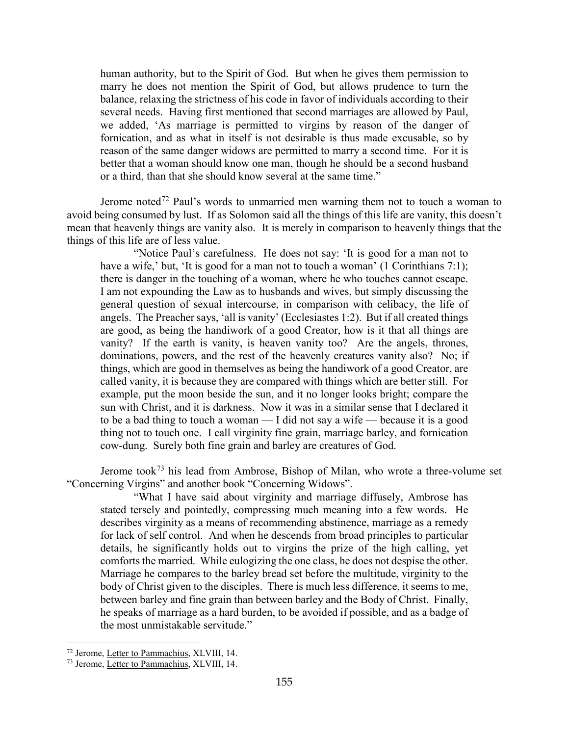human authority, but to the Spirit of God. But when he gives them permission to marry he does not mention the Spirit of God, but allows prudence to turn the balance, relaxing the strictness of his code in favor of individuals according to their several needs. Having first mentioned that second marriages are allowed by Paul, we added, 'As marriage is permitted to virgins by reason of the danger of fornication, and as what in itself is not desirable is thus made excusable, so by reason of the same danger widows are permitted to marry a second time. For it is better that a woman should know one man, though he should be a second husband or a third, than that she should know several at the same time."

Jerome noted<sup>[72](#page-35-0)</sup> Paul's words to unmarried men warning them not to touch a woman to avoid being consumed by lust. If as Solomon said all the things of this life are vanity, this doesn't mean that heavenly things are vanity also. It is merely in comparison to heavenly things that the things of this life are of less value.

"Notice Paul's carefulness. He does not say: 'It is good for a man not to have a wife,' but, 'It is good for a man not to touch a woman' (1 Corinthians 7:1); there is danger in the touching of a woman, where he who touches cannot escape. I am not expounding the Law as to husbands and wives, but simply discussing the general question of sexual intercourse, in comparison with celibacy, the life of angels. The Preacher says, 'all is vanity' (Ecclesiastes 1:2). But if all created things are good, as being the handiwork of a good Creator, how is it that all things are vanity? If the earth is vanity, is heaven vanity too? Are the angels, thrones, dominations, powers, and the rest of the heavenly creatures vanity also? No; if things, which are good in themselves as being the handiwork of a good Creator, are called vanity, it is because they are compared with things which are better still. For example, put the moon beside the sun, and it no longer looks bright; compare the sun with Christ, and it is darkness. Now it was in a similar sense that I declared it to be a bad thing to touch a woman — I did not say a wife — because it is a good thing not to touch one. I call virginity fine grain, marriage barley, and fornication cow-dung. Surely both fine grain and barley are creatures of God.

Jerome took<sup>[73](#page-35-1)</sup> his lead from Ambrose, Bishop of Milan, who wrote a three-volume set "Concerning Virgins" and another book "Concerning Widows".

"What I have said about virginity and marriage diffusely, Ambrose has stated tersely and pointedly, compressing much meaning into a few words. He describes virginity as a means of recommending abstinence, marriage as a remedy for lack of self control. And when he descends from broad principles to particular details, he significantly holds out to virgins the prize of the high calling, yet comforts the married. While eulogizing the one class, he does not despise the other. Marriage he compares to the barley bread set before the multitude, virginity to the body of Christ given to the disciples. There is much less difference, it seems to me, between barley and fine grain than between barley and the Body of Christ. Finally, he speaks of marriage as a hard burden, to be avoided if possible, and as a badge of the most unmistakable servitude."

<span id="page-35-0"></span><sup>72</sup> Jerome, Letter to Pammachius, XLVIII, 14.

<span id="page-35-1"></span><sup>73</sup> Jerome, Letter to Pammachius, XLVIII, 14.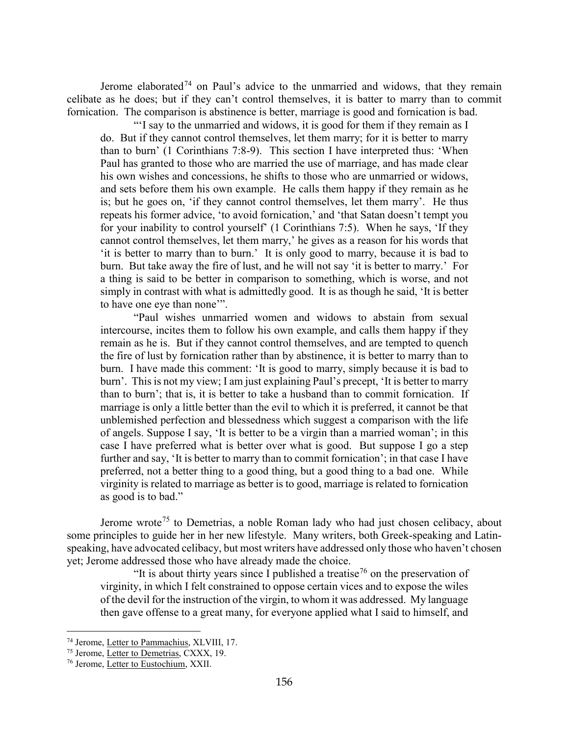Jerome elaborated<sup>[74](#page-36-0)</sup> on Paul's advice to the unmarried and widows, that they remain celibate as he does; but if they can't control themselves, it is batter to marry than to commit fornication. The comparison is abstinence is better, marriage is good and fornication is bad.

"'I say to the unmarried and widows, it is good for them if they remain as I do. But if they cannot control themselves, let them marry; for it is better to marry than to burn' (1 Corinthians 7:8-9). This section I have interpreted thus: 'When Paul has granted to those who are married the use of marriage, and has made clear his own wishes and concessions, he shifts to those who are unmarried or widows, and sets before them his own example. He calls them happy if they remain as he is; but he goes on, 'if they cannot control themselves, let them marry'. He thus repeats his former advice, 'to avoid fornication,' and 'that Satan doesn't tempt you for your inability to control yourself' (1 Corinthians 7:5). When he says, 'If they cannot control themselves, let them marry,' he gives as a reason for his words that 'it is better to marry than to burn.' It is only good to marry, because it is bad to burn. But take away the fire of lust, and he will not say 'it is better to marry.' For a thing is said to be better in comparison to something, which is worse, and not simply in contrast with what is admittedly good. It is as though he said, 'It is better to have one eye than none'".

"Paul wishes unmarried women and widows to abstain from sexual intercourse, incites them to follow his own example, and calls them happy if they remain as he is. But if they cannot control themselves, and are tempted to quench the fire of lust by fornication rather than by abstinence, it is better to marry than to burn. I have made this comment: 'It is good to marry, simply because it is bad to burn'. This is not my view; I am just explaining Paul's precept, 'It is better to marry than to burn'; that is, it is better to take a husband than to commit fornication. If marriage is only a little better than the evil to which it is preferred, it cannot be that unblemished perfection and blessedness which suggest a comparison with the life of angels. Suppose I say, 'It is better to be a virgin than a married woman'; in this case I have preferred what is better over what is good. But suppose I go a step further and say, 'It is better to marry than to commit fornication'; in that case I have preferred, not a better thing to a good thing, but a good thing to a bad one. While virginity is related to marriage as better is to good, marriage is related to fornication as good is to bad."

Jerome wrote<sup>[75](#page-36-1)</sup> to Demetrias, a noble Roman lady who had just chosen celibacy, about some principles to guide her in her new lifestyle. Many writers, both Greek-speaking and Latinspeaking, have advocated celibacy, but most writers have addressed only those who haven't chosen yet; Jerome addressed those who have already made the choice.

"It is about thirty years since I published a treatise<sup>[76](#page-36-2)</sup> on the preservation of virginity, in which I felt constrained to oppose certain vices and to expose the wiles of the devil for the instruction of the virgin, to whom it was addressed. My language then gave offense to a great many, for everyone applied what I said to himself, and

<span id="page-36-0"></span><sup>74</sup> Jerome, Letter to Pammachius, XLVIII, 17.

<span id="page-36-1"></span><sup>&</sup>lt;sup>75</sup> Jerome, Letter to Demetrias, CXXX, 19.

<span id="page-36-2"></span><sup>76</sup> Jerome, Letter to Eustochium, XXII.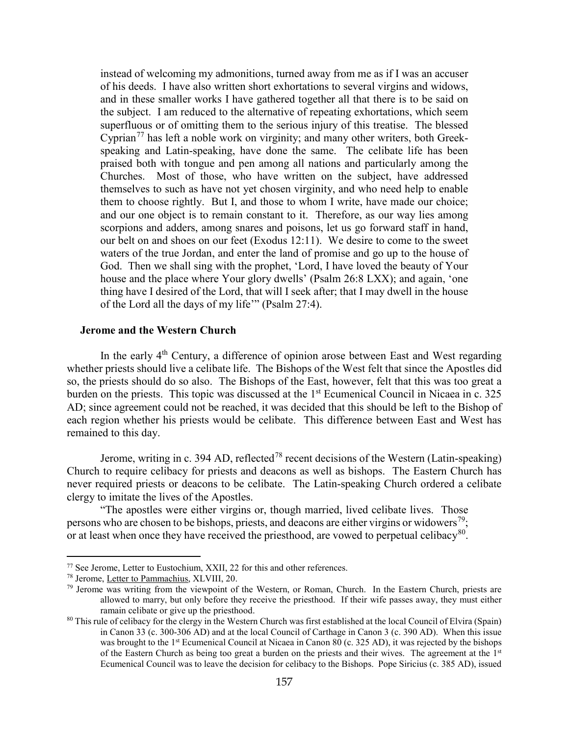instead of welcoming my admonitions, turned away from me as if I was an accuser of his deeds. I have also written short exhortations to several virgins and widows, and in these smaller works I have gathered together all that there is to be said on the subject. I am reduced to the alternative of repeating exhortations, which seem superfluous or of omitting them to the serious injury of this treatise. The blessed Cyprian<sup>[77](#page-37-1)</sup> has left a noble work on virginity; and many other writers, both Greekspeaking and Latin-speaking, have done the same. The celibate life has been praised both with tongue and pen among all nations and particularly among the Churches. Most of those, who have written on the subject, have addressed themselves to such as have not yet chosen virginity, and who need help to enable them to choose rightly. But I, and those to whom I write, have made our choice; and our one object is to remain constant to it. Therefore, as our way lies among scorpions and adders, among snares and poisons, let us go forward staff in hand, our belt on and shoes on our feet (Exodus 12:11). We desire to come to the sweet waters of the true Jordan, and enter the land of promise and go up to the house of God. Then we shall sing with the prophet, 'Lord, I have loved the beauty of Your house and the place where Your glory dwells' (Psalm 26:8 LXX); and again, 'one thing have I desired of the Lord, that will I seek after; that I may dwell in the house of the Lord all the days of my life'" (Psalm 27:4).

#### <span id="page-37-0"></span>**Jerome and the Western Church**

In the early 4<sup>th</sup> Century, a difference of opinion arose between East and West regarding whether priests should live a celibate life. The Bishops of the West felt that since the Apostles did so, the priests should do so also. The Bishops of the East, however, felt that this was too great a burden on the priests. This topic was discussed at the  $1<sup>st</sup>$  Ecumenical Council in Nicaea in c. 325 AD; since agreement could not be reached, it was decided that this should be left to the Bishop of each region whether his priests would be celibate. This difference between East and West has remained to this day.

Jerome, writing in c. 394 AD, reflected<sup>[78](#page-37-2)</sup> recent decisions of the Western (Latin-speaking) Church to require celibacy for priests and deacons as well as bishops. The Eastern Church has never required priests or deacons to be celibate. The Latin-speaking Church ordered a celibate clergy to imitate the lives of the Apostles.

"The apostles were either virgins or, though married, lived celibate lives. Those persons who are chosen to be bishops, priests, and deacons are either virgins or widowers<sup>79</sup>; or at least when once they have received the priesthood, are vowed to perpetual celibacy<sup>[80](#page-37-4)</sup>.

<span id="page-37-1"></span><sup>77</sup> See Jerome, Letter to Eustochium, XXII, 22 for this and other references.

<span id="page-37-2"></span><sup>78</sup> Jerome, Letter to Pammachius, XLVIII, 20.

<span id="page-37-3"></span> $79$  Jerome was writing from the viewpoint of the Western, or Roman, Church. In the Eastern Church, priests are allowed to marry, but only before they receive the priesthood. If their wife passes away, they must either ramain celibate or give up the priesthood.

<span id="page-37-4"></span> $80$  This rule of celibacy for the clergy in the Western Church was first established at the local Council of Elvira (Spain) in Canon 33 (c. 300-306 AD) and at the local Council of Carthage in Canon 3 (c. 390 AD). When this issue was brought to the 1<sup>st</sup> Ecumenical Council at Nicaea in Canon 80 (c. 325 AD), it was rejected by the bishops of the Eastern Church as being too great a burden on the priests and their wives. The agreement at the 1<sup>st</sup> Ecumenical Council was to leave the decision for celibacy to the Bishops. Pope Siricius (c. 385 AD), issued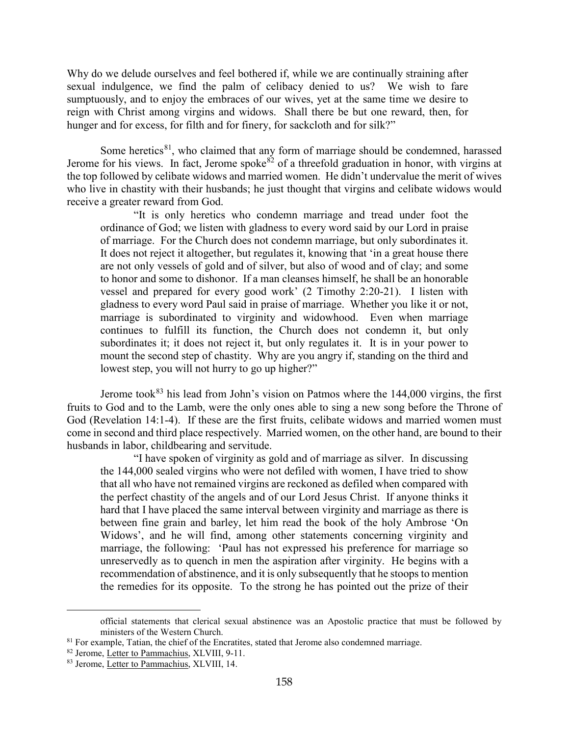Why do we delude ourselves and feel bothered if, while we are continually straining after sexual indulgence, we find the palm of celibacy denied to us? We wish to fare sumptuously, and to enjoy the embraces of our wives, yet at the same time we desire to reign with Christ among virgins and widows. Shall there be but one reward, then, for hunger and for excess, for filth and for finery, for sackcloth and for silk?"

Some heretics $81$ , who claimed that any form of marriage should be condemned, harassed Jerome for his views. In fact, Jerome spoke<sup>[82](#page-38-1)</sup> of a threefold graduation in honor, with virgins at the top followed by celibate widows and married women. He didn't undervalue the merit of wives who live in chastity with their husbands; he just thought that virgins and celibate widows would receive a greater reward from God.

"It is only heretics who condemn marriage and tread under foot the ordinance of God; we listen with gladness to every word said by our Lord in praise of marriage. For the Church does not condemn marriage, but only subordinates it. It does not reject it altogether, but regulates it, knowing that 'in a great house there are not only vessels of gold and of silver, but also of wood and of clay; and some to honor and some to dishonor. If a man cleanses himself, he shall be an honorable vessel and prepared for every good work' (2 Timothy 2:20-21). I listen with gladness to every word Paul said in praise of marriage. Whether you like it or not, marriage is subordinated to virginity and widowhood. Even when marriage continues to fulfill its function, the Church does not condemn it, but only subordinates it; it does not reject it, but only regulates it. It is in your power to mount the second step of chastity. Why are you angry if, standing on the third and lowest step, you will not hurry to go up higher?"

Jerome took $83$  his lead from John's vision on Patmos where the 144,000 virgins, the first fruits to God and to the Lamb, were the only ones able to sing a new song before the Throne of God (Revelation 14:1-4). If these are the first fruits, celibate widows and married women must come in second and third place respectively. Married women, on the other hand, are bound to their husbands in labor, childbearing and servitude.

"I have spoken of virginity as gold and of marriage as silver. In discussing the 144,000 sealed virgins who were not defiled with women, I have tried to show that all who have not remained virgins are reckoned as defiled when compared with the perfect chastity of the angels and of our Lord Jesus Christ. If anyone thinks it hard that I have placed the same interval between virginity and marriage as there is between fine grain and barley, let him read the book of the holy Ambrose 'On Widows', and he will find, among other statements concerning virginity and marriage, the following: 'Paul has not expressed his preference for marriage so unreservedly as to quench in men the aspiration after virginity. He begins with a recommendation of abstinence, and it is only subsequently that he stoops to mention the remedies for its opposite. To the strong he has pointed out the prize of their

official statements that clerical sexual abstinence was an Apostolic practice that must be followed by ministers of the Western Church.<br><sup>81</sup> For example, Tatian, the chief of the Encratites, stated that Jerome also condemned marriage.

<span id="page-38-1"></span><span id="page-38-0"></span><sup>82</sup> Jerome, Letter to Pammachius, XLVIII, 9-11.

<span id="page-38-2"></span><sup>83</sup> Jerome, Letter to Pammachius, XLVIII, 14.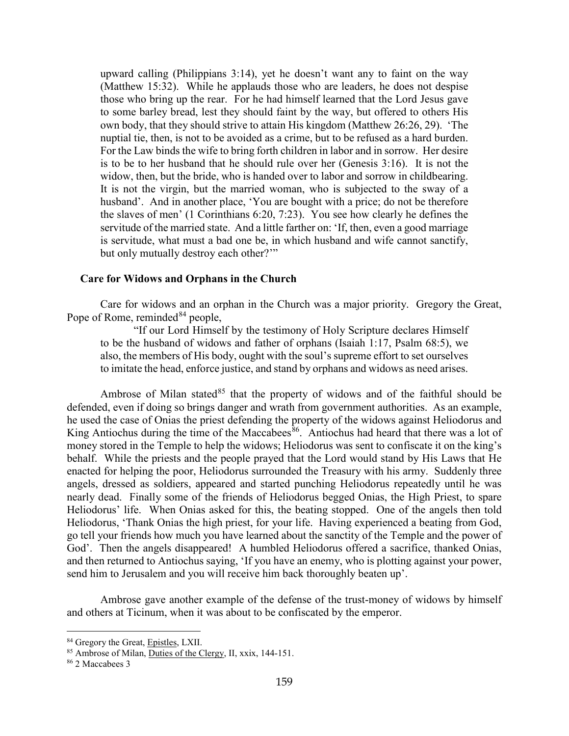upward calling (Philippians 3:14), yet he doesn't want any to faint on the way (Matthew 15:32). While he applauds those who are leaders, he does not despise those who bring up the rear. For he had himself learned that the Lord Jesus gave to some barley bread, lest they should faint by the way, but offered to others His own body, that they should strive to attain His kingdom (Matthew 26:26, 29). 'The nuptial tie, then, is not to be avoided as a crime, but to be refused as a hard burden. For the Law binds the wife to bring forth children in labor and in sorrow. Her desire is to be to her husband that he should rule over her (Genesis 3:16). It is not the widow, then, but the bride, who is handed over to labor and sorrow in childbearing. It is not the virgin, but the married woman, who is subjected to the sway of a husband'. And in another place, 'You are bought with a price; do not be therefore the slaves of men' (1 Corinthians 6:20, 7:23). You see how clearly he defines the servitude of the married state. And a little farther on: 'If, then, even a good marriage is servitude, what must a bad one be, in which husband and wife cannot sanctify, but only mutually destroy each other?"

#### <span id="page-39-0"></span>**Care for Widows and Orphans in the Church**

Care for widows and an orphan in the Church was a major priority. Gregory the Great, Pope of Rome, reminded  $84$  people,

"If our Lord Himself by the testimony of Holy Scripture declares Himself to be the husband of widows and father of orphans (Isaiah 1:17, Psalm 68:5), we also, the members of His body, ought with the soul's supreme effort to set ourselves to imitate the head, enforce justice, and stand by orphans and widows as need arises.

Ambrose of Milan stated<sup>[85](#page-39-2)</sup> that the property of widows and of the faithful should be defended, even if doing so brings danger and wrath from government authorities. As an example, he used the case of Onias the priest defending the property of the widows against Heliodorus and King Antiochus during the time of the Maccabees<sup>[86](#page-39-3)</sup>. Antiochus had heard that there was a lot of money stored in the Temple to help the widows; Heliodorus was sent to confiscate it on the king's behalf. While the priests and the people prayed that the Lord would stand by His Laws that He enacted for helping the poor, Heliodorus surrounded the Treasury with his army. Suddenly three angels, dressed as soldiers, appeared and started punching Heliodorus repeatedly until he was nearly dead. Finally some of the friends of Heliodorus begged Onias, the High Priest, to spare Heliodorus' life. When Onias asked for this, the beating stopped. One of the angels then told Heliodorus, 'Thank Onias the high priest, for your life. Having experienced a beating from God, go tell your friends how much you have learned about the sanctity of the Temple and the power of God'. Then the angels disappeared! A humbled Heliodorus offered a sacrifice, thanked Onias, and then returned to Antiochus saying, 'If you have an enemy, who is plotting against your power, send him to Jerusalem and you will receive him back thoroughly beaten up'.

Ambrose gave another example of the defense of the trust-money of widows by himself and others at Ticinum, when it was about to be confiscated by the emperor.

<span id="page-39-1"></span><sup>84</sup> Gregory the Great, Epistles, LXII.

<span id="page-39-2"></span><sup>85</sup> Ambrose of Milan, Duties of the Clergy, II, xxix, 144-151.

<span id="page-39-3"></span><sup>86</sup> 2 Maccabees 3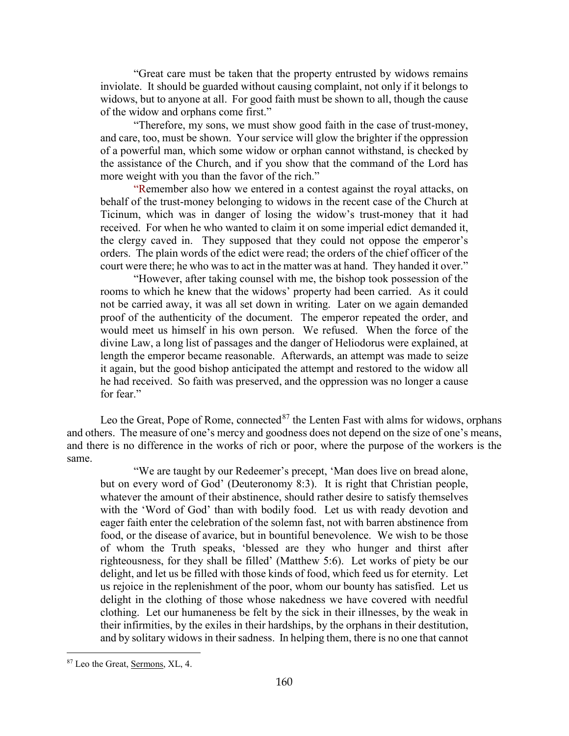"Great care must be taken that the property entrusted by widows remains inviolate. It should be guarded without causing complaint, not only if it belongs to widows, but to anyone at all. For good faith must be shown to all, though the cause of the widow and orphans come first."

"Therefore, my sons, we must show good faith in the case of trust-money, and care, too, must be shown. Your service will glow the brighter if the oppression of a powerful man, which some widow or orphan cannot withstand, is checked by the assistance of the Church, and if you show that the command of the Lord has more weight with you than the favor of the rich."

"Remember also how we entered in a contest against the royal attacks, on behalf of the trust-money belonging to widows in the recent case of the Church at Ticinum, which was in danger of losing the widow's trust-money that it had received. For when he who wanted to claim it on some imperial edict demanded it, the clergy caved in. They supposed that they could not oppose the emperor's orders. The plain words of the edict were read; the orders of the chief officer of the court were there; he who was to act in the matter was at hand. They handed it over."

"However, after taking counsel with me, the bishop took possession of the rooms to which he knew that the widows' property had been carried. As it could not be carried away, it was all set down in writing. Later on we again demanded proof of the authenticity of the document. The emperor repeated the order, and would meet us himself in his own person. We refused. When the force of the divine Law, a long list of passages and the danger of Heliodorus were explained, at length the emperor became reasonable. Afterwards, an attempt was made to seize it again, but the good bishop anticipated the attempt and restored to the widow all he had received. So faith was preserved, and the oppression was no longer a cause for fear."

Leo the Great, Pope of Rome, connected $87$  the Lenten Fast with alms for widows, orphans and others. The measure of one's mercy and goodness does not depend on the size of one's means, and there is no difference in the works of rich or poor, where the purpose of the workers is the same.

"We are taught by our Redeemer's precept, 'Man does live on bread alone, but on every word of God' (Deuteronomy 8:3). It is right that Christian people, whatever the amount of their abstinence, should rather desire to satisfy themselves with the 'Word of God' than with bodily food. Let us with ready devotion and eager faith enter the celebration of the solemn fast, not with barren abstinence from food, or the disease of avarice, but in bountiful benevolence. We wish to be those of whom the Truth speaks, 'blessed are they who hunger and thirst after righteousness, for they shall be filled' (Matthew 5:6). Let works of piety be our delight, and let us be filled with those kinds of food, which feed us for eternity. Let us rejoice in the replenishment of the poor, whom our bounty has satisfied. Let us delight in the clothing of those whose nakedness we have covered with needful clothing. Let our humaneness be felt by the sick in their illnesses, by the weak in their infirmities, by the exiles in their hardships, by the orphans in their destitution, and by solitary widows in their sadness. In helping them, there is no one that cannot

<span id="page-40-0"></span><sup>87</sup> Leo the Great, Sermons, XL, 4.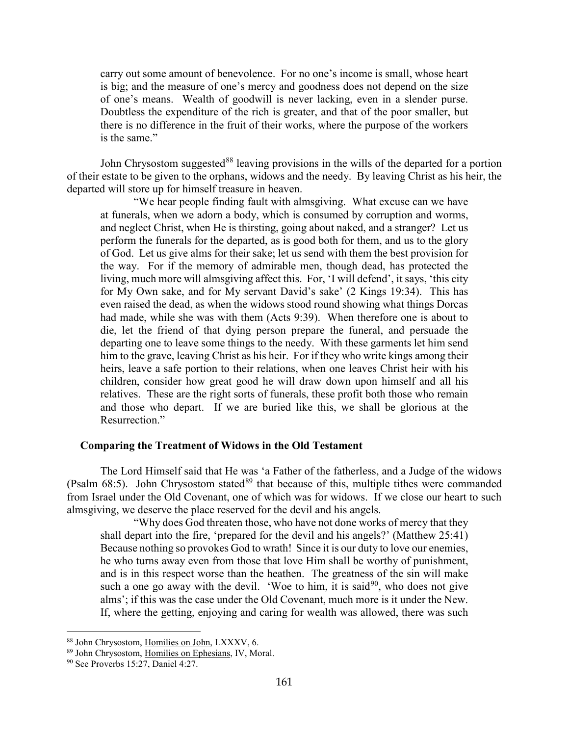carry out some amount of benevolence. For no one's income is small, whose heart is big; and the measure of one's mercy and goodness does not depend on the size of one's means. Wealth of goodwill is never lacking, even in a slender purse. Doubtless the expenditure of the rich is greater, and that of the poor smaller, but there is no difference in the fruit of their works, where the purpose of the workers is the same."

John Chrysostom suggested<sup>[88](#page-41-1)</sup> leaving provisions in the wills of the departed for a portion of their estate to be given to the orphans, widows and the needy. By leaving Christ as his heir, the departed will store up for himself treasure in heaven.

"We hear people finding fault with almsgiving. What excuse can we have at funerals, when we adorn a body, which is consumed by corruption and worms, and neglect Christ, when He is thirsting, going about naked, and a stranger? Let us perform the funerals for the departed, as is good both for them, and us to the glory of God. Let us give alms for their sake; let us send with them the best provision for the way. For if the memory of admirable men, though dead, has protected the living, much more will almsgiving affect this. For, 'I will defend', it says, 'this city for My Own sake, and for My servant David's sake' (2 Kings 19:34). This has even raised the dead, as when the widows stood round showing what things Dorcas had made, while she was with them (Acts 9:39). When therefore one is about to die, let the friend of that dying person prepare the funeral, and persuade the departing one to leave some things to the needy. With these garments let him send him to the grave, leaving Christ as his heir. For if they who write kings among their heirs, leave a safe portion to their relations, when one leaves Christ heir with his children, consider how great good he will draw down upon himself and all his relatives. These are the right sorts of funerals, these profit both those who remain and those who depart. If we are buried like this, we shall be glorious at the Resurrection."

#### <span id="page-41-0"></span>**Comparing the Treatment of Widows in the Old Testament**

The Lord Himself said that He was 'a Father of the fatherless, and a Judge of the widows (Psalm  $68:5$ ). John Chrysostom stated $89$  that because of this, multiple tithes were commanded from Israel under the Old Covenant, one of which was for widows. If we close our heart to such almsgiving, we deserve the place reserved for the devil and his angels.

"Why does God threaten those, who have not done works of mercy that they shall depart into the fire, 'prepared for the devil and his angels?' (Matthew 25:41) Because nothing so provokes God to wrath! Since it is our duty to love our enemies, he who turns away even from those that love Him shall be worthy of punishment, and is in this respect worse than the heathen. The greatness of the sin will make such a one go away with the devil. 'Woe to him, it is said<sup>[90](#page-41-3)</sup>, who does not give alms'; if this was the case under the Old Covenant, much more is it under the New. If, where the getting, enjoying and caring for wealth was allowed, there was such

<span id="page-41-1"></span><sup>88</sup> John Chrysostom, Homilies on John, LXXXV, 6.

<span id="page-41-2"></span><sup>89</sup> John Chrysostom, Homilies on Ephesians, IV, Moral.

<span id="page-41-3"></span><sup>&</sup>lt;sup>90</sup> See Proverbs 15:27, Daniel 4:27.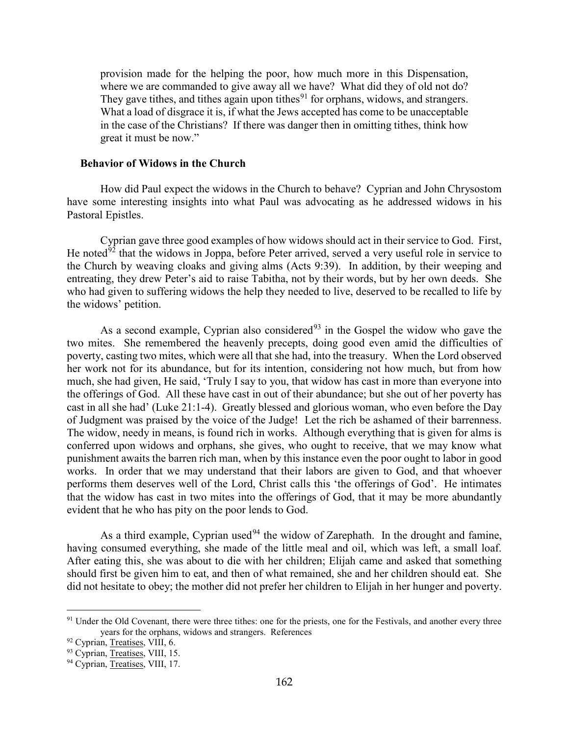provision made for the helping the poor, how much more in this Dispensation, where we are commanded to give away all we have? What did they of old not do? They gave tithes, and tithes again upon tithes<sup>[91](#page-42-1)</sup> for orphans, widows, and strangers. What a load of disgrace it is, if what the Jews accepted has come to be unacceptable in the case of the Christians? If there was danger then in omitting tithes, think how great it must be now."

#### <span id="page-42-0"></span>**Behavior of Widows in the Church**

How did Paul expect the widows in the Church to behave? Cyprian and John Chrysostom have some interesting insights into what Paul was advocating as he addressed widows in his Pastoral Epistles.

Cyprian gave three good examples of how widows should act in their service to God. First, He noted $92$  that the widows in Joppa, before Peter arrived, served a very useful role in service to the Church by weaving cloaks and giving alms (Acts 9:39). In addition, by their weeping and entreating, they drew Peter's aid to raise Tabitha, not by their words, but by her own deeds. She who had given to suffering widows the help they needed to live, deserved to be recalled to life by the widows' petition.

As a second example, Cyprian also considered<sup>[93](#page-42-3)</sup> in the Gospel the widow who gave the two mites. She remembered the heavenly precepts, doing good even amid the difficulties of poverty, casting two mites, which were all that she had, into the treasury. When the Lord observed her work not for its abundance, but for its intention, considering not how much, but from how much, she had given, He said, 'Truly I say to you, that widow has cast in more than everyone into the offerings of God. All these have cast in out of their abundance; but she out of her poverty has cast in all she had' (Luke 21:1-4). Greatly blessed and glorious woman, who even before the Day of Judgment was praised by the voice of the Judge! Let the rich be ashamed of their barrenness. The widow, needy in means, is found rich in works. Although everything that is given for alms is conferred upon widows and orphans, she gives, who ought to receive, that we may know what punishment awaits the barren rich man, when by this instance even the poor ought to labor in good works. In order that we may understand that their labors are given to God, and that whoever performs them deserves well of the Lord, Christ calls this 'the offerings of God'. He intimates that the widow has cast in two mites into the offerings of God, that it may be more abundantly evident that he who has pity on the poor lends to God.

As a third example, Cyprian used<sup>[94](#page-42-4)</sup> the widow of Zarephath. In the drought and famine, having consumed everything, she made of the little meal and oil, which was left, a small loaf. After eating this, she was about to die with her children; Elijah came and asked that something should first be given him to eat, and then of what remained, she and her children should eat. She did not hesitate to obey; the mother did not prefer her children to Elijah in her hunger and poverty.

<span id="page-42-1"></span><sup>&</sup>lt;sup>91</sup> Under the Old Covenant, there were three tithes: one for the priests, one for the Festivals, and another every three years for the orphans, widows and strangers. References

<span id="page-42-2"></span><sup>&</sup>lt;sup>92</sup> Cyprian, Treatises, VIII, 6.

<span id="page-42-3"></span><sup>93</sup> Cyprian, Treatises, VIII, 15.

<span id="page-42-4"></span><sup>&</sup>lt;sup>94</sup> Cyprian, Treatises, VIII, 17.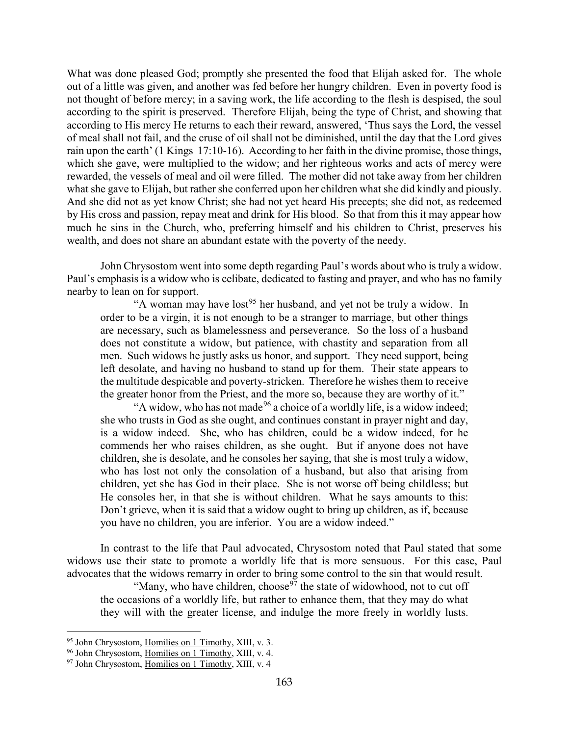What was done pleased God; promptly she presented the food that Elijah asked for. The whole out of a little was given, and another was fed before her hungry children. Even in poverty food is not thought of before mercy; in a saving work, the life according to the flesh is despised, the soul according to the spirit is preserved. Therefore Elijah, being the type of Christ, and showing that according to His mercy He returns to each their reward, answered, 'Thus says the Lord, the vessel of meal shall not fail, and the cruse of oil shall not be diminished, until the day that the Lord gives rain upon the earth' (1 Kings 17:10-16). According to her faith in the divine promise, those things, which she gave, were multiplied to the widow; and her righteous works and acts of mercy were rewarded, the vessels of meal and oil were filled. The mother did not take away from her children what she gave to Elijah, but rather she conferred upon her children what she did kindly and piously. And she did not as yet know Christ; she had not yet heard His precepts; she did not, as redeemed by His cross and passion, repay meat and drink for His blood. So that from this it may appear how much he sins in the Church, who, preferring himself and his children to Christ, preserves his wealth, and does not share an abundant estate with the poverty of the needy.

John Chrysostom went into some depth regarding Paul's words about who is truly a widow. Paul's emphasis is a widow who is celibate, dedicated to fasting and prayer, and who has no family nearby to lean on for support.

"A woman may have lost<sup>[95](#page-43-0)</sup> her husband, and yet not be truly a widow. In order to be a virgin, it is not enough to be a stranger to marriage, but other things are necessary, such as blamelessness and perseverance. So the loss of a husband does not constitute a widow, but patience, with chastity and separation from all men. Such widows he justly asks us honor, and support. They need support, being left desolate, and having no husband to stand up for them. Their state appears to the multitude despicable and poverty-stricken. Therefore he wishes them to receive the greater honor from the Priest, and the more so, because they are worthy of it."

"A widow, who has not made<sup>[96](#page-43-1)</sup> a choice of a worldly life, is a widow indeed; she who trusts in God as she ought, and continues constant in prayer night and day, is a widow indeed. She, who has children, could be a widow indeed, for he commends her who raises children, as she ought. But if anyone does not have children, she is desolate, and he consoles her saying, that she is most truly a widow, who has lost not only the consolation of a husband, but also that arising from children, yet she has God in their place. She is not worse off being childless; but He consoles her, in that she is without children. What he says amounts to this: Don't grieve, when it is said that a widow ought to bring up children, as if, because you have no children, you are inferior. You are a widow indeed."

In contrast to the life that Paul advocated, Chrysostom noted that Paul stated that some widows use their state to promote a worldly life that is more sensuous. For this case, Paul advocates that the widows remarry in order to bring some control to the sin that would result.

"Many, who have children, choose<sup>[97](#page-43-2)</sup> the state of widowhood, not to cut off the occasions of a worldly life, but rather to enhance them, that they may do what they will with the greater license, and indulge the more freely in worldly lusts.

<span id="page-43-0"></span><sup>95</sup> John Chrysostom, Homilies on 1 Timothy, XIII, v. 3.

<span id="page-43-1"></span><sup>&</sup>lt;sup>96</sup> John Chrysostom, Homilies on 1 Timothy, XIII, v. 4.

<span id="page-43-2"></span><sup>97</sup> John Chrysostom, Homilies on 1 Timothy, XIII, v. 4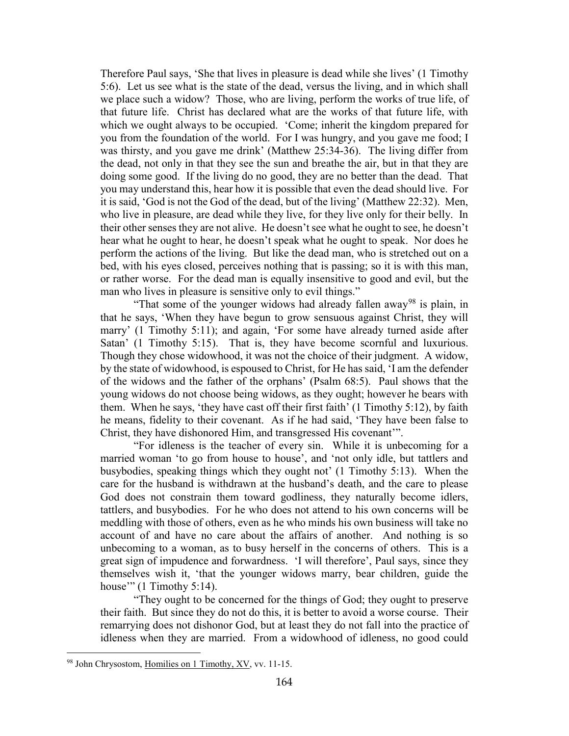Therefore Paul says, 'She that lives in pleasure is dead while she lives' (1 Timothy 5:6). Let us see what is the state of the dead, versus the living, and in which shall we place such a widow? Those, who are living, perform the works of true life, of that future life. Christ has declared what are the works of that future life, with which we ought always to be occupied. 'Come; inherit the kingdom prepared for you from the foundation of the world. For I was hungry, and you gave me food; I was thirsty, and you gave me drink' (Matthew 25:34-36). The living differ from the dead, not only in that they see the sun and breathe the air, but in that they are doing some good. If the living do no good, they are no better than the dead. That you may understand this, hear how it is possible that even the dead should live. For it is said, 'God is not the God of the dead, but of the living' (Matthew 22:32). Men, who live in pleasure, are dead while they live, for they live only for their belly. In their other senses they are not alive. He doesn't see what he ought to see, he doesn't hear what he ought to hear, he doesn't speak what he ought to speak. Nor does he perform the actions of the living. But like the dead man, who is stretched out on a bed, with his eyes closed, perceives nothing that is passing; so it is with this man, or rather worse. For the dead man is equally insensitive to good and evil, but the man who lives in pleasure is sensitive only to evil things."

"That some of the younger widows had already fallen away<sup>[98](#page-44-0)</sup> is plain, in that he says, 'When they have begun to grow sensuous against Christ, they will marry' (1 Timothy 5:11); and again, 'For some have already turned aside after Satan' (1 Timothy 5:15). That is, they have become scornful and luxurious. Though they chose widowhood, it was not the choice of their judgment. A widow, by the state of widowhood, is espoused to Christ, for He has said, 'I am the defender of the widows and the father of the orphans' (Psalm 68:5). Paul shows that the young widows do not choose being widows, as they ought; however he bears with them. When he says, 'they have cast off their first faith' (1 Timothy 5:12), by faith he means, fidelity to their covenant. As if he had said, 'They have been false to Christ, they have dishonored Him, and transgressed His covenant'".

"For idleness is the teacher of every sin. While it is unbecoming for a married woman 'to go from house to house', and 'not only idle, but tattlers and busybodies, speaking things which they ought not' (1 Timothy 5:13). When the care for the husband is withdrawn at the husband's death, and the care to please God does not constrain them toward godliness, they naturally become idlers, tattlers, and busybodies. For he who does not attend to his own concerns will be meddling with those of others, even as he who minds his own business will take no account of and have no care about the affairs of another. And nothing is so unbecoming to a woman, as to busy herself in the concerns of others. This is a great sign of impudence and forwardness. 'I will therefore', Paul says, since they themselves wish it, 'that the younger widows marry, bear children, guide the house"" (1 Timothy 5:14).

"They ought to be concerned for the things of God; they ought to preserve their faith. But since they do not do this, it is better to avoid a worse course. Their remarrying does not dishonor God, but at least they do not fall into the practice of idleness when they are married. From a widowhood of idleness, no good could

<span id="page-44-0"></span><sup>98</sup> John Chrysostom, Homilies on 1 Timothy, XV, vv. 11-15.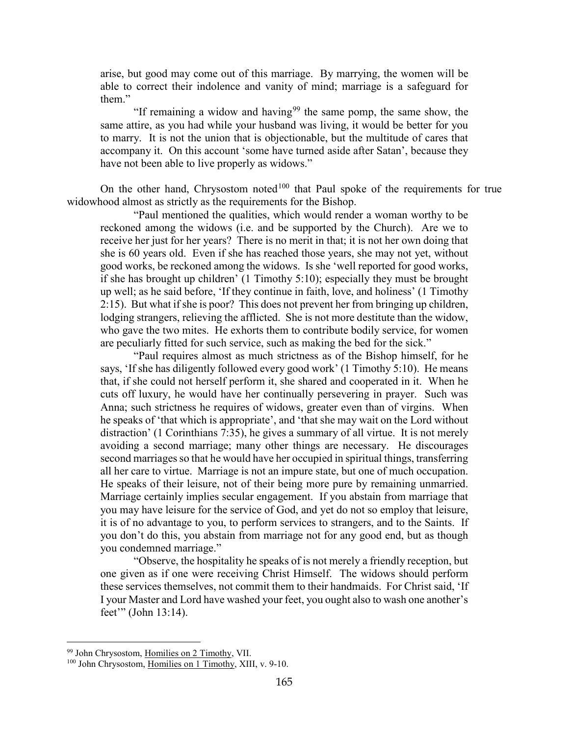arise, but good may come out of this marriage. By marrying, the women will be able to correct their indolence and vanity of mind; marriage is a safeguard for them."

"If remaining a widow and having<sup>[99](#page-45-0)</sup> the same pomp, the same show, the same attire, as you had while your husband was living, it would be better for you to marry. It is not the union that is objectionable, but the multitude of cares that accompany it. On this account 'some have turned aside after Satan', because they have not been able to live properly as widows."

On the other hand, Chrysostom noted<sup>[100](#page-45-1)</sup> that Paul spoke of the requirements for true widowhood almost as strictly as the requirements for the Bishop.

"Paul mentioned the qualities, which would render a woman worthy to be reckoned among the widows (i.e. and be supported by the Church). Are we to receive her just for her years? There is no merit in that; it is not her own doing that she is 60 years old. Even if she has reached those years, she may not yet, without good works, be reckoned among the widows. Is she 'well reported for good works, if she has brought up children' (1 Timothy 5:10); especially they must be brought up well; as he said before, 'If they continue in faith, love, and holiness' (1 Timothy 2:15). But what if she is poor? This does not prevent her from bringing up children, lodging strangers, relieving the afflicted. She is not more destitute than the widow, who gave the two mites. He exhorts them to contribute bodily service, for women are peculiarly fitted for such service, such as making the bed for the sick."

"Paul requires almost as much strictness as of the Bishop himself, for he says, 'If she has diligently followed every good work' (1 Timothy 5:10). He means that, if she could not herself perform it, she shared and cooperated in it. When he cuts off luxury, he would have her continually persevering in prayer. Such was Anna; such strictness he requires of widows, greater even than of virgins. When he speaks of 'that which is appropriate', and 'that she may wait on the Lord without distraction' (1 Corinthians 7:35), he gives a summary of all virtue. It is not merely avoiding a second marriage; many other things are necessary. He discourages second marriages so that he would have her occupied in spiritual things, transferring all her care to virtue. Marriage is not an impure state, but one of much occupation. He speaks of their leisure, not of their being more pure by remaining unmarried. Marriage certainly implies secular engagement. If you abstain from marriage that you may have leisure for the service of God, and yet do not so employ that leisure, it is of no advantage to you, to perform services to strangers, and to the Saints. If you don't do this, you abstain from marriage not for any good end, but as though you condemned marriage."

"Observe, the hospitality he speaks of is not merely a friendly reception, but one given as if one were receiving Christ Himself. The widows should perform these services themselves, not commit them to their handmaids. For Christ said, 'If I your Master and Lord have washed your feet, you ought also to wash one another's feet'" (John 13:14).

<span id="page-45-0"></span><sup>&</sup>lt;sup>99</sup> John Chrysostom, Homilies on 2 Timothy, VII.

<span id="page-45-1"></span><sup>100</sup> John Chrysostom, Homilies on 1 Timothy, XIII, v. 9-10.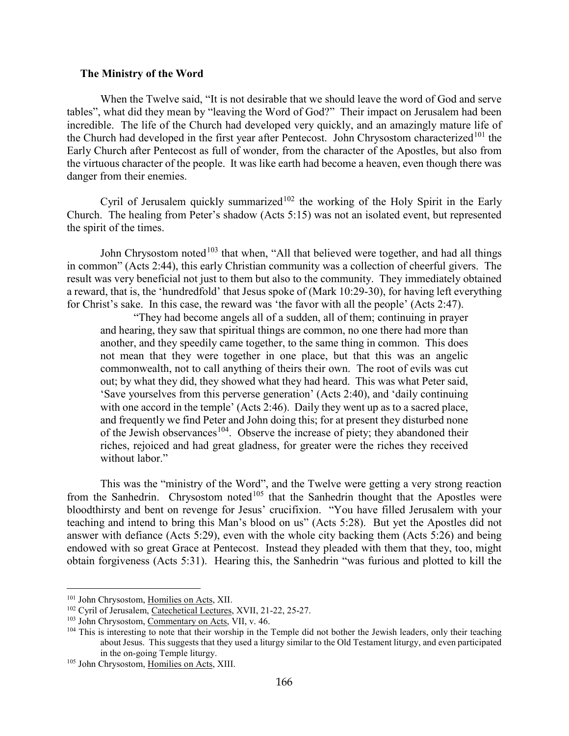#### <span id="page-46-0"></span>**The Ministry of the Word**

When the Twelve said, "It is not desirable that we should leave the word of God and serve tables", what did they mean by "leaving the Word of God?" Their impact on Jerusalem had been incredible. The life of the Church had developed very quickly, and an amazingly mature life of the Church had developed in the first year after Pentecost. John Chrysostom characterized<sup>[101](#page-46-1)</sup> the Early Church after Pentecost as full of wonder, from the character of the Apostles, but also from the virtuous character of the people. It was like earth had become a heaven, even though there was danger from their enemies.

Cyril of Jerusalem quickly summarized<sup>[102](#page-46-2)</sup> the working of the Holy Spirit in the Early Church. The healing from Peter's shadow (Acts 5:15) was not an isolated event, but represented the spirit of the times.

John Chrysostom noted<sup>[103](#page-46-3)</sup> that when, "All that believed were together, and had all things in common" (Acts 2:44), this early Christian community was a collection of cheerful givers. The result was very beneficial not just to them but also to the community. They immediately obtained a reward, that is, the 'hundredfold' that Jesus spoke of (Mark 10:29-30), for having left everything for Christ's sake. In this case, the reward was 'the favor with all the people' (Acts 2:47).

"They had become angels all of a sudden, all of them; continuing in prayer and hearing, they saw that spiritual things are common, no one there had more than another, and they speedily came together, to the same thing in common. This does not mean that they were together in one place, but that this was an angelic commonwealth, not to call anything of theirs their own. The root of evils was cut out; by what they did, they showed what they had heard. This was what Peter said, 'Save yourselves from this perverse generation' (Acts 2:40), and 'daily continuing with one accord in the temple' (Acts 2:46). Daily they went up as to a sacred place, and frequently we find Peter and John doing this; for at present they disturbed none of the Jewish observances<sup>[104](#page-46-4)</sup>. Observe the increase of piety; they abandoned their riches, rejoiced and had great gladness, for greater were the riches they received without labor."

This was the "ministry of the Word", and the Twelve were getting a very strong reaction from the Sanhedrin. Chrysostom noted<sup>[105](#page-46-5)</sup> that the Sanhedrin thought that the Apostles were bloodthirsty and bent on revenge for Jesus' crucifixion. "You have filled Jerusalem with your teaching and intend to bring this Man's blood on us" (Acts 5:28). But yet the Apostles did not answer with defiance (Acts 5:29), even with the whole city backing them (Acts 5:26) and being endowed with so great Grace at Pentecost. Instead they pleaded with them that they, too, might obtain forgiveness (Acts 5:31). Hearing this, the Sanhedrin "was furious and plotted to kill the

<span id="page-46-1"></span><sup>101</sup> John Chrysostom, Homilies on Acts, XII.

<span id="page-46-2"></span><sup>102</sup> Cyril of Jerusalem, Catechetical Lectures, XVII, 21-22, 25-27.

<span id="page-46-3"></span><sup>103</sup> John Chrysostom, Commentary on Acts, VII, v. 46.

<span id="page-46-4"></span><sup>&</sup>lt;sup>104</sup> This is interesting to note that their worship in the Temple did not bother the Jewish leaders, only their teaching about Jesus. This suggests that they used a liturgy similar to the Old Testament liturgy, and even participated in the on-going Temple liturgy.

<span id="page-46-5"></span><sup>105</sup> John Chrysostom, Homilies on Acts, XIII.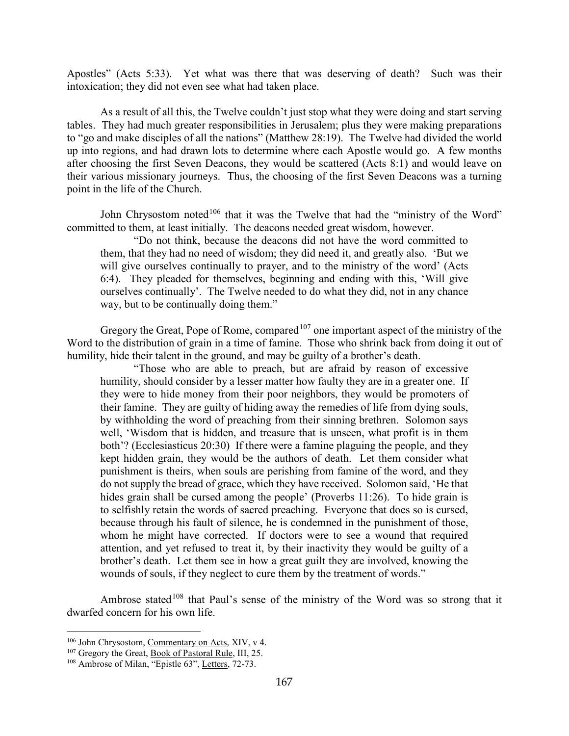Apostles" (Acts 5:33). Yet what was there that was deserving of death? Such was their intoxication; they did not even see what had taken place.

As a result of all this, the Twelve couldn't just stop what they were doing and start serving tables. They had much greater responsibilities in Jerusalem; plus they were making preparations to "go and make disciples of all the nations" (Matthew 28:19). The Twelve had divided the world up into regions, and had drawn lots to determine where each Apostle would go. A few months after choosing the first Seven Deacons, they would be scattered (Acts 8:1) and would leave on their various missionary journeys. Thus, the choosing of the first Seven Deacons was a turning point in the life of the Church.

John Chrysostom noted $106$  that it was the Twelve that had the "ministry of the Word" committed to them, at least initially. The deacons needed great wisdom, however.

"Do not think, because the deacons did not have the word committed to them, that they had no need of wisdom; they did need it, and greatly also. 'But we will give ourselves continually to prayer, and to the ministry of the word' (Acts 6:4). They pleaded for themselves, beginning and ending with this, 'Will give ourselves continually'. The Twelve needed to do what they did, not in any chance way, but to be continually doing them."

Gregory the Great, Pope of Rome, compared  $107$  one important aspect of the ministry of the Word to the distribution of grain in a time of famine. Those who shrink back from doing it out of humility, hide their talent in the ground, and may be guilty of a brother's death.

"Those who are able to preach, but are afraid by reason of excessive humility, should consider by a lesser matter how faulty they are in a greater one. If they were to hide money from their poor neighbors, they would be promoters of their famine. They are guilty of hiding away the remedies of life from dying souls, by withholding the word of preaching from their sinning brethren. Solomon says well, 'Wisdom that is hidden, and treasure that is unseen, what profit is in them both'? (Ecclesiasticus 20:30) If there were a famine plaguing the people, and they kept hidden grain, they would be the authors of death. Let them consider what punishment is theirs, when souls are perishing from famine of the word, and they do not supply the bread of grace, which they have received. Solomon said, 'He that hides grain shall be cursed among the people' (Proverbs 11:26). To hide grain is to selfishly retain the words of sacred preaching. Everyone that does so is cursed, because through his fault of silence, he is condemned in the punishment of those, whom he might have corrected. If doctors were to see a wound that required attention, and yet refused to treat it, by their inactivity they would be guilty of a brother's death. Let them see in how a great guilt they are involved, knowing the wounds of souls, if they neglect to cure them by the treatment of words."

Ambrose stated<sup>[108](#page-47-2)</sup> that Paul's sense of the ministry of the Word was so strong that it dwarfed concern for his own life.

<span id="page-47-0"></span><sup>106</sup> John Chrysostom, Commentary on Acts, XIV, v 4.

<span id="page-47-1"></span><sup>&</sup>lt;sup>107</sup> Gregory the Great, <u>Book of Pastoral Rule</u>, III, 25.

<span id="page-47-2"></span><sup>&</sup>lt;sup>108</sup> Ambrose of Milan, "Epistle 63", Letters, 72-73.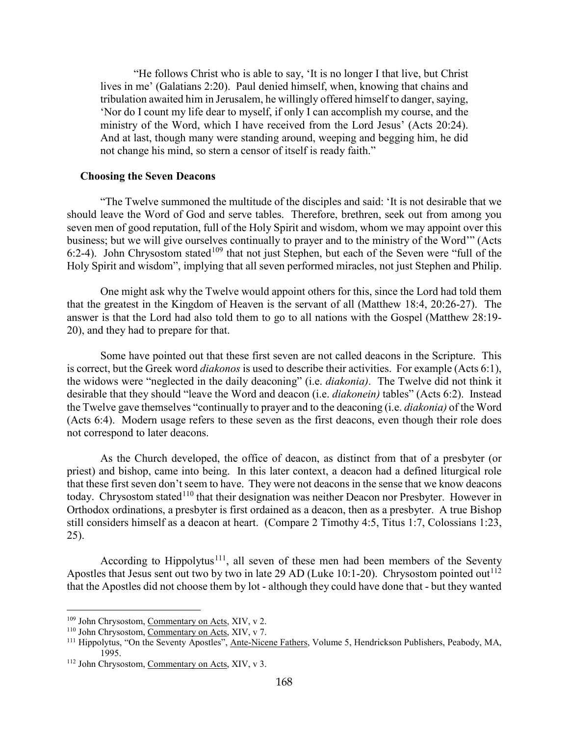"He follows Christ who is able to say, 'It is no longer I that live, but Christ lives in me' (Galatians 2:20). Paul denied himself, when, knowing that chains and tribulation awaited him in Jerusalem, he willingly offered himself to danger, saying, 'Nor do I count my life dear to myself, if only I can accomplish my course, and the ministry of the Word, which I have received from the Lord Jesus' (Acts 20:24). And at last, though many were standing around, weeping and begging him, he did not change his mind, so stern a censor of itself is ready faith."

#### <span id="page-48-0"></span>**Choosing the Seven Deacons**

"The Twelve summoned the multitude of the disciples and said: 'It is not desirable that we should leave the Word of God and serve tables. Therefore, brethren, seek out from among you seven men of good reputation, full of the Holy Spirit and wisdom, whom we may appoint over this business; but we will give ourselves continually to prayer and to the ministry of the Word'" (Acts 6:2-4). John Chrysostom stated<sup>[109](#page-48-1)</sup> that not just Stephen, but each of the Seven were "full of the Holy Spirit and wisdom", implying that all seven performed miracles, not just Stephen and Philip.

One might ask why the Twelve would appoint others for this, since the Lord had told them that the greatest in the Kingdom of Heaven is the servant of all (Matthew 18:4, 20:26-27). The answer is that the Lord had also told them to go to all nations with the Gospel (Matthew 28:19- 20), and they had to prepare for that.

Some have pointed out that these first seven are not called deacons in the Scripture. This is correct, but the Greek word *diakonos* is used to describe their activities. For example (Acts 6:1), the widows were "neglected in the daily deaconing" (i.e. *diakonia)*. The Twelve did not think it desirable that they should "leave the Word and deacon (i.e. *diakonein)* tables" (Acts 6:2). Instead the Twelve gave themselves "continually to prayer and to the deaconing (i.e. *diakonia)* of the Word (Acts 6:4). Modern usage refers to these seven as the first deacons, even though their role does not correspond to later deacons.

As the Church developed, the office of deacon, as distinct from that of a presbyter (or priest) and bishop, came into being. In this later context, a deacon had a defined liturgical role that these first seven don't seem to have. They were not deacons in the sense that we know deacons today. Chrysostom stated<sup>[110](#page-48-2)</sup> that their designation was neither Deacon nor Presbyter. However in Orthodox ordinations, a presbyter is first ordained as a deacon, then as a presbyter. A true Bishop still considers himself as a deacon at heart. (Compare 2 Timothy 4:5, Titus 1:7, Colossians 1:23, 25).

According to Hippolytus<sup>[111](#page-48-3)</sup>, all seven of these men had been members of the Seventy Apostles that Jesus sent out two by two in late 29 AD (Luke 10:1-20). Chrysostom pointed out<sup>[112](#page-48-4)</sup> that the Apostles did not choose them by lot - although they could have done that - but they wanted

<span id="page-48-1"></span><sup>109</sup> John Chrysostom, Commentary on Acts, XIV, v 2.

<span id="page-48-2"></span><sup>110</sup> John Chrysostom, Commentary on Acts, XIV, v 7.

<span id="page-48-3"></span><sup>&</sup>lt;sup>111</sup> Hippolytus, "On the Seventy Apostles", Ante-Nicene Fathers, Volume 5, Hendrickson Publishers, Peabody, MA, 1995.

<span id="page-48-4"></span><sup>112</sup> John Chrysostom, Commentary on Acts, XIV, v 3.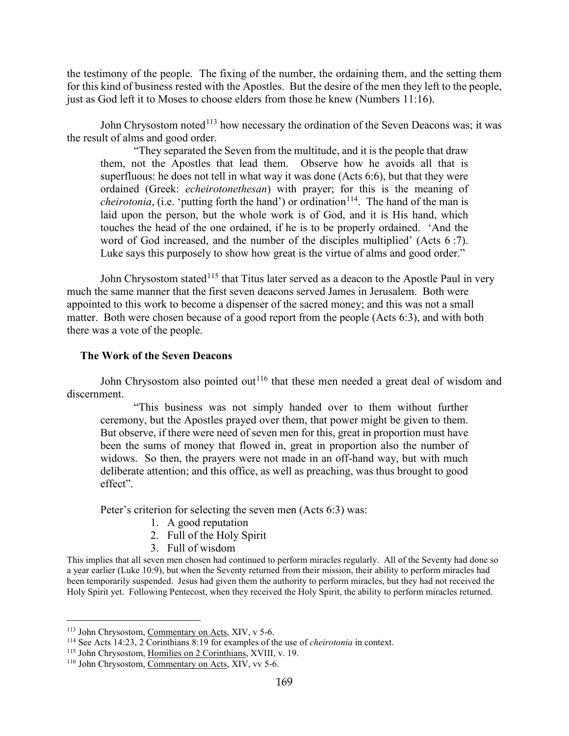the testimony of the people. The fixing of the number, the ordaining them, and the setting them for this kind of business rested with the Apostles. But the desire of the men they left to the people, just as God left it to Moses to choose elders from those he knew (Numbers 11:16).

John Chrysostom noted<sup>[113](#page-49-1)</sup> how necessary the ordination of the Seven Deacons was; it was the result of alms and good order.

"They separated the Seven from the multitude, and it is the people that draw them, not the Apostles that lead them. Observe how he avoids all that is superfluous: he does not tell in what way it was done (Acts 6:6), but that they were ordained (Greek: *echeirotonethesan*) with prayer; for this is the meaning of *cheirotonia*, (i.e. 'putting forth the hand') or ordination<sup>[114](#page-49-2)</sup>. The hand of the man is laid upon the person, but the whole work is of God, and it is His hand, which touches the head of the one ordained, if he is to be properly ordained. 'And the word of God increased, and the number of the disciples multiplied' (Acts 6 :7). Luke says this purposely to show how great is the virtue of alms and good order."

John Chrysostom stated<sup>[115](#page-49-3)</sup> that Titus later served as a deacon to the Apostle Paul in very much the same manner that the first seven deacons served James in Jerusalem. Both were appointed to this work to become a dispenser of the sacred money; and this was not a small matter. Both were chosen because of a good report from the people (Acts 6:3), and with both there was a vote of the people.

#### <span id="page-49-0"></span>**The Work of the Seven Deacons**

John Chrysostom also pointed out<sup>[116](#page-49-4)</sup> that these men needed a great deal of wisdom and discernment.

"This business was not simply handed over to them without further ceremony, but the Apostles prayed over them, that power might be given to them. But observe, if there were need of seven men for this, great in proportion must have been the sums of money that flowed in, great in proportion also the number of widows. So then, the prayers were not made in an off-hand way, but with much deliberate attention; and this office, as well as preaching, was thus brought to good effect".

Peter's criterion for selecting the seven men (Acts 6:3) was:

- 1. A good reputation
- 2. Full of the Holy Spirit
- 3. Full of wisdom

This implies that all seven men chosen had continued to perform miracles regularly. All of the Seventy had done so a year earlier (Luke 10:9), but when the Seventy returned from their mission, their ability to perform miracles had been temporarily suspended. Jesus had given them the authority to perform miracles, but they had not received the Holy Spirit yet. Following Pentecost, when they received the Holy Spirit, the ability to perform miracles returned.

<span id="page-49-1"></span><sup>113</sup> John Chrysostom, Commentary on Acts, XIV, v 5-6.

<span id="page-49-2"></span><sup>114</sup> See Acts 14:23, 2 Corinthians 8:19 for examples of the use of *cheirotonia* in context.

<span id="page-49-3"></span><sup>&</sup>lt;sup>115</sup> John Chrysostom, Homilies on 2 Corinthians, XVIII, v. 19.

<span id="page-49-4"></span><sup>116</sup> John Chrysostom, Commentary on Acts, XIV, vv 5-6.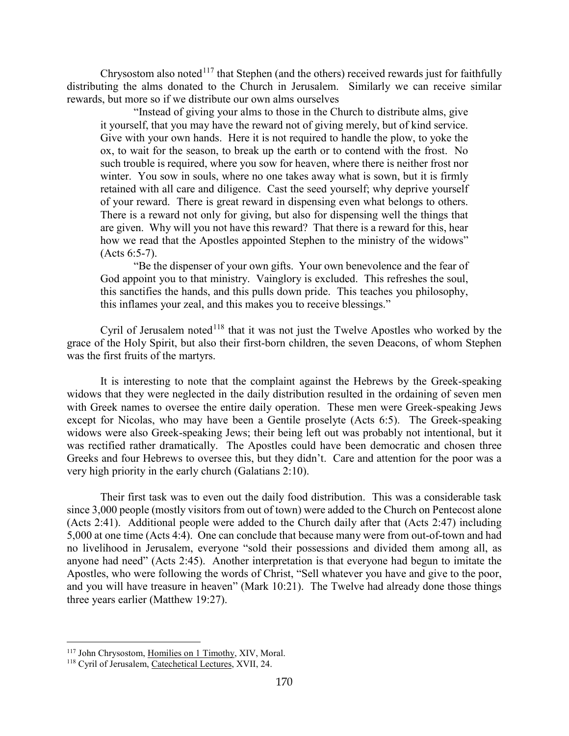Chrysostom also noted $117$  that Stephen (and the others) received rewards just for faithfully distributing the alms donated to the Church in Jerusalem. Similarly we can receive similar rewards, but more so if we distribute our own alms ourselves

"Instead of giving your alms to those in the Church to distribute alms, give it yourself, that you may have the reward not of giving merely, but of kind service. Give with your own hands. Here it is not required to handle the plow, to yoke the ox, to wait for the season, to break up the earth or to contend with the frost. No such trouble is required, where you sow for heaven, where there is neither frost nor winter. You sow in souls, where no one takes away what is sown, but it is firmly retained with all care and diligence. Cast the seed yourself; why deprive yourself of your reward. There is great reward in dispensing even what belongs to others. There is a reward not only for giving, but also for dispensing well the things that are given. Why will you not have this reward? That there is a reward for this, hear how we read that the Apostles appointed Stephen to the ministry of the widows" (Acts 6:5-7).

"Be the dispenser of your own gifts. Your own benevolence and the fear of God appoint you to that ministry. Vainglory is excluded. This refreshes the soul, this sanctifies the hands, and this pulls down pride. This teaches you philosophy, this inflames your zeal, and this makes you to receive blessings."

Cyril of Jerusalem noted $118$  that it was not just the Twelve Apostles who worked by the grace of the Holy Spirit, but also their first-born children, the seven Deacons, of whom Stephen was the first fruits of the martyrs.

It is interesting to note that the complaint against the Hebrews by the Greek-speaking widows that they were neglected in the daily distribution resulted in the ordaining of seven men with Greek names to oversee the entire daily operation. These men were Greek-speaking Jews except for Nicolas, who may have been a Gentile proselyte (Acts 6:5). The Greek-speaking widows were also Greek-speaking Jews; their being left out was probably not intentional, but it was rectified rather dramatically. The Apostles could have been democratic and chosen three Greeks and four Hebrews to oversee this, but they didn't. Care and attention for the poor was a very high priority in the early church (Galatians 2:10).

Their first task was to even out the daily food distribution. This was a considerable task since 3,000 people (mostly visitors from out of town) were added to the Church on Pentecost alone (Acts 2:41). Additional people were added to the Church daily after that (Acts 2:47) including 5,000 at one time (Acts 4:4). One can conclude that because many were from out-of-town and had no livelihood in Jerusalem, everyone "sold their possessions and divided them among all, as anyone had need" (Acts 2:45). Another interpretation is that everyone had begun to imitate the Apostles, who were following the words of Christ, "Sell whatever you have and give to the poor, and you will have treasure in heaven" (Mark 10:21). The Twelve had already done those things three years earlier (Matthew 19:27).

<span id="page-50-0"></span><sup>&</sup>lt;sup>117</sup> John Chrysostom, Homilies on 1 Timothy, XIV, Moral.

<span id="page-50-1"></span><sup>118</sup> Cyril of Jerusalem, Catechetical Lectures, XVII, 24.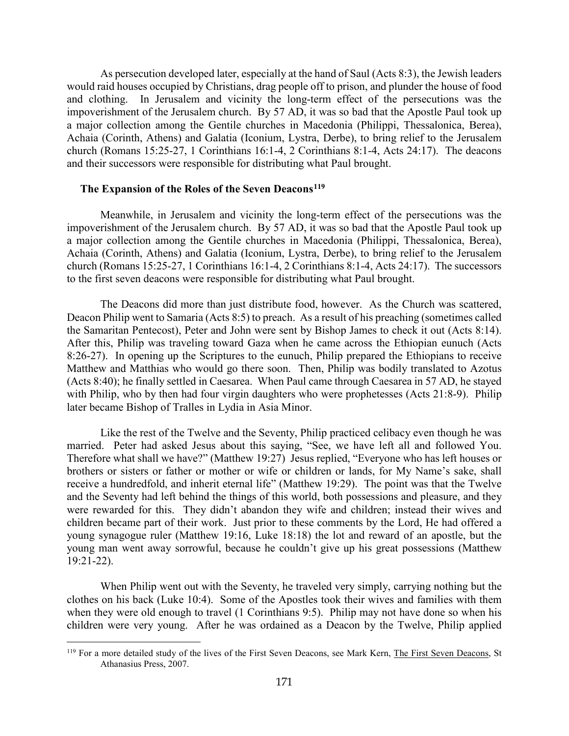As persecution developed later, especially at the hand of Saul (Acts 8:3), the Jewish leaders would raid houses occupied by Christians, drag people off to prison, and plunder the house of food and clothing. In Jerusalem and vicinity the long-term effect of the persecutions was the impoverishment of the Jerusalem church. By 57 AD, it was so bad that the Apostle Paul took up a major collection among the Gentile churches in Macedonia (Philippi, Thessalonica, Berea), Achaia (Corinth, Athens) and Galatia (Iconium, Lystra, Derbe), to bring relief to the Jerusalem church (Romans 15:25-27, 1 Corinthians 16:1-4, 2 Corinthians 8:1-4, Acts 24:17). The deacons and their successors were responsible for distributing what Paul brought.

#### <span id="page-51-0"></span>**The Expansion of the Roles of the Seven Deacons[119](#page-51-1)**

Meanwhile, in Jerusalem and vicinity the long-term effect of the persecutions was the impoverishment of the Jerusalem church. By 57 AD, it was so bad that the Apostle Paul took up a major collection among the Gentile churches in Macedonia (Philippi, Thessalonica, Berea), Achaia (Corinth, Athens) and Galatia (Iconium, Lystra, Derbe), to bring relief to the Jerusalem church (Romans 15:25-27, 1 Corinthians 16:1-4, 2 Corinthians 8:1-4, Acts 24:17). The successors to the first seven deacons were responsible for distributing what Paul brought.

The Deacons did more than just distribute food, however. As the Church was scattered, Deacon Philip went to Samaria (Acts 8:5) to preach. As a result of his preaching (sometimes called the Samaritan Pentecost), Peter and John were sent by Bishop James to check it out (Acts 8:14). After this, Philip was traveling toward Gaza when he came across the Ethiopian eunuch (Acts 8:26-27). In opening up the Scriptures to the eunuch, Philip prepared the Ethiopians to receive Matthew and Matthias who would go there soon. Then, Philip was bodily translated to Azotus (Acts 8:40); he finally settled in Caesarea. When Paul came through Caesarea in 57 AD, he stayed with Philip, who by then had four virgin daughters who were prophetesses (Acts 21:8-9). Philip later became Bishop of Tralles in Lydia in Asia Minor.

Like the rest of the Twelve and the Seventy, Philip practiced celibacy even though he was married. Peter had asked Jesus about this saying, "See, we have left all and followed You. Therefore what shall we have?" (Matthew 19:27) Jesus replied, "Everyone who has left houses or brothers or sisters or father or mother or wife or children or lands, for My Name's sake, shall receive a hundredfold, and inherit eternal life" (Matthew 19:29). The point was that the Twelve and the Seventy had left behind the things of this world, both possessions and pleasure, and they were rewarded for this. They didn't abandon they wife and children; instead their wives and children became part of their work. Just prior to these comments by the Lord, He had offered a young synagogue ruler (Matthew 19:16, Luke 18:18) the lot and reward of an apostle, but the young man went away sorrowful, because he couldn't give up his great possessions (Matthew 19:21-22).

When Philip went out with the Seventy, he traveled very simply, carrying nothing but the clothes on his back (Luke 10:4). Some of the Apostles took their wives and families with them when they were old enough to travel (1 Corinthians 9:5). Philip may not have done so when his children were very young. After he was ordained as a Deacon by the Twelve, Philip applied

<span id="page-51-1"></span><sup>&</sup>lt;sup>119</sup> For a more detailed study of the lives of the First Seven Deacons, see Mark Kern, The First Seven Deacons, St Athanasius Press, 2007.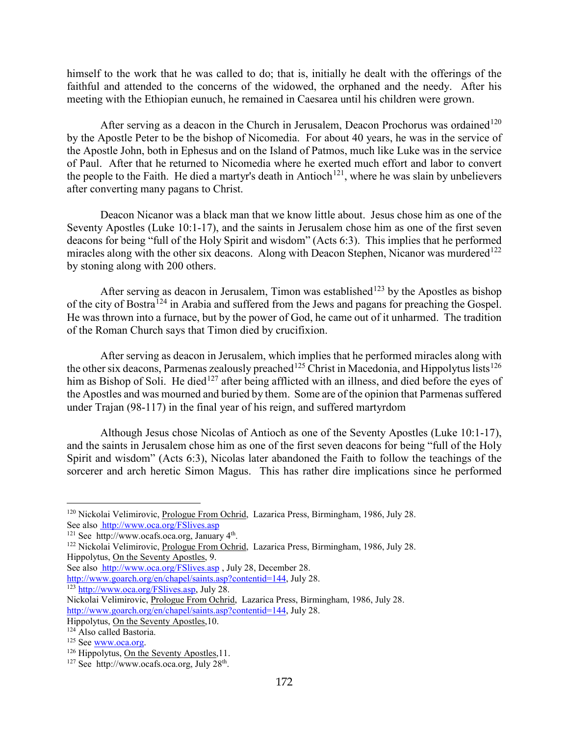himself to the work that he was called to do; that is, initially he dealt with the offerings of the faithful and attended to the concerns of the widowed, the orphaned and the needy. After his meeting with the Ethiopian eunuch, he remained in Caesarea until his children were grown.

After serving as a deacon in the Church in Jerusalem, Deacon Prochorus was ordained<sup>[120](#page-52-0)</sup> by the Apostle Peter to be the bishop of Nicomedia. For about 40 years, he was in the service of the Apostle John, both in Ephesus and on the Island of Patmos, much like Luke was in the service of Paul. After that he returned to Nicomedia where he exerted much effort and labor to convert the people to the Faith. He died a martyr's death in Antioch<sup>121</sup>, where he was slain by unbelievers after converting many pagans to Christ.

Deacon Nicanor was a black man that we know little about. Jesus chose him as one of the Seventy Apostles (Luke 10:1-17), and the saints in Jerusalem chose him as one of the first seven deacons for being "full of the Holy Spirit and wisdom" (Acts 6:3). This implies that he performed miracles along with the other six deacons. Along with Deacon Stephen, Nicanor was murdered<sup>[122](#page-52-2)</sup> by stoning along with 200 others.

After serving as deacon in Jerusalem, Timon was established<sup>[123](#page-52-3)</sup> by the Apostles as bishop of the city of Bostra[124](#page-52-4) in Arabia and suffered from the Jews and pagans for preaching the Gospel. He was thrown into a furnace, but by the power of God, he came out of it unharmed. The tradition of the Roman Church says that Timon died by crucifixion.

After serving as deacon in Jerusalem, which implies that he performed miracles along with the other six deacons, Parmenas zealously preached<sup>[125](#page-52-5)</sup> Christ in Macedonia, and Hippolytus lists<sup>[126](#page-52-6)</sup> him as Bishop of Soli. He died<sup>[127](#page-52-7)</sup> after being afflicted with an illness, and died before the eyes of the Apostles and was mourned and buried by them. Some are of the opinion that Parmenas suffered under Trajan (98-117) in the final year of his reign, and suffered martyrdom

Although Jesus chose Nicolas of Antioch as one of the Seventy Apostles (Luke 10:1-17), and the saints in Jerusalem chose him as one of the first seven deacons for being "full of the Holy Spirit and wisdom" (Acts 6:3), Nicolas later abandoned the Faith to follow the teachings of the sorcerer and arch heretic Simon Magus. This has rather dire implications since he performed

See also [http://www.oca.org/FSlives.asp](http://www.oca.org/), July 28, December 28.

<span id="page-52-0"></span><sup>120</sup> Nickolai Velimirovic, Prologue From Ochrid, Lazarica Press, Birmingham, 1986, July 28. See also <u>http://www.oca.org/FSlives.asp</u><br><sup>121</sup> See http://www.ocafs.oca.org, January 4<sup>th</sup>.

<span id="page-52-2"></span><span id="page-52-1"></span><sup>&</sup>lt;sup>122</sup> Nickolai Velimirovic, Prologue From Ochrid, Lazarica Press, Birmingham, 1986, July 28. Hippolytus, On the Seventy Apostles, 9.

[http://www.goarch.org/en/chapel/saints.asp?contentid=144,](http://www.goarch.org/en/chapel/saints.asp?contentid=144) July 28.

<span id="page-52-3"></span><sup>&</sup>lt;sup>123</sup> [http://www.oca.org/FSlives.asp,](http://www.oca.org/FSlives.asp) July 28.

Nickolai Velimirovic, Prologue From Ochrid, Lazarica Press, Birmingham, 1986, July 28. [http://www.goarch.org/en/chapel/saints.asp?contentid=144,](http://www.goarch.org/en/chapel/saints.asp?contentid=144) July 28.

Hippolytus, On the Seventy Apostles,10.

<span id="page-52-4"></span> $124$  Also called Bastoria.<br> $125$  See www.oca.org.

<span id="page-52-5"></span>

<span id="page-52-6"></span> $126$  Hippolytus, On the Seventy Apostles,11.

<span id="page-52-7"></span> $127$  See http://www.ocafs.oca.org, July 28<sup>th</sup>.